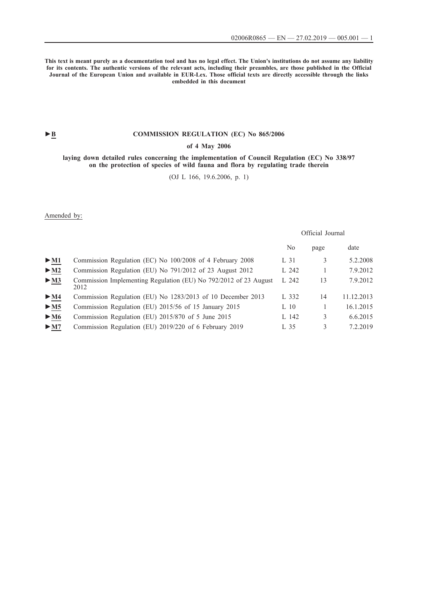**This text is meant purely as a documentation tool and has no legal effect. The Union's institutions do not assume any liability for its contents. The authentic versions of the relevant acts, including their preambles, are those published in the Official Journal of the European Union and available in EUR-Lex. Those official texts are directly accessible through the links embedded in this document**

# ► **B COMMISSION REGULATION** (EC) No 865/2006

# **[of 4 May 2006](http://data.europa.eu/eli/reg/2006/865/oj/eng)**

**[laying down detailed rules concerning the implementation of Council Regulation \(EC\) No 338/97](http://data.europa.eu/eli/reg/2006/865/oj/eng) [on the protection of species of wild fauna and flora by regulating trade therein](http://data.europa.eu/eli/reg/2006/865/oj/eng)**

[\(OJ L 166, 19.6.2006, p. 1\)](http://data.europa.eu/eli/reg/2006/865/oj/eng)

Amended by:

|                                 |                                                                          | Official Journal |      |            |
|---------------------------------|--------------------------------------------------------------------------|------------------|------|------------|
|                                 |                                                                          | N <sub>0</sub>   | page | date       |
| $\blacktriangleright$ M1        | Commission Regulation (EC) No 100/2008 of 4 February 2008                | L 31             | 3    | 5.2.2008   |
| > M2                            | Commission Regulation (EU) No 791/2012 of 23 August 2012                 | L 242            |      | 7.9.2012   |
| $\blacktriangleright$ <u>M3</u> | Commission Implementing Regulation (EU) No 792/2012 of 23 August<br>2012 | L 242            | 13   | 7.9.2012   |
| $\blacktriangleright$ M4        | Commission Regulation (EU) No 1283/2013 of 10 December 2013              | L 332            | 14   | 11.12.2013 |
| > M5                            | Commission Regulation (EU) 2015/56 of 15 January 2015                    | $L_10$           |      | 16.1.2015  |
| $\blacktriangleright$ M6        | Commission Regulation (EU) 2015/870 of 5 June 2015                       | L 142            | 3    | 6.6.2015   |
| > M7                            | Commission Regulation (EU) 2019/220 of 6 February 2019                   | L 35             | 3    | 7.2.2019   |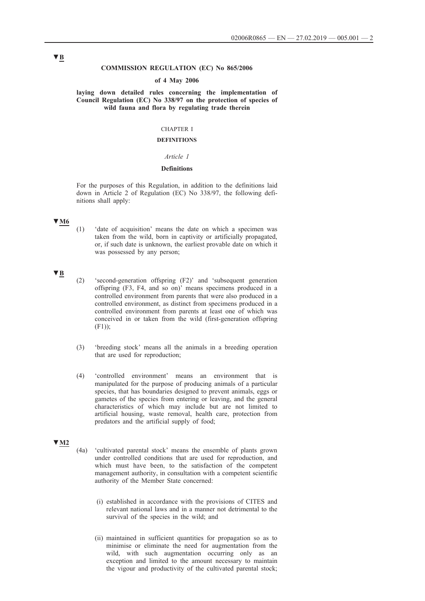# **COMMISSION REGULATION (EC) No 865/2006**

#### **of 4 May 2006**

**laying down detailed rules concerning the implementation of Council Regulation (EC) No 338/97 on the protection of species of wild fauna and flora by regulating trade therein**

# CHAPTER I

# **DEFINITIONS**

# *Article 1*

# **Definitions**

For the purposes of this Regulation, in addition to the definitions laid down in Article 2 of Regulation (EC) No 338/97, the following definitions shall apply:

### **▼M6**

(1) 'date of acquisition' means the date on which a specimen was taken from the wild, born in captivity or artificially propagated, or, if such date is unknown, the earliest provable date on which it was possessed by any person;

### **▼B**

- (2) 'second-generation offspring (F2)' and 'subsequent generation offspring (F3, F4, and so on)' means specimens produced in a controlled environment from parents that were also produced in a controlled environment, as distinct from specimens produced in a controlled environment from parents at least one of which was conceived in or taken from the wild (first-generation offspring  $(F1)$ :
- (3) 'breeding stock' means all the animals in a breeding operation that are used for reproduction;
- (4) 'controlled environment' means an environment that is manipulated for the purpose of producing animals of a particular species, that has boundaries designed to prevent animals, eggs or gametes of the species from entering or leaving, and the general characteristics of which may include but are not limited to artificial housing, waste removal, health care, protection from predators and the artificial supply of food;

# **▼M2**

- (4a) 'cultivated parental stock' means the ensemble of plants grown under controlled conditions that are used for reproduction, and which must have been, to the satisfaction of the competent management authority, in consultation with a competent scientific authority of the Member State concerned:
	- (i) established in accordance with the provisions of CITES and relevant national laws and in a manner not detrimental to the survival of the species in the wild; and
	- (ii) maintained in sufficient quantities for propagation so as to minimise or eliminate the need for augmentation from the wild, with such augmentation occurring only as an exception and limited to the amount necessary to maintain the vigour and productivity of the cultivated parental stock;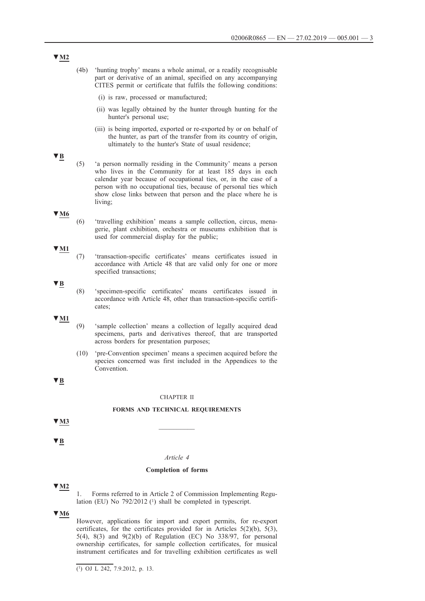- (4b) 'hunting trophy' means a whole animal, or a readily recognisable part or derivative of an animal, specified on any accompanying CITES permit or certificate that fulfils the following conditions:
	- (i) is raw, processed or manufactured;
	- (ii) was legally obtained by the hunter through hunting for the hunter's personal use;
	- (iii) is being imported, exported or re-exported by or on behalf of the hunter, as part of the transfer from its country of origin, ultimately to the hunter's State of usual residence;
- **▼B**
- 
- (5) 'a person normally residing in the Community' means a person who lives in the Community for at least 185 days in each calendar year because of occupational ties, or, in the case of a person with no occupational ties, because of personal ties which show close links between that person and the place where he is living;

### **▼M6**

(6) 'travelling exhibition' means a sample collection, circus, menagerie, plant exhibition, orchestra or museums exhibition that is used for commercial display for the public;

(7) 'transaction-specific certificates' means certificates issued in accordance with Article 48 that are valid only for one or more

specified transactions;

cates;

- **▼M1**
- **▼B**
- (8) 'specimen-specific certificates' means certificates issued in accordance with Article 48, other than transaction-specific certifi-

**▼M1**

- (9) 'sample collection' means a collection of legally acquired dead specimens, parts and derivatives thereof, that are transported across borders for presentation purposes;
- (10) 'pre-Convention specimen' means a specimen acquired before the species concerned was first included in the Appendices to the Convention.

# **▼B**

### CHAPTER II

# **FORMS AND TECHNICAL REQUIREMENTS**

 $\sqrt{M3}$ 

**▼B**

### *Article 4*

#### **Completion of forms**

#### **▼M2**

1. Forms referred to in Article 2 of Commission Implementing Regulation (EU) No  $792/2012$  (<sup>1</sup>) shall be completed in typescript.

# **▼M6**

However, applications for import and export permits, for re-export certificates, for the certificates provided for in Articles  $5(2)(b)$ ,  $5(3)$ , 5(4), 8(3) and 9(2)(b) of Regulation (EC) No 338/97, for personal ownership certificates, for sample collection certificates, for musical instrument certificates and for travelling exhibition certificates as well

 $(1)$  OJ L 242, 7.9.2012, p. 13.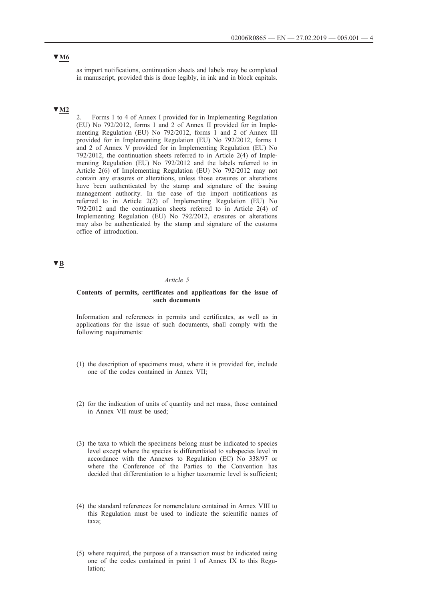# **▼M6**

as import notifications, continuation sheets and labels may be completed in manuscript, provided this is done legibly, in ink and in block capitals.

# **▼M2**

2. Forms 1 to 4 of Annex I provided for in Implementing Regulation (EU) No 792/2012, forms 1 and 2 of Annex II provided for in Implementing Regulation (EU) No 792/2012, forms 1 and 2 of Annex III provided for in Implementing Regulation (EU) No 792/2012, forms 1 and 2 of Annex V provided for in Implementing Regulation (EU) No 792/2012, the continuation sheets referred to in Article 2(4) of Implementing Regulation (EU) No 792/2012 and the labels referred to in Article 2(6) of Implementing Regulation (EU) No 792/2012 may not contain any erasures or alterations, unless those erasures or alterations have been authenticated by the stamp and signature of the issuing management authority. In the case of the import notifications as referred to in Article 2(2) of Implementing Regulation (EU) No 792/2012 and the continuation sheets referred to in Article 2(4) of Implementing Regulation (EU) No 792/2012, erasures or alterations may also be authenticated by the stamp and signature of the customs office of introduction.

# **▼B**

### *Article 5*

# **Contents of permits, certificates and applications for the issue of such documents**

Information and references in permits and certificates, as well as in applications for the issue of such documents, shall comply with the following requirements:

- (1) the description of specimens must, where it is provided for, include one of the codes contained in Annex VII;
- (2) for the indication of units of quantity and net mass, those contained in Annex VII must be used;
- (3) the taxa to which the specimens belong must be indicated to species level except where the species is differentiated to subspecies level in accordance with the Annexes to Regulation (EC) No 338/97 or where the Conference of the Parties to the Convention has decided that differentiation to a higher taxonomic level is sufficient;
- (4) the standard references for nomenclature contained in Annex VIII to this Regulation must be used to indicate the scientific names of taxa;
- (5) where required, the purpose of a transaction must be indicated using one of the codes contained in point 1 of Annex IX to this Regulation;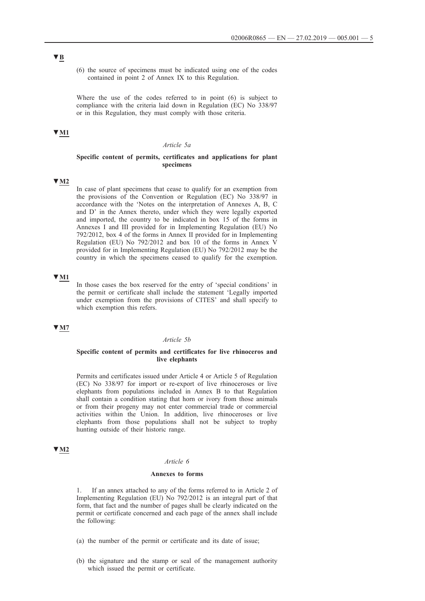(6) the source of specimens must be indicated using one of the codes contained in point 2 of Annex IX to this Regulation.

Where the use of the codes referred to in point (6) is subject to compliance with the criteria laid down in Regulation (EC) No 338/97 or in this Regulation, they must comply with those criteria.

# **▼M1**

#### *Article 5a*

#### **Specific content of permits, certificates and applications for plant specimens**

# **▼M2**

In case of plant specimens that cease to qualify for an exemption from the provisions of the Convention or Regulation (EC) No 338/97 in accordance with the 'Notes on the interpretation of Annexes A, B, C and D' in the Annex thereto, under which they were legally exported and imported, the country to be indicated in box 15 of the forms in Annexes I and III provided for in Implementing Regulation (EU) No 792/2012, box 4 of the forms in Annex II provided for in Implementing Regulation (EU) No 792/2012 and box 10 of the forms in Annex V provided for in Implementing Regulation (EU) No 792/2012 may be the country in which the specimens ceased to qualify for the exemption.

# **▼M1**

In those cases the box reserved for the entry of 'special conditions' in the permit or certificate shall include the statement 'Legally imported under exemption from the provisions of CITES' and shall specify to which exemption this refers.

# **▼M7**

#### *Article 5b*

#### **Specific content of permits and certificates for live rhinoceros and live elephants**

Permits and certificates issued under Article 4 or Article 5 of Regulation (EC) No 338/97 for import or re-export of live rhinoceroses or live elephants from populations included in Annex B to that Regulation shall contain a condition stating that horn or ivory from those animals or from their progeny may not enter commercial trade or commercial activities within the Union. In addition, live rhinoceroses or live elephants from those populations shall not be subject to trophy hunting outside of their historic range.

# **▼M2**

#### *Article 6*

# **Annexes to forms**

If an annex attached to any of the forms referred to in Article 2 of Implementing Regulation (EU) No 792/2012 is an integral part of that form, that fact and the number of pages shall be clearly indicated on the permit or certificate concerned and each page of the annex shall include the following:

- (a) the number of the permit or certificate and its date of issue;
- (b) the signature and the stamp or seal of the management authority which issued the permit or certificate.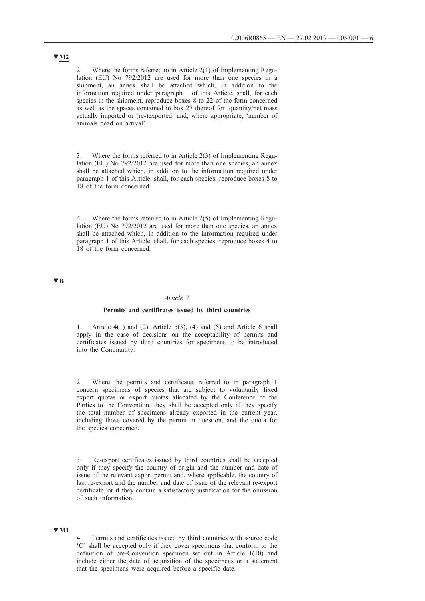2. Where the forms referred to in Article 2(1) of Implementing Regulation (EU) No 792/2012 are used for more than one species in a shipment, an annex shall be attached which, in addition to the information required under paragraph 1 of this Article, shall, for each species in the shipment, reproduce boxes 8 to 22 of the form concerned as well as the spaces contained in box 27 thereof for 'quantity/net mass actually imported or (re-)exported' and, where appropriate, 'number of animals dead on arrival'.

3. Where the forms referred to in Article 2(3) of Implementing Regulation (EU) No 792/2012 are used for more than one species, an annex shall be attached which, in addition to the information required under paragraph 1 of this Article, shall, for each species, reproduce boxes 8 to 18 of the form concerned.

4. Where the forms referred to in Article 2(5) of Implementing Regulation (EU) No 792/2012 are used for more than one species, an annex shall be attached which, in addition to the information required under paragraph 1 of this Article, shall, for each species, reproduce boxes 4 to 18 of the form concerned.

# **▼B**

#### *Article 7*

#### **Permits and certificates issued by third countries**

1. Article  $4(1)$  and  $(2)$ , Article  $5(3)$ ,  $(4)$  and  $(5)$  and Article 6 shall apply in the case of decisions on the acceptability of permits and certificates issued by third countries for specimens to be introduced into the Community.

2. Where the permits and certificates referred to in paragraph 1 concern specimens of species that are subject to voluntarily fixed export quotas or export quotas allocated by the Conference of the Parties to the Convention, they shall be accepted only if they specify the total number of specimens already exported in the current year, including those covered by the permit in question, and the quota for the species concerned.

3. Re-export certificates issued by third countries shall be accepted only if they specify the country of origin and the number and date of issue of the relevant export permit and, where applicable, the country of last re-export and the number and date of issue of the relevant re-export certificate, or if they contain a satisfactory justification for the omission of such information.

# **▼M1**

4. Permits and certificates issued by third countries with source code 'O' shall be accepted only if they cover specimens that conform to the definition of pre-Convention specimen set out in Article 1(10) and include either the date of acquisition of the specimens or a statement that the specimens were acquired before a specific date.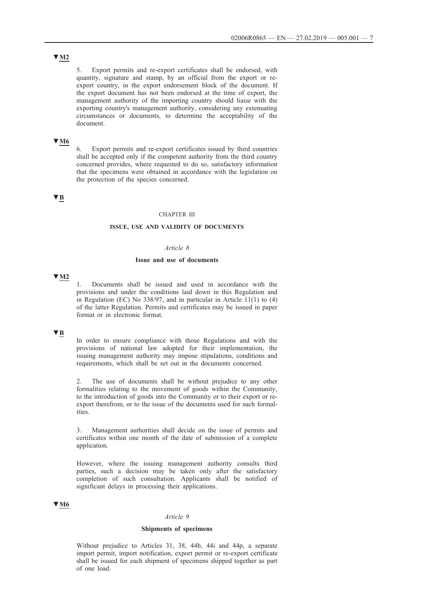# **▼M2**

5. Export permits and re-export certificates shall be endorsed, with quantity, signature and stamp, by an official from the export or reexport country, in the export endorsement block of the document. If the export document has not been endorsed at the time of export, the management authority of the importing country should liaise with the exporting country's management authority, considering any extenuating circumstances or documents, to determine the acceptability of the document.

# **▼M6**

6. Export permits and re-export certificates issued by third countries shall be accepted only if the competent authority from the third country concerned provides, where requested to do so, satisfactory information that the specimens were obtained in accordance with the legislation on the protection of the species concerned.

# **▼B**

# CHAPTER III

# **ISSUE, USE AND VALIDITY OF DOCUMENTS**

# *Article 8*

#### **Issue and use of documents**

# **▼M2**

1. Documents shall be issued and used in accordance with the provisions and under the conditions laid down in this Regulation and in Regulation (EC) No 338/97, and in particular in Article 11(1) to (4) of the latter Regulation. Permits and certificates may be issued in paper format or in electronic format.

# **▼B**

In order to ensure compliance with those Regulations and with the provisions of national law adopted for their implementation, the issuing management authority may impose stipulations, conditions and requirements, which shall be set out in the documents concerned.

2. The use of documents shall be without prejudice to any other formalities relating to the movement of goods within the Community, to the introduction of goods into the Community or to their export or reexport therefrom, or to the issue of the documents used for such formalities.

3. Management authorities shall decide on the issue of permits and certificates within one month of the date of submission of a complete application.

However, where the issuing management authority consults third parties, such a decision may be taken only after the satisfactory completion of such consultation. Applicants shall be notified of significant delays in processing their applications.

# **▼M6**

#### *Article 9*

### **Shipments of specimens**

Without prejudice to Articles 31, 38, 44b, 44i and 44p, a separate import permit, import notification, export permit or re-export certificate shall be issued for each shipment of specimens shipped together as part of one load.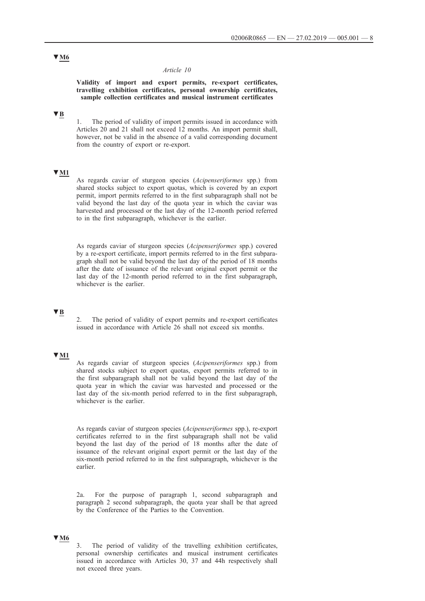### *Article 10*

### **Validity of import and export permits, re-export certificates, travelling exhibition certificates, personal ownership certificates, sample collection certificates and musical instrument certificates**

# **▼B**

1. The period of validity of import permits issued in accordance with Articles 20 and 21 shall not exceed 12 months. An import permit shall, however, not be valid in the absence of a valid corresponding document from the country of export or re-export.

# **▼M1**

As regards caviar of sturgeon species (*Acipenseriformes* spp.) from shared stocks subject to export quotas, which is covered by an export permit, import permits referred to in the first subparagraph shall not be valid beyond the last day of the quota year in which the caviar was harvested and processed or the last day of the 12-month period referred to in the first subparagraph, whichever is the earlier.

As regards caviar of sturgeon species (*Acipenseriformes* spp.) covered by a re-export certificate, import permits referred to in the first subparagraph shall not be valid beyond the last day of the period of 18 months after the date of issuance of the relevant original export permit or the last day of the 12-month period referred to in the first subparagraph, whichever is the earlier.

# **▼B**

2. The period of validity of export permits and re-export certificates issued in accordance with Article 26 shall not exceed six months.

# **▼M1**

As regards caviar of sturgeon species (*Acipenseriformes* spp.) from shared stocks subject to export quotas, export permits referred to in the first subparagraph shall not be valid beyond the last day of the quota year in which the caviar was harvested and processed or the last day of the six-month period referred to in the first subparagraph, whichever is the earlier.

As regards caviar of sturgeon species (*Acipenseriformes* spp.), re-export certificates referred to in the first subparagraph shall not be valid beyond the last day of the period of 18 months after the date of issuance of the relevant original export permit or the last day of the six-month period referred to in the first subparagraph, whichever is the earlier.

2a. For the purpose of paragraph 1, second subparagraph and paragraph 2 second subparagraph, the quota year shall be that agreed by the Conference of the Parties to the Convention.

# **▼M6**

3. The period of validity of the travelling exhibition certificates, personal ownership certificates and musical instrument certificates issued in accordance with Articles 30, 37 and 44h respectively shall not exceed three years.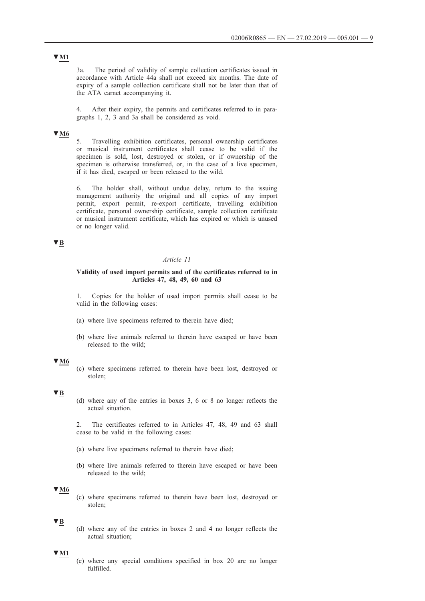# **▼M1**

3a. The period of validity of sample collection certificates issued in accordance with Article 44a shall not exceed six months. The date of expiry of a sample collection certificate shall not be later than that of the ATA carnet accompanying it.

4. After their expiry, the permits and certificates referred to in paragraphs 1, 2, 3 and 3a shall be considered as void.

### **▼M6**

5. Travelling exhibition certificates, personal ownership certificates or musical instrument certificates shall cease to be valid if the specimen is sold, lost, destroyed or stolen, or if ownership of the specimen is otherwise transferred, or, in the case of a live specimen, if it has died, escaped or been released to the wild.

6. The holder shall, without undue delay, return to the issuing management authority the original and all copies of any import permit, export permit, re-export certificate, travelling exhibition certificate, personal ownership certificate, sample collection certificate or musical instrument certificate, which has expired or which is unused or no longer valid.

# **▼B**

# *Article 11*

### **Validity of used import permits and of the certificates referred to in Articles 47, 48, 49, 60 and 63**

1. Copies for the holder of used import permits shall cease to be valid in the following cases:

- (a) where live specimens referred to therein have died;
- (b) where live animals referred to therein have escaped or have been released to the wild;

#### **▼M6**

(c) where specimens referred to therein have been lost, destroyed or stolen;

# **▼B**

(d) where any of the entries in boxes 3, 6 or 8 no longer reflects the actual situation.

2. The certificates referred to in Articles 47, 48, 49 and 63 shall cease to be valid in the following cases:

- (a) where live specimens referred to therein have died;
- (b) where live animals referred to therein have escaped or have been released to the wild;

# **▼M6**

(c) where specimens referred to therein have been lost, destroyed or stolen;

# **▼B**

(d) where any of the entries in boxes 2 and 4 no longer reflects the actual situation;

### **▼M1**

(e) where any special conditions specified in box 20 are no longer fulfilled.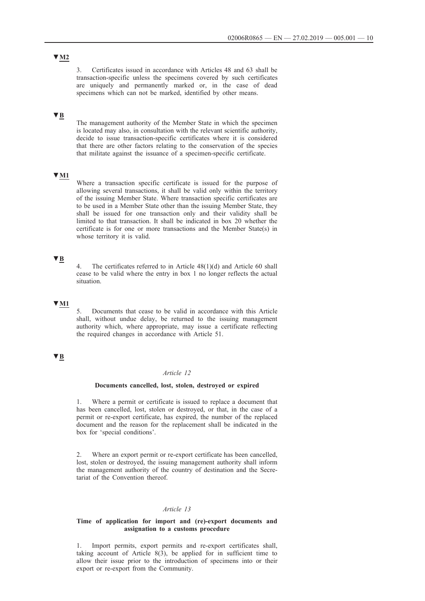**▼M2**

3. Certificates issued in accordance with Articles 48 and 63 shall be transaction-specific unless the specimens covered by such certificates are uniquely and permanently marked or, in the case of dead specimens which can not be marked, identified by other means.

# **▼B**

The management authority of the Member State in which the specimen is located may also, in consultation with the relevant scientific authority, decide to issue transaction-specific certificates where it is considered that there are other factors relating to the conservation of the species that militate against the issuance of a specimen-specific certificate.

# **▼M1**

Where a transaction specific certificate is issued for the purpose of allowing several transactions, it shall be valid only within the territory of the issuing Member State. Where transaction specific certificates are to be used in a Member State other than the issuing Member State, they shall be issued for one transaction only and their validity shall be limited to that transaction. It shall be indicated in box 20 whether the certificate is for one or more transactions and the Member State(s) in whose territory it is valid.

# **▼B**

The certificates referred to in Article  $48(1)(d)$  and Article 60 shall cease to be valid where the entry in box 1 no longer reflects the actual situation.

# **▼M1**

5. Documents that cease to be valid in accordance with this Article shall, without undue delay, be returned to the issuing management authority which, where appropriate, may issue a certificate reflecting the required changes in accordance with Article 51.

# **▼B**

#### *Article 12*

# **Documents cancelled, lost, stolen, destroyed or expired**

1. Where a permit or certificate is issued to replace a document that has been cancelled, lost, stolen or destroyed, or that, in the case of a permit or re-export certificate, has expired, the number of the replaced document and the reason for the replacement shall be indicated in the box for 'special conditions'.

2. Where an export permit or re-export certificate has been cancelled, lost, stolen or destroyed, the issuing management authority shall inform the management authority of the country of destination and the Secretariat of the Convention thereof.

#### *Article 13*

### **Time of application for import and (re)-export documents and assignation to a customs procedure**

1. Import permits, export permits and re-export certificates shall, taking account of Article  $8(3)$ , be applied for in sufficient time to allow their issue prior to the introduction of specimens into or their export or re-export from the Community.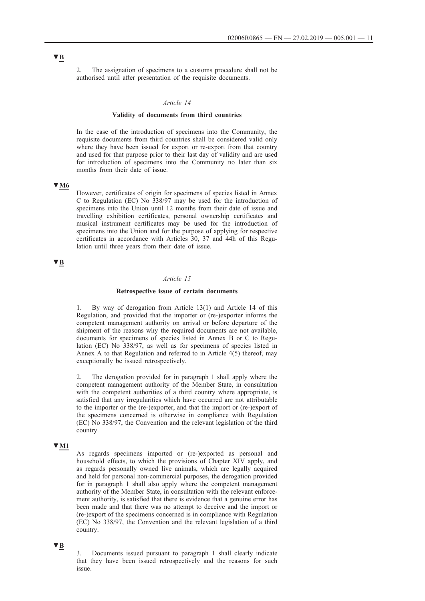2. The assignation of specimens to a customs procedure shall not be authorised until after presentation of the requisite documents.

#### *Article 14*

#### **Validity of documents from third countries**

In the case of the introduction of specimens into the Community, the requisite documents from third countries shall be considered valid only where they have been issued for export or re-export from that country and used for that purpose prior to their last day of validity and are used for introduction of specimens into the Community no later than six months from their date of issue.

# **▼M6**

However, certificates of origin for specimens of species listed in Annex C to Regulation (EC) No 338/97 may be used for the introduction of specimens into the Union until 12 months from their date of issue and travelling exhibition certificates, personal ownership certificates and musical instrument certificates may be used for the introduction of specimens into the Union and for the purpose of applying for respective certificates in accordance with Articles 30, 37 and 44h of this Regulation until three years from their date of issue.

# **▼B**

# *Article 15*

### **Retrospective issue of certain documents**

By way of derogation from Article 13(1) and Article 14 of this Regulation, and provided that the importer or (re-)exporter informs the competent management authority on arrival or before departure of the shipment of the reasons why the required documents are not available, documents for specimens of species listed in Annex B or C to Regulation (EC) No 338/97, as well as for specimens of species listed in Annex A to that Regulation and referred to in Article 4(5) thereof, may exceptionally be issued retrospectively.

2. The derogation provided for in paragraph 1 shall apply where the competent management authority of the Member State, in consultation with the competent authorities of a third country where appropriate, is satisfied that any irregularities which have occurred are not attributable to the importer or the (re-)exporter, and that the import or (re-)export of the specimens concerned is otherwise in compliance with Regulation (EC) No 338/97, the Convention and the relevant legislation of the third country.

#### **▼M1**

As regards specimens imported or (re-)exported as personal and household effects, to which the provisions of Chapter XIV apply, and as regards personally owned live animals, which are legally acquired and held for personal non-commercial purposes, the derogation provided for in paragraph 1 shall also apply where the competent management authority of the Member State, in consultation with the relevant enforcement authority, is satisfied that there is evidence that a genuine error has been made and that there was no attempt to deceive and the import or (re-)export of the specimens concerned is in compliance with Regulation (EC) No 338/97, the Convention and the relevant legislation of a third country.

# **▼B**

3. Documents issued pursuant to paragraph 1 shall clearly indicate that they have been issued retrospectively and the reasons for such issue.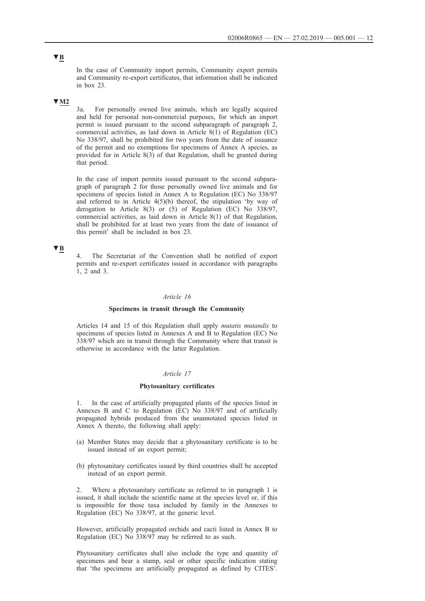In the case of Community import permits, Community export permits and Community re-export certificates, that information shall be indicated in box 23.

# **▼M2**

3a. For personally owned live animals, which are legally acquired and held for personal non-commercial purposes, for which an import permit is issued pursuant to the second subparagraph of paragraph 2, commercial activities, as laid down in Article 8(1) of Regulation (EC) No 338/97, shall be prohibited for two years from the date of issuance of the permit and no exemptions for specimens of Annex A species, as provided for in Article 8(3) of that Regulation, shall be granted during that period.

In the case of import permits issued pursuant to the second subparagraph of paragraph 2 for those personally owned live animals and for specimens of species listed in Annex A to Regulation (EC) No 338/97 and referred to in Article  $4(5)(b)$  thereof, the stipulation 'by way of derogation to Article 8(3) or (5) of Regulation (EC) No 338/97, commercial activities, as laid down in Article 8(1) of that Regulation, shall be prohibited for at least two years from the date of issuance of this permit' shall be included in box 23.

# **▼B**

The Secretariat of the Convention shall be notified of export permits and re-export certificates issued in accordance with paragraphs 1, 2 and 3.

# *Article 16*

### **Specimens in transit through the Community**

Articles 14 and 15 of this Regulation shall apply *mutatis mutandis* to specimens of species listed in Annexes A and B to Regulation (EC) No 338/97 which are in transit through the Community where that transit is otherwise in accordance with the latter Regulation.

# *Article 17*

#### **Phytosanitary certificates**

1. In the case of artificially propagated plants of the species listed in Annexes B and C to Regulation (EC) No 338/97 and of artificially propagated hybrids produced from the unannotated species listed in Annex A thereto, the following shall apply:

- (a) Member States may decide that a phytosanitary certificate is to be issued instead of an export permit;
- (b) phytosanitary certificates issued by third countries shall be accepted instead of an export permit.

2. Where a phytosanitary certificate as referred to in paragraph 1 is issued, it shall include the scientific name at the species level or, if this is impossible for those taxa included by family in the Annexes to Regulation (EC) No 338/97, at the generic level.

However, artificially propagated orchids and cacti listed in Annex B to Regulation (EC) No 338/97 may be referred to as such.

Phytosanitary certificates shall also include the type and quantity of specimens and bear a stamp, seal or other specific indication stating that 'the specimens are artificially propagated as defined by CITES'.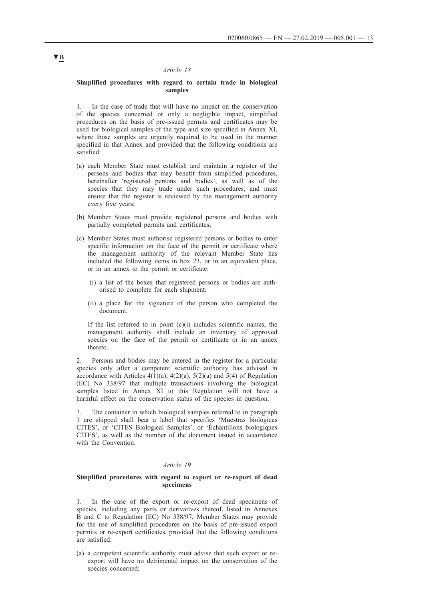### *Article 18*

### **Simplified procedures with regard to certain trade in biological samples**

1. In the case of trade that will have no impact on the conservation of the species concerned or only a negligible impact, simplified procedures on the basis of pre-issued permits and certificates may be used for biological samples of the type and size specified in Annex XI, where those samples are urgently required to be used in the manner specified in that Annex and provided that the following conditions are satisfied:

- (a) each Member State must establish and maintain a register of the persons and bodies that may benefit from simplified procedures, hereinafter 'registered persons and bodies', as well as of the species that they may trade under such procedures, and must ensure that the register is reviewed by the management authority every five years;
- (b) Member States must provide registered persons and bodies with partially completed permits and certificates;
- (c) Member States must authorise registered persons or bodies to enter specific information on the face of the permit or certificate where the management authority of the relevant Member State has included the following items in box 23, or in an equivalent place, or in an annex to the permit or certificate:
	- (i) a list of the boxes that registered persons or bodies are authorised to complete for each shipment;
	- (ii) a place for the signature of the person who completed the document.

If the list referred to in point  $(c)(i)$  includes scientific names, the management authority shall include an inventory of approved species on the face of the permit or certificate or in an annex thereto.

2. Persons and bodies may be entered in the register for a particular species only after a competent scientific authority has advised in accordance with Articles  $4(1)(a)$ ,  $4(2)(a)$ ,  $5(2)(a)$  and  $5(4)$  of Regulation (EC) No 338/97 that multiple transactions involving the biological samples listed in Annex XI to this Regulation will not have a harmful effect on the conservation status of the species in question.

The container in which biological samples referred to in paragraph 1 are shipped shall bear a label that specifies 'Muestras biológicas CITES', or 'CITES Biological Samples', or 'Échantillons biologiques CITES', as well as the number of the document issued in accordance with the Convention.

### *Article 19*

#### **Simplified procedures with regard to export or re-export of dead specimens**

1. In the case of the export or re-export of dead specimens of species, including any parts or derivatives thereof, listed in Annexes B and C to Regulation (EC) No 338/97, Member States may provide for the use of simplified procedures on the basis of pre-issued export permits or re-export certificates, provided that the following conditions are satisfied:

(a) a competent scientific authority must advise that such export or reexport will have no detrimental impact on the conservation of the species concerned;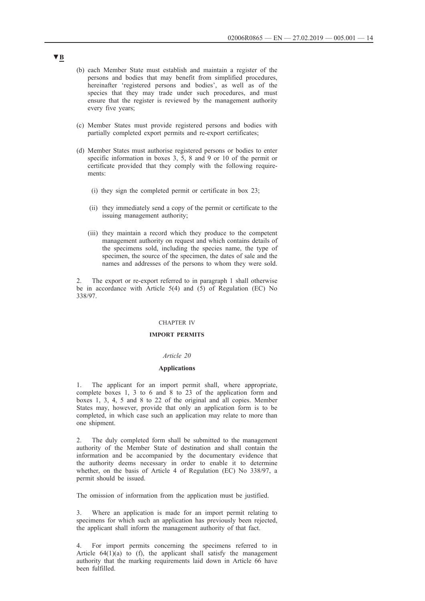- (b) each Member State must establish and maintain a register of the persons and bodies that may benefit from simplified procedures, hereinafter 'registered persons and bodies', as well as of the species that they may trade under such procedures, and must ensure that the register is reviewed by the management authority every five years;
- (c) Member States must provide registered persons and bodies with partially completed export permits and re-export certificates;
- (d) Member States must authorise registered persons or bodies to enter specific information in boxes 3, 5, 8 and 9 or 10 of the permit or certificate provided that they comply with the following requirements:
	- (i) they sign the completed permit or certificate in box 23;
	- (ii) they immediately send a copy of the permit or certificate to the issuing management authority;
	- (iii) they maintain a record which they produce to the competent management authority on request and which contains details of the specimens sold, including the species name, the type of specimen, the source of the specimen, the dates of sale and the names and addresses of the persons to whom they were sold.

2. The export or re-export referred to in paragraph 1 shall otherwise be in accordance with Article 5(4) and (5) of Regulation (EC) No 338/97.

### CHAPTER IV

### **IMPORT PERMITS**

#### *Article 20*

#### **Applications**

1. The applicant for an import permit shall, where appropriate, complete boxes 1, 3 to 6 and 8 to 23 of the application form and boxes 1, 3, 4, 5 and 8 to 22 of the original and all copies. Member States may, however, provide that only an application form is to be completed, in which case such an application may relate to more than one shipment.

2. The duly completed form shall be submitted to the management authority of the Member State of destination and shall contain the information and be accompanied by the documentary evidence that the authority deems necessary in order to enable it to determine whether, on the basis of Article 4 of Regulation (EC) No 338/97, a permit should be issued.

The omission of information from the application must be justified.

3. Where an application is made for an import permit relating to specimens for which such an application has previously been rejected, the applicant shall inform the management authority of that fact.

4. For import permits concerning the specimens referred to in Article  $64(1)(a)$  to (f), the applicant shall satisfy the management authority that the marking requirements laid down in Article 66 have been fulfilled.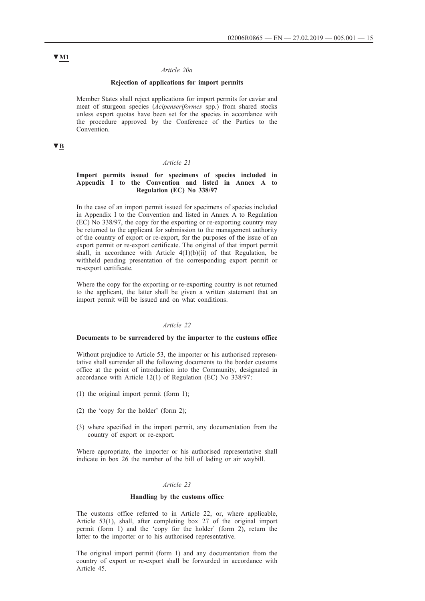#### *Article 20a*

### **Rejection of applications for import permits**

Member States shall reject applications for import permits for caviar and meat of sturgeon species (*Acipenseriformes* spp.) from shared stocks unless export quotas have been set for the species in accordance with the procedure approved by the Conference of the Parties to the Convention.

# **▼B**

#### *Article 21*

# **Import permits issued for specimens of species included in Appendix I to the Convention and listed in Annex A to Regulation (EC) No 338/97**

In the case of an import permit issued for specimens of species included in Appendix I to the Convention and listed in Annex A to Regulation (EC) No 338/97, the copy for the exporting or re-exporting country may be returned to the applicant for submission to the management authority of the country of export or re-export, for the purposes of the issue of an export permit or re-export certificate. The original of that import permit shall, in accordance with Article  $4(1)(b)(ii)$  of that Regulation, be withheld pending presentation of the corresponding export permit or re-export certificate.

Where the copy for the exporting or re-exporting country is not returned to the applicant, the latter shall be given a written statement that an import permit will be issued and on what conditions.

# *Article 22*

#### **Documents to be surrendered by the importer to the customs office**

Without prejudice to Article 53, the importer or his authorised representative shall surrender all the following documents to the border customs office at the point of introduction into the Community, designated in accordance with Article 12(1) of Regulation (EC) No 338/97:

- (1) the original import permit (form 1);
- (2) the 'copy for the holder' (form 2);
- (3) where specified in the import permit, any documentation from the country of export or re-export.

Where appropriate, the importer or his authorised representative shall indicate in box 26 the number of the bill of lading or air waybill.

#### *Article 23*

### **Handling by the customs office**

The customs office referred to in Article 22, or, where applicable, Article 53(1), shall, after completing box 27 of the original import permit (form 1) and the 'copy for the holder' (form 2), return the latter to the importer or to his authorised representative.

The original import permit (form 1) and any documentation from the country of export or re-export shall be forwarded in accordance with Article 45.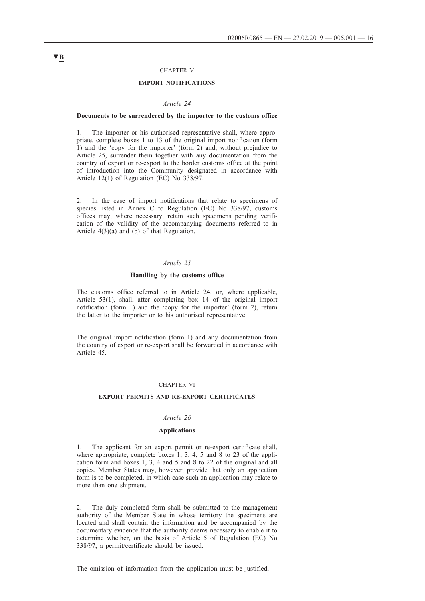### CHAPTER V

# **IMPORT NOTIFICATIONS**

#### *Article 24*

### **Documents to be surrendered by the importer to the customs office**

1. The importer or his authorised representative shall, where appropriate, complete boxes 1 to 13 of the original import notification (form 1) and the 'copy for the importer' (form 2) and, without prejudice to Article 25, surrender them together with any documentation from the country of export or re-export to the border customs office at the point of introduction into the Community designated in accordance with Article 12(1) of Regulation (EC) No 338/97.

2. In the case of import notifications that relate to specimens of species listed in Annex C to Regulation (EC) No 338/97, customs offices may, where necessary, retain such specimens pending verification of the validity of the accompanying documents referred to in Article  $4(3)(a)$  and  $(b)$  of that Regulation.

### *Article 25*

#### **Handling by the customs office**

The customs office referred to in Article 24, or, where applicable, Article 53(1), shall, after completing box 14 of the original import notification (form 1) and the 'copy for the importer' (form 2), return the latter to the importer or to his authorised representative.

The original import notification (form 1) and any documentation from the country of export or re-export shall be forwarded in accordance with Article 45.

### CHAPTER VI

#### **EXPORT PERMITS AND RE-EXPORT CERTIFICATES**

# *Article 26*

#### **Applications**

1. The applicant for an export permit or re-export certificate shall, where appropriate, complete boxes 1, 3, 4, 5 and 8 to 23 of the application form and boxes 1, 3, 4 and 5 and 8 to 22 of the original and all copies. Member States may, however, provide that only an application form is to be completed, in which case such an application may relate to more than one shipment.

2. The duly completed form shall be submitted to the management authority of the Member State in whose territory the specimens are located and shall contain the information and be accompanied by the documentary evidence that the authority deems necessary to enable it to determine whether, on the basis of Article 5 of Regulation (EC) No 338/97, a permit/certificate should be issued.

The omission of information from the application must be justified.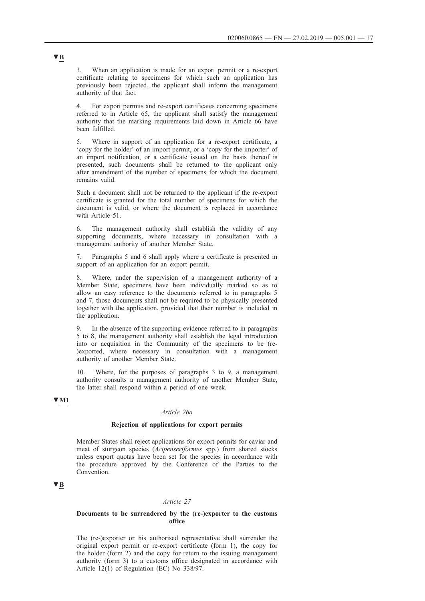3. When an application is made for an export permit or a re-export certificate relating to specimens for which such an application has previously been rejected, the applicant shall inform the management authority of that fact.

4. For export permits and re-export certificates concerning specimens referred to in Article 65, the applicant shall satisfy the management authority that the marking requirements laid down in Article 66 have been fulfilled.

5. Where in support of an application for a re-export certificate, a 'copy for the holder' of an import permit, or a 'copy for the importer' of an import notification, or a certificate issued on the basis thereof is presented, such documents shall be returned to the applicant only after amendment of the number of specimens for which the document remains valid.

Such a document shall not be returned to the applicant if the re-export certificate is granted for the total number of specimens for which the document is valid, or where the document is replaced in accordance with Article 51.

6. The management authority shall establish the validity of any supporting documents, where necessary in consultation with a management authority of another Member State.

7. Paragraphs 5 and 6 shall apply where a certificate is presented in support of an application for an export permit.

8. Where, under the supervision of a management authority of a Member State, specimens have been individually marked so as to allow an easy reference to the documents referred to in paragraphs 5 and 7, those documents shall not be required to be physically presented together with the application, provided that their number is included in the application.

9. In the absence of the supporting evidence referred to in paragraphs 5 to 8, the management authority shall establish the legal introduction into or acquisition in the Community of the specimens to be (re- )exported, where necessary in consultation with a management authority of another Member State.

10. Where, for the purposes of paragraphs 3 to 9, a management authority consults a management authority of another Member State, the latter shall respond within a period of one week.

# **▼M1**

### *Article 26a*

# **Rejection of applications for export permits**

Member States shall reject applications for export permits for caviar and meat of sturgeon species (*Acipenseriformes* spp.) from shared stocks unless export quotas have been set for the species in accordance with the procedure approved by the Conference of the Parties to the Convention.

# **▼B**

### *Article 27*

### **Documents to be surrendered by the (re-)exporter to the customs office**

The (re-)exporter or his authorised representative shall surrender the original export permit or re-export certificate (form 1), the copy for the holder (form 2) and the copy for return to the issuing management authority (form 3) to a customs office designated in accordance with Article 12(1) of Regulation (EC) No 338/97.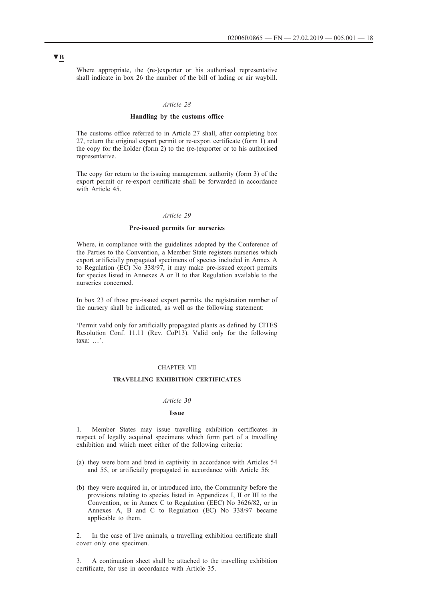Where appropriate, the (re-)exporter or his authorised representative shall indicate in box 26 the number of the bill of lading or air waybill.

#### *Article 28*

#### **Handling by the customs office**

The customs office referred to in Article 27 shall, after completing box 27, return the original export permit or re-export certificate (form 1) and the copy for the holder (form 2) to the (re-)exporter or to his authorised representative.

The copy for return to the issuing management authority (form 3) of the export permit or re-export certificate shall be forwarded in accordance with Article 45.

# *Article 29*

#### **Pre-issued permits for nurseries**

Where, in compliance with the guidelines adopted by the Conference of the Parties to the Convention, a Member State registers nurseries which export artificially propagated specimens of species included in Annex A to Regulation (EC) No 338/97, it may make pre-issued export permits for species listed in Annexes A or B to that Regulation available to the nurseries concerned.

In box 23 of those pre-issued export permits, the registration number of the nursery shall be indicated, as well as the following statement:

'Permit valid only for artificially propagated plants as defined by CITES Resolution Conf. 11.11 (Rev. CoP13). Valid only for the following taxa: …'.

### CHAPTER VII

# **TRAVELLING EXHIBITION CERTIFICATES**

#### *Article 30*

### **Issue**

1. Member States may issue travelling exhibition certificates in respect of legally acquired specimens which form part of a travelling exhibition and which meet either of the following criteria:

- (a) they were born and bred in captivity in accordance with Articles 54 and 55, or artificially propagated in accordance with Article 56;
- (b) they were acquired in, or introduced into, the Community before the provisions relating to species listed in Appendices I, II or III to the Convention, or in Annex C to Regulation (EEC) No 3626/82, or in Annexes A, B and C to Regulation (EC) No 338/97 became applicable to them.

2. In the case of live animals, a travelling exhibition certificate shall cover only one specimen.

3. A continuation sheet shall be attached to the travelling exhibition certificate, for use in accordance with Article 35.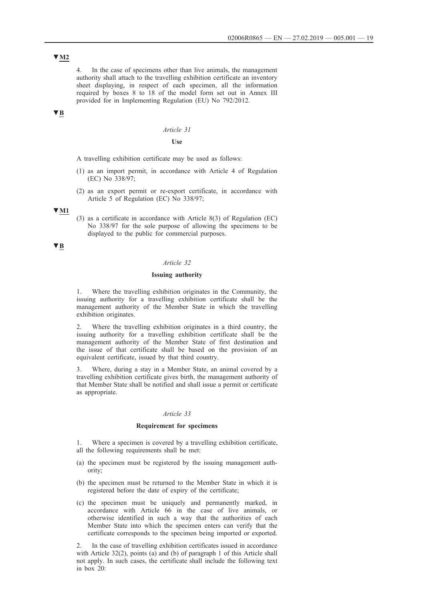**▼M2**

4. In the case of specimens other than live animals, the management authority shall attach to the travelling exhibition certificate an inventory sheet displaying, in respect of each specimen, all the information required by boxes 8 to 18 of the model form set out in Annex III provided for in Implementing Regulation (EU) No 792/2012.

# **▼B**

# *Article 31*

#### **Use**

A travelling exhibition certificate may be used as follows:

- (1) as an import permit, in accordance with Article 4 of Regulation (EC) No 338/97;
- (2) as an export permit or re-export certificate, in accordance with Article 5 of Regulation (EC) No 338/97;

### **▼M1**

(3) as a certificate in accordance with Article 8(3) of Regulation (EC) No 338/97 for the sole purpose of allowing the specimens to be displayed to the public for commercial purposes.

**▼B**

# *Article 32*

#### **Issuing authority**

1. Where the travelling exhibition originates in the Community, the issuing authority for a travelling exhibition certificate shall be the management authority of the Member State in which the travelling exhibition originates.

2. Where the travelling exhibition originates in a third country, the issuing authority for a travelling exhibition certificate shall be the management authority of the Member State of first destination and the issue of that certificate shall be based on the provision of an equivalent certificate, issued by that third country.

3. Where, during a stay in a Member State, an animal covered by a travelling exhibition certificate gives birth, the management authority of that Member State shall be notified and shall issue a permit or certificate as appropriate.

#### *Article 33*

### **Requirement for specimens**

1. Where a specimen is covered by a travelling exhibition certificate, all the following requirements shall be met:

- (a) the specimen must be registered by the issuing management authority;
- (b) the specimen must be returned to the Member State in which it is registered before the date of expiry of the certificate;
- (c) the specimen must be uniquely and permanently marked, in accordance with Article 66 in the case of live animals, or otherwise identified in such a way that the authorities of each Member State into which the specimen enters can verify that the certificate corresponds to the specimen being imported or exported.

2. In the case of travelling exhibition certificates issued in accordance with Article 32(2), points (a) and (b) of paragraph 1 of this Article shall not apply. In such cases, the certificate shall include the following text in box 20: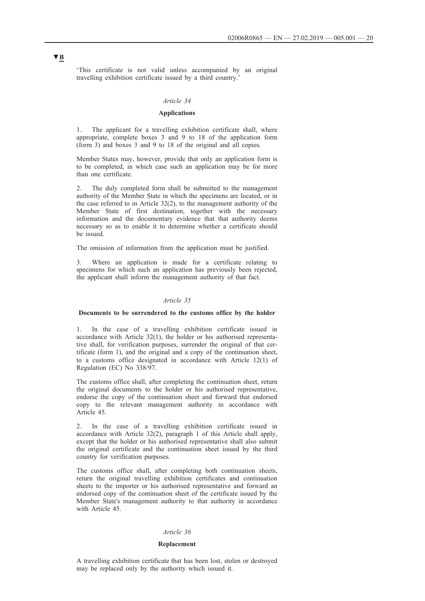'This certificate is not valid unless accompanied by an original travelling exhibition certificate issued by a third country.'

# *Article 34*

# **Applications**

The applicant for a travelling exhibition certificate shall, where appropriate, complete boxes 3 and 9 to 18 of the application form (form 3) and boxes 3 and 9 to 18 of the original and all copies.

Member States may, however, provide that only an application form is to be completed, in which case such an application may be for more than one certificate.

2. The duly completed form shall be submitted to the management authority of the Member State in which the specimens are located, or in the case referred to in Article 32(2), to the management authority of the Member State of first destination, together with the necessary information and the documentary evidence that that authority deems necessary so as to enable it to determine whether a certificate should be issued.

The omission of information from the application must be justified.

3. Where an application is made for a certificate relating to specimens for which such an application has previously been rejected, the applicant shall inform the management authority of that fact.

# *Article 35*

### **Documents to be surrendered to the customs office by the holder**

1. In the case of a travelling exhibition certificate issued in accordance with Article 32(1), the holder or his authorised representative shall, for verification purposes, surrender the original of that certificate (form 1), and the original and a copy of the continuation sheet, to a customs office designated in accordance with Article 12(1) of Regulation (EC) No 338/97.

The customs office shall, after completing the continuation sheet, return the original documents to the holder or his authorised representative, endorse the copy of the continuation sheet and forward that endorsed copy to the relevant management authority in accordance with Article 45.

2. In the case of a travelling exhibition certificate issued in accordance with Article 32(2), paragraph 1 of this Article shall apply, except that the holder or his authorised representative shall also submit the original certificate and the continuation sheet issued by the third country for verification purposes.

The customs office shall, after completing both continuation sheets, return the original travelling exhibition certificates and continuation sheets to the importer or his authorised representative and forward an endorsed copy of the continuation sheet of the certificate issued by the Member State's management authority to that authority in accordance with Article 45.

# *Article 36*

#### **Replacement**

A travelling exhibition certificate that has been lost, stolen or destroyed may be replaced only by the authority which issued it.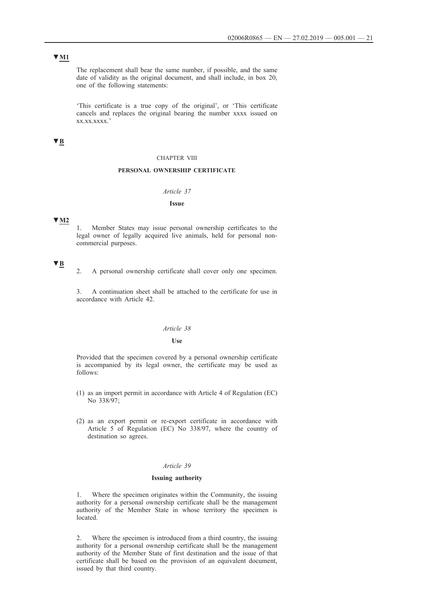# **▼M1**

The replacement shall bear the same number, if possible, and the same date of validity as the original document, and shall include, in box 20, one of the following statements:

'This certificate is a true copy of the original', or 'This certificate cancels and replaces the original bearing the number xxxx issued on xx.xx.xxxx.'

# **▼B**

#### CHAPTER VIII

# **PERSONAL OWNERSHIP CERTIFICATE**

# *Article 37*

#### **Issue**

# **▼M2**

1. Member States may issue personal ownership certificates to the legal owner of legally acquired live animals, held for personal noncommercial purposes.

# **▼B**

2. A personal ownership certificate shall cover only one specimen.

3. A continuation sheet shall be attached to the certificate for use in accordance with Article 42.

### *Article 38*

#### **Use**

Provided that the specimen covered by a personal ownership certificate is accompanied by its legal owner, the certificate may be used as follows:

- (1) as an import permit in accordance with Article 4 of Regulation (EC) No 338/97;
- (2) as an export permit or re-export certificate in accordance with Article 5 of Regulation (EC) No 338/97, where the country of destination so agrees.

# *Article 39*

#### **Issuing authority**

1. Where the specimen originates within the Community, the issuing authority for a personal ownership certificate shall be the management authority of the Member State in whose territory the specimen is located.

2. Where the specimen is introduced from a third country, the issuing authority for a personal ownership certificate shall be the management authority of the Member State of first destination and the issue of that certificate shall be based on the provision of an equivalent document, issued by that third country.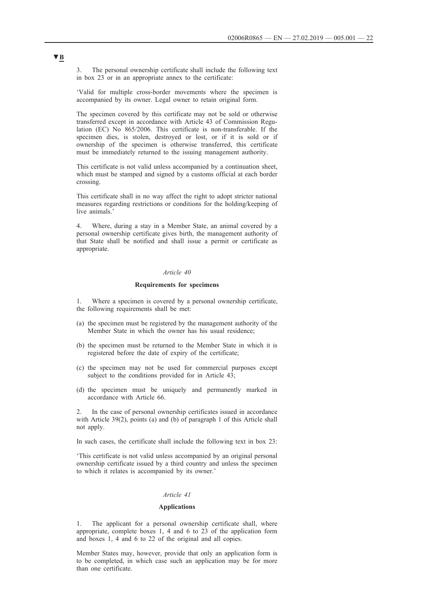3. The personal ownership certificate shall include the following text in box 23 or in an appropriate annex to the certificate:

'Valid for multiple cross-border movements where the specimen is accompanied by its owner. Legal owner to retain original form.

The specimen covered by this certificate may not be sold or otherwise transferred except in accordance with Article 43 of Commission Regulation (EC) No 865/2006. This certificate is non-transferable. If the specimen dies, is stolen, destroyed or lost, or if it is sold or if ownership of the specimen is otherwise transferred, this certificate must be immediately returned to the issuing management authority.

This certificate is not valid unless accompanied by a continuation sheet, which must be stamped and signed by a customs official at each border crossing.

This certificate shall in no way affect the right to adopt stricter national measures regarding restrictions or conditions for the holding/keeping of live animals.'

4. Where, during a stay in a Member State, an animal covered by a personal ownership certificate gives birth, the management authority of that State shall be notified and shall issue a permit or certificate as appropriate.

#### *Article 40*

### **Requirements for specimens**

1. Where a specimen is covered by a personal ownership certificate, the following requirements shall be met:

- (a) the specimen must be registered by the management authority of the Member State in which the owner has his usual residence;
- (b) the specimen must be returned to the Member State in which it is registered before the date of expiry of the certificate;
- (c) the specimen may not be used for commercial purposes except subject to the conditions provided for in Article 43;
- (d) the specimen must be uniquely and permanently marked in accordance with Article 66.

2. In the case of personal ownership certificates issued in accordance with Article 39(2), points (a) and (b) of paragraph 1 of this Article shall not apply.

In such cases, the certificate shall include the following text in box 23:

'This certificate is not valid unless accompanied by an original personal ownership certificate issued by a third country and unless the specimen to which it relates is accompanied by its owner.'

# *Article 41*

### **Applications**

The applicant for a personal ownership certificate shall, where appropriate, complete boxes 1, 4 and 6 to 23 of the application form and boxes 1, 4 and 6 to 22 of the original and all copies.

Member States may, however, provide that only an application form is to be completed, in which case such an application may be for more than one certificate.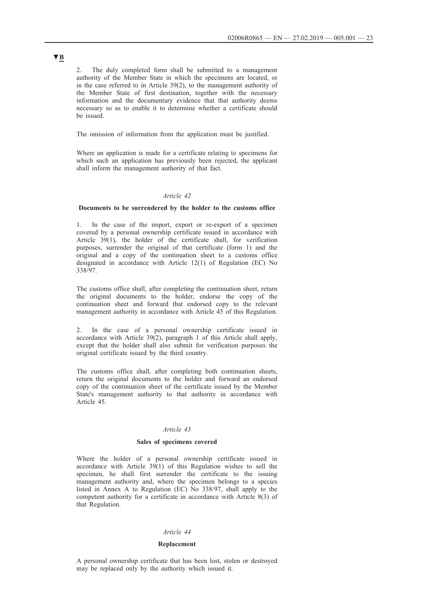2. The duly completed form shall be submitted to a management authority of the Member State in which the specimens are located, or in the case referred to in Article 39(2), to the management authority of the Member State of first destination, together with the necessary information and the documentary evidence that that authority deems necessary so as to enable it to determine whether a certificate should be issued.

The omission of information from the application must be justified.

Where an application is made for a certificate relating to specimens for which such an application has previously been rejected, the applicant shall inform the management authority of that fact.

#### *Article 42*

# **Documents to be surrendered by the holder to the customs office**

1. In the case of the import, export or re-export of a specimen covered by a personal ownership certificate issued in accordance with Article 39(1), the holder of the certificate shall, for verification purposes, surrender the original of that certificate (form 1) and the original and a copy of the continuation sheet to a customs office designated in accordance with Article 12(1) of Regulation (EC) No 338/97.

The customs office shall, after completing the continuation sheet, return the original documents to the holder, endorse the copy of the continuation sheet and forward that endorsed copy to the relevant management authority in accordance with Article 45 of this Regulation.

2. In the case of a personal ownership certificate issued in accordance with Article 39(2), paragraph 1 of this Article shall apply, except that the holder shall also submit for verification purposes the original certificate issued by the third country.

The customs office shall, after completing both continuation sheets, return the original documents to the holder and forward an endorsed copy of the continuation sheet of the certificate issued by the Member State's management authority to that authority in accordance with Article 45.

# *Article 43*

# **Sales of specimens covered**

Where the holder of a personal ownership certificate issued in accordance with Article  $39(1)$  of this Regulation wishes to sell the specimen, he shall first surrender the certificate to the issuing management authority and, where the specimen belongs to a species listed in Annex A to Regulation (EC) No 338/97, shall apply to the competent authority for a certificate in accordance with Article 8(3) of that Regulation.

#### *Article 44*

#### **Replacement**

A personal ownership certificate that has been lost, stolen or destroyed may be replaced only by the authority which issued it.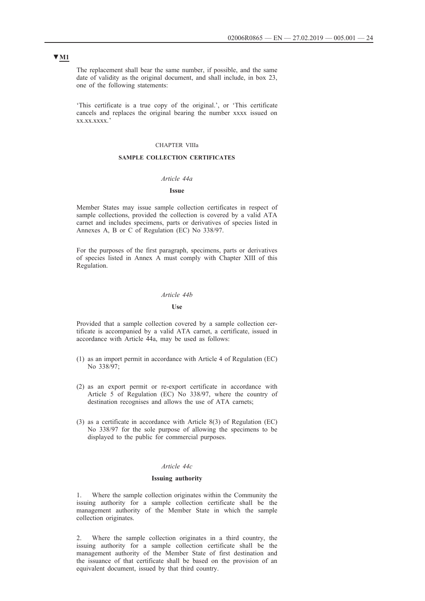The replacement shall bear the same number, if possible, and the same date of validity as the original document, and shall include, in box 23, one of the following statements:

'This certificate is a true copy of the original.', or 'This certificate cancels and replaces the original bearing the number xxxx issued on xx.xx.xxxx.'

# CHAPTER VIIIa

# **SAMPLE COLLECTION CERTIFICATES**

# *Article 44a*

### **Issue**

Member States may issue sample collection certificates in respect of sample collections, provided the collection is covered by a valid ATA carnet and includes specimens, parts or derivatives of species listed in Annexes A, B or C of Regulation (EC) No 338/97.

For the purposes of the first paragraph, specimens, parts or derivatives of species listed in Annex A must comply with Chapter XIII of this Regulation.

### *Article 44b*

### **Use**

Provided that a sample collection covered by a sample collection certificate is accompanied by a valid ATA carnet, a certificate, issued in accordance with Article 44a, may be used as follows:

- (1) as an import permit in accordance with Article 4 of Regulation (EC) No 338/97;
- (2) as an export permit or re-export certificate in accordance with Article 5 of Regulation (EC) No 338/97, where the country of destination recognises and allows the use of ATA carnets;
- (3) as a certificate in accordance with Article 8(3) of Regulation (EC) No 338/97 for the sole purpose of allowing the specimens to be displayed to the public for commercial purposes.

# *Article 44c*

#### **Issuing authority**

1. Where the sample collection originates within the Community the issuing authority for a sample collection certificate shall be the management authority of the Member State in which the sample collection originates.

2. Where the sample collection originates in a third country, the issuing authority for a sample collection certificate shall be the management authority of the Member State of first destination and the issuance of that certificate shall be based on the provision of an equivalent document, issued by that third country.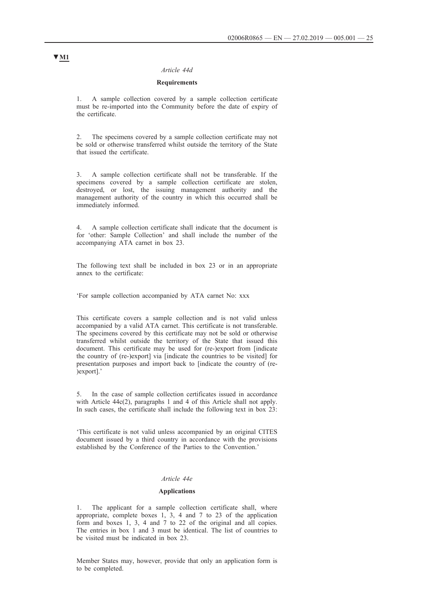### *Article 44d*

# **Requirements**

1. A sample collection covered by a sample collection certificate must be re-imported into the Community before the date of expiry of the certificate.

2. The specimens covered by a sample collection certificate may not be sold or otherwise transferred whilst outside the territory of the State that issued the certificate.

3. A sample collection certificate shall not be transferable. If the specimens covered by a sample collection certificate are stolen, destroyed, or lost, the issuing management authority and the management authority of the country in which this occurred shall be immediately informed.

4. A sample collection certificate shall indicate that the document is for 'other: Sample Collection' and shall include the number of the accompanying ATA carnet in box 23.

The following text shall be included in box 23 or in an appropriate annex to the certificate:

'For sample collection accompanied by ATA carnet No: xxx

This certificate covers a sample collection and is not valid unless accompanied by a valid ATA carnet. This certificate is not transferable. The specimens covered by this certificate may not be sold or otherwise transferred whilst outside the territory of the State that issued this document. This certificate may be used for (re-)export from [indicate the country of (re-)export] via [indicate the countries to be visited] for presentation purposes and import back to [indicate the country of (re- )export].'

5. In the case of sample collection certificates issued in accordance with Article 44c(2), paragraphs 1 and 4 of this Article shall not apply. In such cases, the certificate shall include the following text in box  $23$ :

'This certificate is not valid unless accompanied by an original CITES document issued by a third country in accordance with the provisions established by the Conference of the Parties to the Convention.'

# *Article 44e*

### **Applications**

1. The applicant for a sample collection certificate shall, where appropriate, complete boxes 1, 3, 4 and 7 to 23 of the application form and boxes 1, 3, 4 and 7 to 22 of the original and all copies. The entries in box 1 and 3 must be identical. The list of countries to be visited must be indicated in box 23.

Member States may, however, provide that only an application form is to be completed.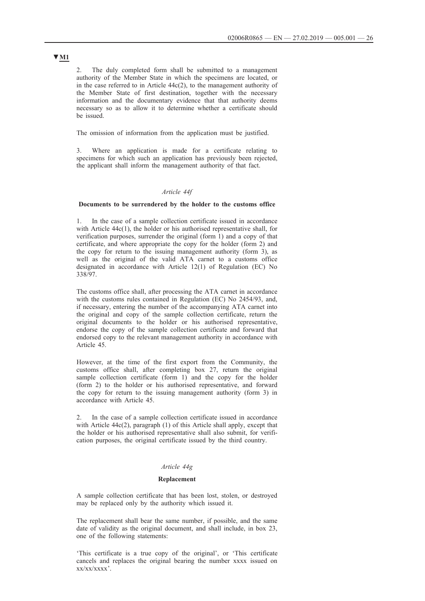2. The duly completed form shall be submitted to a management authority of the Member State in which the specimens are located, or in the case referred to in Article 44c(2), to the management authority of the Member State of first destination, together with the necessary information and the documentary evidence that that authority deems necessary so as to allow it to determine whether a certificate should be issued.

The omission of information from the application must be justified.

3. Where an application is made for a certificate relating to specimens for which such an application has previously been rejected, the applicant shall inform the management authority of that fact.

### *Article 44f*

# **Documents to be surrendered by the holder to the customs office**

1. In the case of a sample collection certificate issued in accordance with Article 44c(1), the holder or his authorised representative shall, for verification purposes, surrender the original (form 1) and a copy of that certificate, and where appropriate the copy for the holder (form 2) and the copy for return to the issuing management authority (form 3), as well as the original of the valid ATA carnet to a customs office designated in accordance with Article 12(1) of Regulation (EC) No 338/97.

The customs office shall, after processing the ATA carnet in accordance with the customs rules contained in Regulation (EC) No 2454/93, and, if necessary, entering the number of the accompanying ATA carnet into the original and copy of the sample collection certificate, return the original documents to the holder or his authorised representative, endorse the copy of the sample collection certificate and forward that endorsed copy to the relevant management authority in accordance with Article 45.

However, at the time of the first export from the Community, the customs office shall, after completing box 27, return the original sample collection certificate (form 1) and the copy for the holder (form 2) to the holder or his authorised representative, and forward the copy for return to the issuing management authority (form 3) in accordance with Article 45.

2. In the case of a sample collection certificate issued in accordance with Article 44c(2), paragraph (1) of this Article shall apply, except that the holder or his authorised representative shall also submit, for verification purposes, the original certificate issued by the third country.

# *Article 44g*

### **Replacement**

A sample collection certificate that has been lost, stolen, or destroyed may be replaced only by the authority which issued it.

The replacement shall bear the same number, if possible, and the same date of validity as the original document, and shall include, in box 23, one of the following statements:

'This certificate is a true copy of the original', or 'This certificate cancels and replaces the original bearing the number xxxx issued on xx/xx/xxxx'.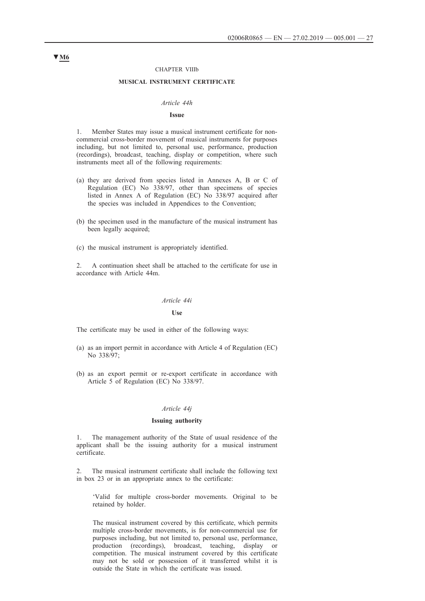#### CHAPTER VIIIb

#### **MUSICAL INSTRUMENT CERTIFICATE**

# *Article 44h*

#### **Issue**

1. Member States may issue a musical instrument certificate for noncommercial cross-border movement of musical instruments for purposes including, but not limited to, personal use, performance, production (recordings), broadcast, teaching, display or competition, where such instruments meet all of the following requirements:

- (a) they are derived from species listed in Annexes A, B or C of Regulation (EC) No 338/97, other than specimens of species listed in Annex A of Regulation (EC) No 338/97 acquired after the species was included in Appendices to the Convention;
- (b) the specimen used in the manufacture of the musical instrument has been legally acquired;
- (c) the musical instrument is appropriately identified.

2. A continuation sheet shall be attached to the certificate for use in accordance with Article 44m.

# *Article 44i*

#### **Use**

The certificate may be used in either of the following ways:

- (a) as an import permit in accordance with Article 4 of Regulation (EC) No 338/97;
- (b) as an export permit or re-export certificate in accordance with Article 5 of Regulation (EC) No 338/97.

#### *Article 44j*

#### **Issuing authority**

1. The management authority of the State of usual residence of the applicant shall be the issuing authority for a musical instrument certificate.

2. The musical instrument certificate shall include the following text in box 23 or in an appropriate annex to the certificate:

'Valid for multiple cross-border movements. Original to be retained by holder.

The musical instrument covered by this certificate, which permits multiple cross-border movements, is for non-commercial use for purposes including, but not limited to, personal use, performance, production (recordings), broadcast, teaching, display or competition. The musical instrument covered by this certificate may not be sold or possession of it transferred whilst it is outside the State in which the certificate was issued.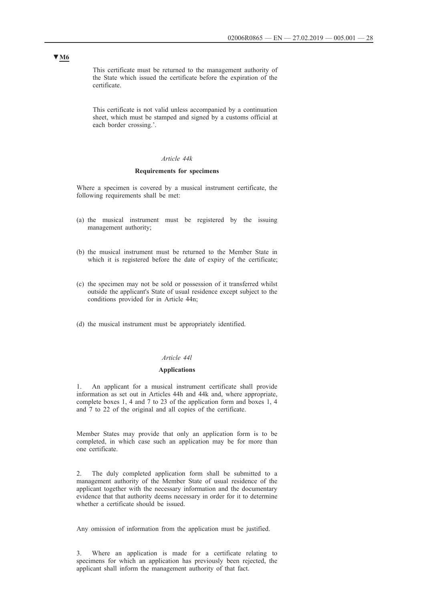This certificate must be returned to the management authority of the State which issued the certificate before the expiration of the certificate.

This certificate is not valid unless accompanied by a continuation sheet, which must be stamped and signed by a customs official at each border crossing.'.

# *Article 44k*

# **Requirements for specimens**

Where a specimen is covered by a musical instrument certificate, the following requirements shall be met:

- (a) the musical instrument must be registered by the issuing management authority;
- (b) the musical instrument must be returned to the Member State in which it is registered before the date of expiry of the certificate;
- (c) the specimen may not be sold or possession of it transferred whilst outside the applicant's State of usual residence except subject to the conditions provided for in Article 44n;
- (d) the musical instrument must be appropriately identified.

# *Article 44l*

### **Applications**

1. An applicant for a musical instrument certificate shall provide information as set out in Articles 44h and 44k and, where appropriate, complete boxes 1, 4 and 7 to 23 of the application form and boxes 1, 4 and 7 to 22 of the original and all copies of the certificate.

Member States may provide that only an application form is to be completed, in which case such an application may be for more than one certificate.

2. The duly completed application form shall be submitted to a management authority of the Member State of usual residence of the applicant together with the necessary information and the documentary evidence that that authority deems necessary in order for it to determine whether a certificate should be issued.

Any omission of information from the application must be justified.

3. Where an application is made for a certificate relating to specimens for which an application has previously been rejected, the applicant shall inform the management authority of that fact.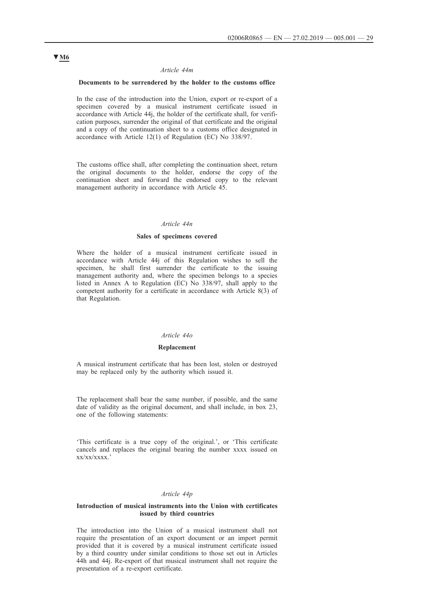#### *Article 44m*

# **Documents to be surrendered by the holder to the customs office**

In the case of the introduction into the Union, export or re-export of a specimen covered by a musical instrument certificate issued in accordance with Article 44j, the holder of the certificate shall, for verification purposes, surrender the original of that certificate and the original and a copy of the continuation sheet to a customs office designated in accordance with Article 12(1) of Regulation (EC) No 338/97.

The customs office shall, after completing the continuation sheet, return the original documents to the holder, endorse the copy of the continuation sheet and forward the endorsed copy to the relevant management authority in accordance with Article 45.

#### *Article 44n*

# **Sales of specimens covered**

Where the holder of a musical instrument certificate issued in accordance with Article 44j of this Regulation wishes to sell the specimen, he shall first surrender the certificate to the issuing management authority and, where the specimen belongs to a species listed in Annex A to Regulation (EC) No 338/97, shall apply to the competent authority for a certificate in accordance with Article 8(3) of that Regulation.

### *Article 44o*

#### **Replacement**

A musical instrument certificate that has been lost, stolen or destroyed may be replaced only by the authority which issued it.

The replacement shall bear the same number, if possible, and the same date of validity as the original document, and shall include, in box 23, one of the following statements:

'This certificate is a true copy of the original.', or 'This certificate cancels and replaces the original bearing the number xxxx issued on xx/xx/xxxx.'

#### *Article 44p*

#### **Introduction of musical instruments into the Union with certificates issued by third countries**

The introduction into the Union of a musical instrument shall not require the presentation of an export document or an import permit provided that it is covered by a musical instrument certificate issued by a third country under similar conditions to those set out in Articles 44h and 44j. Re-export of that musical instrument shall not require the presentation of a re-export certificate.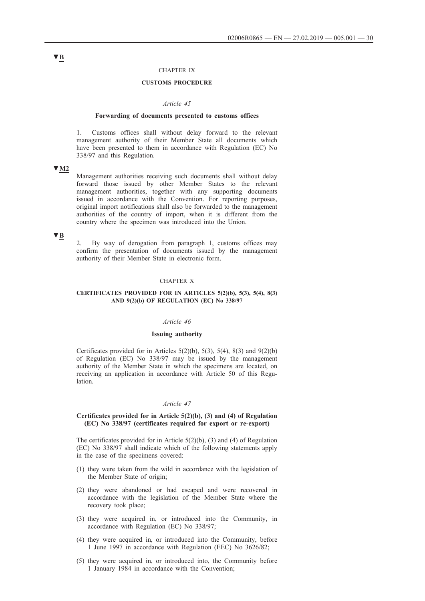### CHAPTER IX

### **CUSTOMS PROCEDURE**

#### *Article 45*

#### **Forwarding of documents presented to customs offices**

1. Customs offices shall without delay forward to the relevant management authority of their Member State all documents which have been presented to them in accordance with Regulation (EC) No 338/97 and this Regulation.

# **▼M2**

Management authorities receiving such documents shall without delay forward those issued by other Member States to the relevant management authorities, together with any supporting documents issued in accordance with the Convention. For reporting purposes, original import notifications shall also be forwarded to the management authorities of the country of import, when it is different from the country where the specimen was introduced into the Union.

# **▼B**

2. By way of derogation from paragraph 1, customs offices may confirm the presentation of documents issued by the management authority of their Member State in electronic form.

### CHAPTER X

### **CERTIFICATES PROVIDED FOR IN ARTICLES 5(2)(b), 5(3), 5(4), 8(3) AND 9(2)(b) OF REGULATION (EC) No 338/97**

#### *Article 46*

#### **Issuing authority**

Certificates provided for in Articles  $5(2)(b)$ ,  $5(3)$ ,  $5(4)$ ,  $8(3)$  and  $9(2)(b)$ of Regulation (EC) No 338/97 may be issued by the management authority of the Member State in which the specimens are located, on receiving an application in accordance with Article 50 of this Regulation.

#### *Article 47*

### **Certificates provided for in Article 5(2)(b), (3) and (4) of Regulation (EC) No 338/97 (certificates required for export or re-export)**

The certificates provided for in Article  $5(2)(b)$ , (3) and (4) of Regulation (EC) No 338/97 shall indicate which of the following statements apply in the case of the specimens covered:

- (1) they were taken from the wild in accordance with the legislation of the Member State of origin;
- (2) they were abandoned or had escaped and were recovered in accordance with the legislation of the Member State where the recovery took place;
- (3) they were acquired in, or introduced into the Community, in accordance with Regulation (EC) No 338/97;
- (4) they were acquired in, or introduced into the Community, before 1 June 1997 in accordance with Regulation (EEC) No 3626/82;
- (5) they were acquired in, or introduced into, the Community before 1 January 1984 in accordance with the Convention;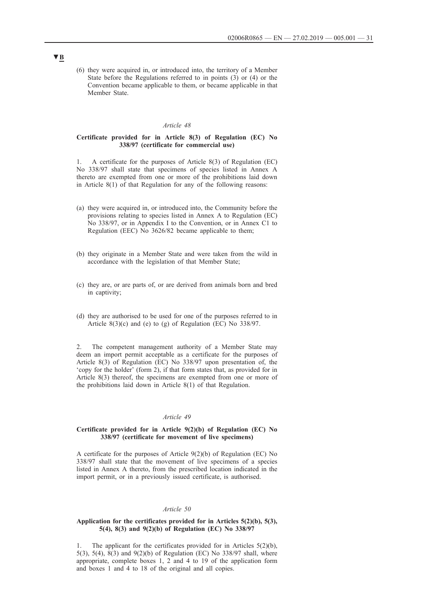(6) they were acquired in, or introduced into, the territory of a Member State before the Regulations referred to in points (3) or (4) or the Convention became applicable to them, or became applicable in that Member State.

### *Article 48*

# **Certificate provided for in Article 8(3) of Regulation (EC) No 338/97 (certificate for commercial use)**

A certificate for the purposes of Article  $8(3)$  of Regulation (EC) No 338/97 shall state that specimens of species listed in Annex A thereto are exempted from one or more of the prohibitions laid down in Article 8(1) of that Regulation for any of the following reasons:

- (a) they were acquired in, or introduced into, the Community before the provisions relating to species listed in Annex A to Regulation (EC) No 338/97, or in Appendix I to the Convention, or in Annex C1 to Regulation (EEC) No 3626/82 became applicable to them;
- (b) they originate in a Member State and were taken from the wild in accordance with the legislation of that Member State;
- (c) they are, or are parts of, or are derived from animals born and bred in captivity;
- (d) they are authorised to be used for one of the purposes referred to in Article 8(3)(c) and (e) to (g) of Regulation (EC) No 338/97.

2. The competent management authority of a Member State may deem an import permit acceptable as a certificate for the purposes of Article 8(3) of Regulation (EC) No 338/97 upon presentation of, the 'copy for the holder' (form 2), if that form states that, as provided for in Article 8(3) thereof, the specimens are exempted from one or more of the prohibitions laid down in Article 8(1) of that Regulation.

# *Article 49*

#### **Certificate provided for in Article 9(2)(b) of Regulation (EC) No 338/97 (certificate for movement of live specimens)**

A certificate for the purposes of Article 9(2)(b) of Regulation (EC) No 338/97 shall state that the movement of live specimens of a species listed in Annex A thereto, from the prescribed location indicated in the import permit, or in a previously issued certificate, is authorised.

#### *Article 50*

### **Application for the certificates provided for in Articles 5(2)(b), 5(3), 5(4), 8(3) and 9(2)(b) of Regulation (EC) No 338/97**

1. The applicant for the certificates provided for in Articles 5(2)(b), 5(3), 5(4), 8(3) and 9(2)(b) of Regulation (EC) No 338/97 shall, where appropriate, complete boxes 1, 2 and 4 to 19 of the application form and boxes 1 and 4 to 18 of the original and all copies.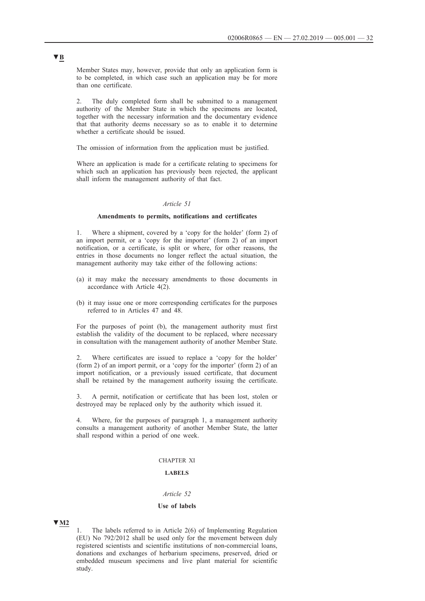Member States may, however, provide that only an application form is to be completed, in which case such an application may be for more than one certificate.

2. The duly completed form shall be submitted to a management authority of the Member State in which the specimens are located, together with the necessary information and the documentary evidence that that authority deems necessary so as to enable it to determine whether a certificate should be issued.

The omission of information from the application must be justified.

Where an application is made for a certificate relating to specimens for which such an application has previously been rejected, the applicant shall inform the management authority of that fact.

### *Article 51*

### **Amendments to permits, notifications and certificates**

1. Where a shipment, covered by a 'copy for the holder' (form 2) of an import permit, or a 'copy for the importer' (form 2) of an import notification, or a certificate, is split or where, for other reasons, the entries in those documents no longer reflect the actual situation, the management authority may take either of the following actions:

- (a) it may make the necessary amendments to those documents in accordance with Article 4(2).
- (b) it may issue one or more corresponding certificates for the purposes referred to in Articles 47 and 48.

For the purposes of point (b), the management authority must first establish the validity of the document to be replaced, where necessary in consultation with the management authority of another Member State.

2. Where certificates are issued to replace a 'copy for the holder' (form 2) of an import permit, or a 'copy for the importer' (form 2) of an import notification, or a previously issued certificate, that document shall be retained by the management authority issuing the certificate.

3. A permit, notification or certificate that has been lost, stolen or destroyed may be replaced only by the authority which issued it.

4. Where, for the purposes of paragraph 1, a management authority consults a management authority of another Member State, the latter shall respond within a period of one week.

#### CHAPTER XI

# **LABELS**

# *Article 52*

# **Use of labels**

#### **▼M2**

The labels referred to in Article  $2(6)$  of Implementing Regulation (EU) No 792/2012 shall be used only for the movement between duly registered scientists and scientific institutions of non-commercial loans, donations and exchanges of herbarium specimens, preserved, dried or embedded museum specimens and live plant material for scientific study.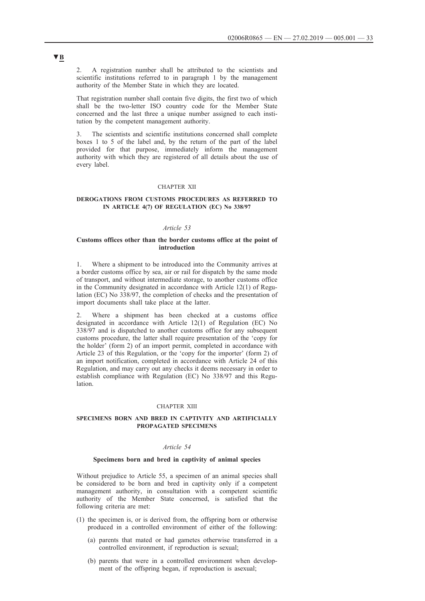2. A registration number shall be attributed to the scientists and scientific institutions referred to in paragraph 1 by the management authority of the Member State in which they are located.

That registration number shall contain five digits, the first two of which shall be the two-letter ISO country code for the Member State concerned and the last three a unique number assigned to each institution by the competent management authority.

3. The scientists and scientific institutions concerned shall complete boxes 1 to 5 of the label and, by the return of the part of the label provided for that purpose, immediately inform the management authority with which they are registered of all details about the use of every label.

### CHAPTER XII

# **DEROGATIONS FROM CUSTOMS PROCEDURES AS REFERRED TO IN ARTICLE 4(7) OF REGULATION (EC) No 338/97**

### *Article 53*

### **Customs offices other than the border customs office at the point of introduction**

1. Where a shipment to be introduced into the Community arrives at a border customs office by sea, air or rail for dispatch by the same mode of transport, and without intermediate storage, to another customs office in the Community designated in accordance with Article 12(1) of Regulation (EC) No 338/97, the completion of checks and the presentation of import documents shall take place at the latter.

2. Where a shipment has been checked at a customs office designated in accordance with Article 12(1) of Regulation (EC) No 338/97 and is dispatched to another customs office for any subsequent customs procedure, the latter shall require presentation of the 'copy for the holder' (form 2) of an import permit, completed in accordance with Article 23 of this Regulation, or the 'copy for the importer' (form 2) of an import notification, completed in accordance with Article 24 of this Regulation, and may carry out any checks it deems necessary in order to establish compliance with Regulation (EC) No 338/97 and this Regulation.

#### CHAPTER XIII

### **SPECIMENS BORN AND BRED IN CAPTIVITY AND ARTIFICIALLY PROPAGATED SPECIMENS**

#### *Article 54*

#### **Specimens born and bred in captivity of animal species**

Without prejudice to Article 55, a specimen of an animal species shall be considered to be born and bred in captivity only if a competent management authority, in consultation with a competent scientific authority of the Member State concerned, is satisfied that the following criteria are met:

- (1) the specimen is, or is derived from, the offspring born or otherwise produced in a controlled environment of either of the following:
	- (a) parents that mated or had gametes otherwise transferred in a controlled environment, if reproduction is sexual;
	- (b) parents that were in a controlled environment when development of the offspring began, if reproduction is asexual;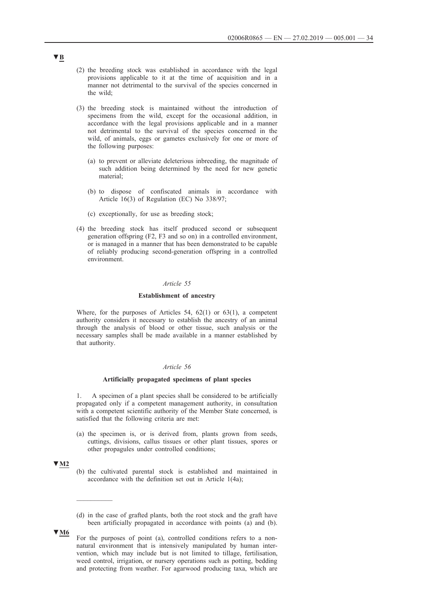- (2) the breeding stock was established in accordance with the legal provisions applicable to it at the time of acquisition and in a manner not detrimental to the survival of the species concerned in the wild;
- (3) the breeding stock is maintained without the introduction of specimens from the wild, except for the occasional addition, in accordance with the legal provisions applicable and in a manner not detrimental to the survival of the species concerned in the wild, of animals, eggs or gametes exclusively for one or more of the following purposes:
	- (a) to prevent or alleviate deleterious inbreeding, the magnitude of such addition being determined by the need for new genetic material;
	- (b) to dispose of confiscated animals in accordance with Article 16(3) of Regulation (EC) No 338/97;
	- (c) exceptionally, for use as breeding stock;
- (4) the breeding stock has itself produced second or subsequent generation offspring (F2, F3 and so on) in a controlled environment, or is managed in a manner that has been demonstrated to be capable of reliably producing second-generation offspring in a controlled environment.

#### *Article 55*

#### **Establishment of ancestry**

Where, for the purposes of Articles 54, 62(1) or 63(1), a competent authority considers it necessary to establish the ancestry of an animal through the analysis of blood or other tissue, such analysis or the necessary samples shall be made available in a manner established by that authority.

### *Article 56*

### **Artificially propagated specimens of plant species**

1. A specimen of a plant species shall be considered to be artificially propagated only if a competent management authority, in consultation with a competent scientific authority of the Member State concerned, is satisfied that the following criteria are met:

(a) the specimen is, or is derived from, plants grown from seeds, cuttings, divisions, callus tissues or other plant tissues, spores or other propagules under controlled conditions;

# **▼M2**

 $\frac{1}{2}$ 

- (b) the cultivated parental stock is established and maintained in accordance with the definition set out in Article 1(4a);
- (d) in the case of grafted plants, both the root stock and the graft have been artificially propagated in accordance with points (a) and (b).
- For the purposes of point (a), controlled conditions refers to a nonnatural environment that is intensively manipulated by human intervention, which may include but is not limited to tillage, fertilisation, weed control, irrigation, or nursery operations such as potting, bedding and protecting from weather. For agarwood producing taxa, which are

# **▼B**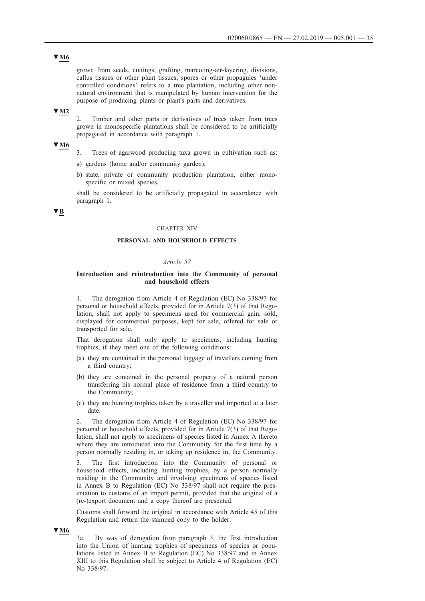grown from seeds, cuttings, grafting, marcoting-air-layering, divisions, callus tissues or other plant tissues, spores or other propagules 'under controlled conditions' refers to a tree plantation, including other nonnatural environment that is manipulated by human intervention for the purpose of producing plants or plant's parts and derivatives.

# **▼M2**

2. Timber and other parts or derivatives of trees taken from trees grown in monospecific plantations shall be considered to be artificially propagated in accordance with paragraph 1.

# **▼M6**

- 3. Trees of agarwood producing taxa grown in cultivation such as:
- a) gardens (home and/or community garden);
- b) state, private or community production plantation, either monospecific or mixed species,

shall be considered to be artificially propagated in accordance with paragraph 1.

# **▼B**

#### CHAPTER XIV

# **PERSONAL AND HOUSEHOLD EFFECTS**

# *Article 57*

### **Introduction and reintroduction into the Community of personal and household effects**

1. The derogation from Article 4 of Regulation (EC) No 338/97 for personal or household effects, provided for in Article 7(3) of that Regulation, shall not apply to specimens used for commercial gain, sold, displayed for commercial purposes, kept for sale, offered for sale or transported for sale.

That derogation shall only apply to specimens, including hunting trophies, if they meet one of the following conditions:

- (a) they are contained in the personal luggage of travellers coming from a third country;
- (b) they are contained in the personal property of a natural person transferring his normal place of residence from a third country to the Community;
- (c) they are hunting trophies taken by a traveller and imported at a later date.

2. The derogation from Article 4 of Regulation (EC) No 338/97 for personal or household effects, provided for in Article 7(3) of that Regulation, shall not apply to specimens of species listed in Annex A thereto where they are introduced into the Community for the first time by a person normally residing in, or taking up residence in, the Community.

3. The first introduction into the Community of personal or household effects, including hunting trophies, by a person normally residing in the Community and involving specimens of species listed in Annex B to Regulation (EC) No 338/97 shall not require the presentation to customs of an import permit, provided that the original of a (re-)export document and a copy thereof are presented.

Customs shall forward the original in accordance with Article 45 of this Regulation and return the stamped copy to the holder.

### **▼M6**

3a. By way of derogation from paragraph 3, the first introduction into the Union of hunting trophies of specimens of species or populations listed in Annex B to Regulation (EC) No 338/97 and in Annex XIII to this Regulation shall be subject to Article 4 of Regulation (EC) No 338/97.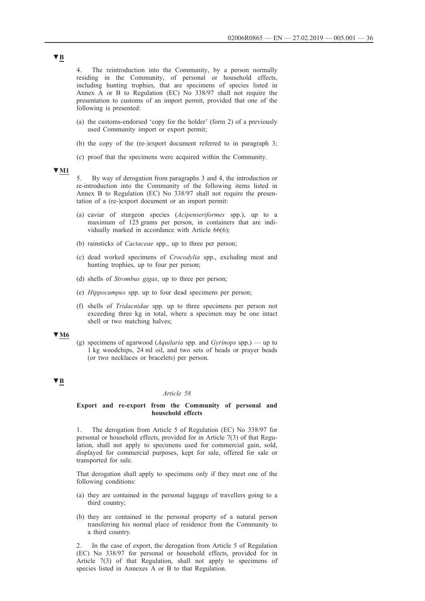4. The reintroduction into the Community, by a person normally residing in the Community, of personal or household effects, including hunting trophies, that are specimens of species listed in Annex A or B to Regulation (EC) No 338/97 shall not require the presentation to customs of an import permit, provided that one of the following is presented:

- (a) the customs-endorsed 'copy for the holder' (form 2) of a previously used Community import or export permit;
- (b) the copy of the (re-)export document referred to in paragraph 3;
- (c) proof that the specimens were acquired within the Community.

# **▼M1**

5. By way of derogation from paragraphs 3 and 4, the introduction or re-introduction into the Community of the following items listed in Annex B to Regulation (EC) No 338/97 shall not require the presentation of a (re-)export document or an import permit:

- (a) caviar of sturgeon species (*Acipenseriformes* spp.), up to a maximum of 125 grams per person, in containers that are individually marked in accordance with Article 66(6);
- (b) rainsticks of *Cactaceae* spp., up to three per person;
- (c) dead worked specimens of *Crocodylia* spp., excluding meat and hunting trophies, up to four per person;
- (d) shells of *Strombus gigas*, up to three per person;
- (e) *Hippocampus* spp. up to four dead specimens per person;
- (f) shells of *Tridacnidae* spp. up to three specimens per person not exceeding three kg in total, where a specimen may be one intact shell or two matching halves;

# **▼M6**

(g) specimens of agarwood (*Aquilaria* spp. and *Gyrinops* spp.) — up to 1 kg woodchips, 24 ml oil, and two sets of beads or prayer beads (or two necklaces or bracelets) per person.

# **▼B**

#### *Article 58*

### **Export and re-export from the Community of personal and household effects**

1. The derogation from Article 5 of Regulation (EC) No 338/97 for personal or household effects, provided for in Article 7(3) of that Regulation, shall not apply to specimens used for commercial gain, sold, displayed for commercial purposes, kept for sale, offered for sale or transported for sale.

That derogation shall apply to specimens only if they meet one of the following conditions:

- (a) they are contained in the personal luggage of travellers going to a third country;
- (b) they are contained in the personal property of a natural person transferring his normal place of residence from the Community to a third country.

2. In the case of export, the derogation from Article 5 of Regulation (EC) No 338/97 for personal or household effects, provided for in Article 7(3) of that Regulation, shall not apply to specimens of species listed in Annexes A or B to that Regulation.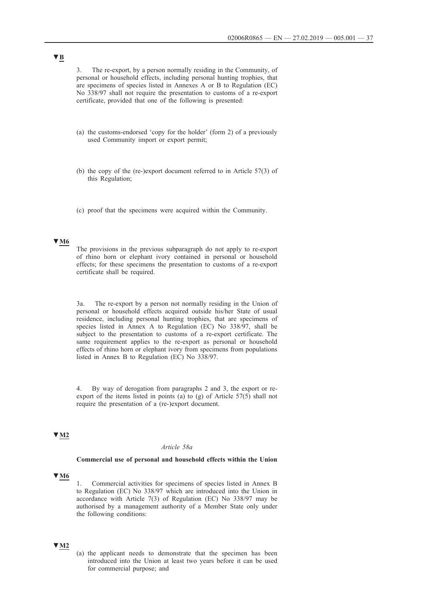3. The re-export, by a person normally residing in the Community, of personal or household effects, including personal hunting trophies, that are specimens of species listed in Annexes A or B to Regulation (EC) No 338/97 shall not require the presentation to customs of a re-export certificate, provided that one of the following is presented:

- (a) the customs-endorsed 'copy for the holder' (form 2) of a previously used Community import or export permit;
- (b) the copy of the (re-)export document referred to in Article 57(3) of this Regulation;
- (c) proof that the specimens were acquired within the Community.

### **▼M6**

The provisions in the previous subparagraph do not apply to re-export of rhino horn or elephant ivory contained in personal or household effects; for these specimens the presentation to customs of a re-export certificate shall be required.

3a. The re-export by a person not normally residing in the Union of personal or household effects acquired outside his/her State of usual residence, including personal hunting trophies, that are specimens of species listed in Annex A to Regulation (EC) No 338/97, shall be subject to the presentation to customs of a re-export certificate. The same requirement applies to the re-export as personal or household effects of rhino horn or elephant ivory from specimens from populations listed in Annex B to Regulation (EC) No 338/97.

4. By way of derogation from paragraphs 2 and 3, the export or reexport of the items listed in points (a) to (g) of Article 57(5) shall not require the presentation of a (re-)export document.

### **▼M2**

#### *Article 58a*

#### **Commercial use of personal and household effects within the Union**

#### **▼M6**

1. Commercial activities for specimens of species listed in Annex B to Regulation (EC) No 338/97 which are introduced into the Union in accordance with Article 7(3) of Regulation (EC) No 338/97 may be authorised by a management authority of a Member State only under the following conditions:

### **▼M2**

(a) the applicant needs to demonstrate that the specimen has been introduced into the Union at least two years before it can be used for commercial purpose; and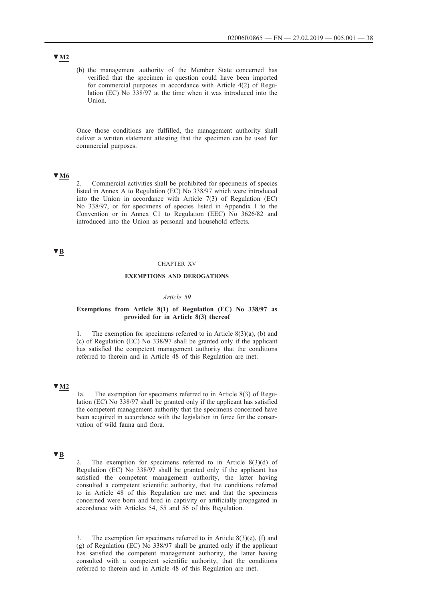(b) the management authority of the Member State concerned has verified that the specimen in question could have been imported for commercial purposes in accordance with Article 4(2) of Regulation (EC) No 338/97 at the time when it was introduced into the Union.

Once those conditions are fulfilled, the management authority shall deliver a written statement attesting that the specimen can be used for commercial purposes.

## **▼M6**

2. Commercial activities shall be prohibited for specimens of species listed in Annex A to Regulation (EC) No 338/97 which were introduced into the Union in accordance with Article 7(3) of Regulation (EC) No 338/97, or for specimens of species listed in Appendix I to the Convention or in Annex C1 to Regulation (EEC) No 3626/82 and introduced into the Union as personal and household effects.

### **▼B**

#### CHAPTER XV

### **EXEMPTIONS AND DEROGATIONS**

#### *Article 59*

### **Exemptions from Article 8(1) of Regulation (EC) No 338/97 as provided for in Article 8(3) thereof**

1. The exemption for specimens referred to in Article  $8(3)(a)$ , (b) and (c) of Regulation (EC) No 338/97 shall be granted only if the applicant has satisfied the competent management authority that the conditions referred to therein and in Article 48 of this Regulation are met.

### **▼M2**

1a. The exemption for specimens referred to in Article 8(3) of Regulation (EC) No 338/97 shall be granted only if the applicant has satisfied the competent management authority that the specimens concerned have been acquired in accordance with the legislation in force for the conservation of wild fauna and flora.

## **▼B**

2. The exemption for specimens referred to in Article  $8(3)(d)$  of Regulation (EC) No  $338/97$  shall be granted only if the applicant has satisfied the competent management authority, the latter having consulted a competent scientific authority, that the conditions referred to in Article 48 of this Regulation are met and that the specimens concerned were born and bred in captivity or artificially propagated in accordance with Articles 54, 55 and 56 of this Regulation.

3. The exemption for specimens referred to in Article  $8(3)(e)$ , (f) and (g) of Regulation (EC) No 338/97 shall be granted only if the applicant has satisfied the competent management authority, the latter having consulted with a competent scientific authority, that the conditions referred to therein and in Article 48 of this Regulation are met.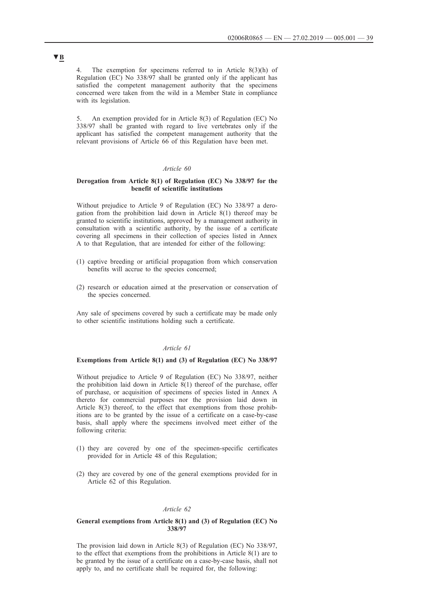4. The exemption for specimens referred to in Article 8(3)(h) of Regulation (EC) No 338/97 shall be granted only if the applicant has satisfied the competent management authority that the specimens concerned were taken from the wild in a Member State in compliance with its legislation.

5. An exemption provided for in Article 8(3) of Regulation (EC) No 338/97 shall be granted with regard to live vertebrates only if the applicant has satisfied the competent management authority that the relevant provisions of Article 66 of this Regulation have been met.

### *Article 60*

### **Derogation from Article 8(1) of Regulation (EC) No 338/97 for the benefit of scientific institutions**

Without prejudice to Article 9 of Regulation (EC) No 338/97 a derogation from the prohibition laid down in Article 8(1) thereof may be granted to scientific institutions, approved by a management authority in consultation with a scientific authority, by the issue of a certificate covering all specimens in their collection of species listed in Annex A to that Regulation, that are intended for either of the following:

- (1) captive breeding or artificial propagation from which conservation benefits will accrue to the species concerned;
- (2) research or education aimed at the preservation or conservation of the species concerned.

Any sale of specimens covered by such a certificate may be made only to other scientific institutions holding such a certificate.

#### *Article 61*

#### **Exemptions from Article 8(1) and (3) of Regulation (EC) No 338/97**

Without prejudice to Article 9 of Regulation (EC) No 338/97, neither the prohibition laid down in Article 8(1) thereof of the purchase, offer of purchase, or acquisition of specimens of species listed in Annex A thereto for commercial purposes nor the provision laid down in Article 8(3) thereof, to the effect that exemptions from those prohibitions are to be granted by the issue of a certificate on a case-by-case basis, shall apply where the specimens involved meet either of the following criteria:

- (1) they are covered by one of the specimen-specific certificates provided for in Article 48 of this Regulation;
- (2) they are covered by one of the general exemptions provided for in Article 62 of this Regulation.

#### *Article 62*

#### **General exemptions from Article 8(1) and (3) of Regulation (EC) No 338/97**

The provision laid down in Article 8(3) of Regulation (EC) No 338/97, to the effect that exemptions from the prohibitions in Article 8(1) are to be granted by the issue of a certificate on a case-by-case basis, shall not apply to, and no certificate shall be required for, the following: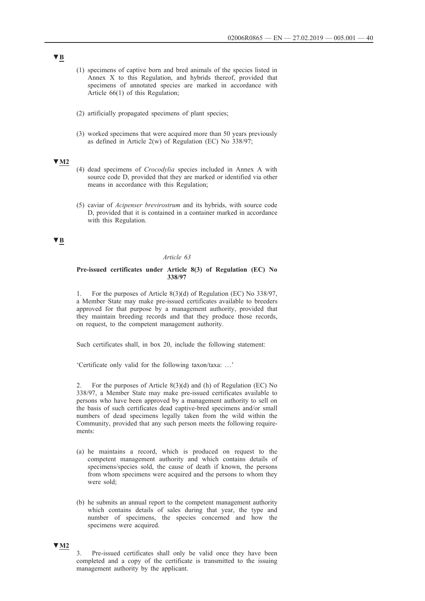- (1) specimens of captive born and bred animals of the species listed in Annex X to this Regulation, and hybrids thereof, provided that specimens of annotated species are marked in accordance with Article 66(1) of this Regulation;
- (2) artificially propagated specimens of plant species;
- (3) worked specimens that were acquired more than 50 years previously as defined in Article 2(w) of Regulation (EC) No 338/97;

- (4) dead specimens of *Crocodylia* species included in Annex A with source code D, provided that they are marked or identified via other means in accordance with this Regulation;
- (5) caviar of *Acipenser brevirostrum* and its hybrids, with source code D, provided that it is contained in a container marked in accordance with this Regulation.

### **▼B**

### *Article 63*

#### **Pre-issued certificates under Article 8(3) of Regulation (EC) No 338/97**

1. For the purposes of Article 8(3)(d) of Regulation (EC) No 338/97, a Member State may make pre-issued certificates available to breeders approved for that purpose by a management authority, provided that they maintain breeding records and that they produce those records, on request, to the competent management authority.

Such certificates shall, in box 20, include the following statement:

'Certificate only valid for the following taxon/taxa: …'

2. For the purposes of Article 8(3)(d) and (h) of Regulation (EC) No 338/97, a Member State may make pre-issued certificates available to persons who have been approved by a management authority to sell on the basis of such certificates dead captive-bred specimens and/or small numbers of dead specimens legally taken from the wild within the Community, provided that any such person meets the following requirements:

- (a) he maintains a record, which is produced on request to the competent management authority and which contains details of specimens/species sold, the cause of death if known, the persons from whom specimens were acquired and the persons to whom they were sold;
- (b) he submits an annual report to the competent management authority which contains details of sales during that year, the type and number of specimens, the species concerned and how the specimens were acquired.

### **▼M2**

<sup>3.</sup> Pre-issued certificates shall only be valid once they have been completed and a copy of the certificate is transmitted to the issuing management authority by the applicant.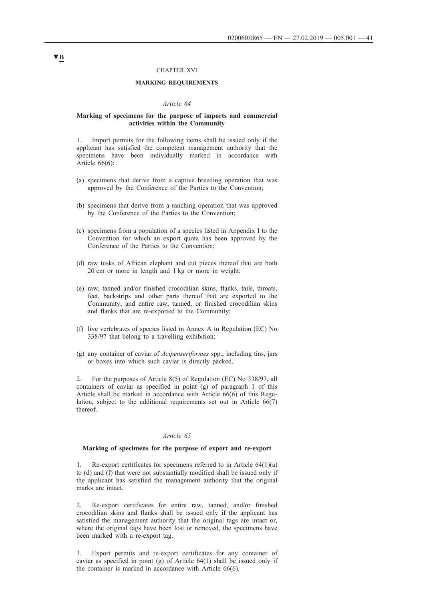#### CHAPTER XVI

#### **MARKING REQUIREMENTS**

#### *Article 64*

#### **Marking of specimens for the purpose of imports and commercial activities within the Community**

1. Import permits for the following items shall be issued only if the applicant has satisfied the competent management authority that the specimens have been individually marked in accordance with Article 66(6):

- (a) specimens that derive from a captive breeding operation that was approved by the Conference of the Parties to the Convention;
- (b) specimens that derive from a ranching operation that was approved by the Conference of the Parties to the Convention;
- (c) specimens from a population of a species listed in Appendix I to the Convention for which an export quota has been approved by the Conference of the Parties to the Convention;
- (d) raw tusks of African elephant and cut pieces thereof that are both 20 cm or more in length and 1 kg or more in weight;
- (e) raw, tanned and/or finished crocodilian skins, flanks, tails, throats, feet, backstrips and other parts thereof that are exported to the Community, and entire raw, tanned, or finished crocodilian skins and flanks that are re-exported to the Community;
- (f) live vertebrates of species listed in Annex A to Regulation (EC) No 338/97 that belong to a travelling exhibition;
- (g) any container of caviar of *Acipenseriformes* spp., including tins, jars or boxes into which such caviar is directly packed.

2. For the purposes of Article 8(5) of Regulation (EC) No 338/97, all containers of caviar as specified in point (g) of paragraph 1 of this Article shall be marked in accordance with Article 66(6) of this Regulation, subject to the additional requirements set out in Article 66(7) thereof.

#### *Article 65*

#### **Marking of specimens for the purpose of export and re-export**

1. Re-export certificates for specimens referred to in Article 64(1)(a) to (d) and (f) that were not substantially modified shall be issued only if the applicant has satisfied the management authority that the original marks are intact.

2. Re-export certificates for entire raw, tanned, and/or finished crocodilian skins and flanks shall be issued only if the applicant has satisfied the management authority that the original tags are intact or, where the original tags have been lost or removed, the specimens have been marked with a re-export tag.

3. Export permits and re-export certificates for any container of caviar as specified in point (g) of Article 64(1) shall be issued only if the container is marked in accordance with Article 66(6).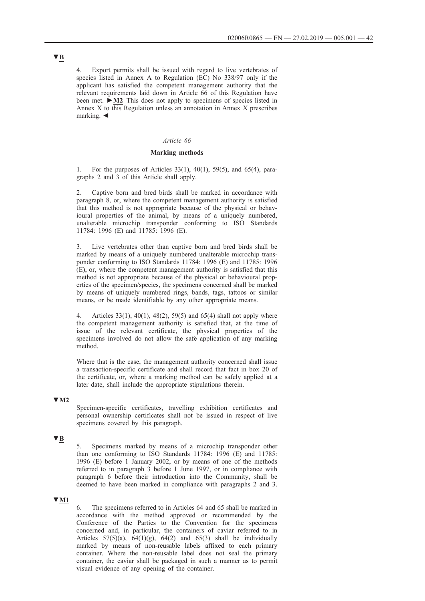4. Export permits shall be issued with regard to live vertebrates of species listed in Annex A to Regulation (EC) No 338/97 only if the applicant has satisfied the competent management authority that the relevant requirements laid down in Article 66 of this Regulation have been met. **►M2** This does not apply to specimens of species listed in Annex X to this Regulation unless an annotation in Annex X prescribes marking. ◄

### *Article 66*

#### **Marking methods**

1. For the purposes of Articles 33(1), 40(1), 59(5), and 65(4), paragraphs 2 and 3 of this Article shall apply.

2. Captive born and bred birds shall be marked in accordance with paragraph 8, or, where the competent management authority is satisfied that this method is not appropriate because of the physical or behavioural properties of the animal, by means of a uniquely numbered, unalterable microchip transponder conforming to ISO Standards 11784: 1996 (E) and 11785: 1996 (E).

3. Live vertebrates other than captive born and bred birds shall be marked by means of a uniquely numbered unalterable microchip transponder conforming to ISO Standards 11784: 1996 (E) and 11785: 1996 (E), or, where the competent management authority is satisfied that this method is not appropriate because of the physical or behavioural properties of the specimen/species, the specimens concerned shall be marked by means of uniquely numbered rings, bands, tags, tattoos or similar means, or be made identifiable by any other appropriate means.

4. Articles 33(1), 40(1), 48(2), 59(5) and 65(4) shall not apply where the competent management authority is satisfied that, at the time of issue of the relevant certificate, the physical properties of the specimens involved do not allow the safe application of any marking method.

Where that is the case, the management authority concerned shall issue a transaction-specific certificate and shall record that fact in box 20 of the certificate, or, where a marking method can be safely applied at a later date, shall include the appropriate stipulations therein.

#### **▼M2**

Specimen-specific certificates, travelling exhibition certificates and personal ownership certificates shall not be issued in respect of live specimens covered by this paragraph.

### **▼B**

5. Specimens marked by means of a microchip transponder other than one conforming to ISO Standards 11784: 1996 (E) and 11785: 1996 (E) before 1 January 2002, or by means of one of the methods referred to in paragraph 3 before 1 June 1997, or in compliance with paragraph 6 before their introduction into the Community, shall be deemed to have been marked in compliance with paragraphs 2 and 3.

#### **▼M1**

6. The specimens referred to in Articles 64 and 65 shall be marked in accordance with the method approved or recommended by the Conference of the Parties to the Convention for the specimens concerned and, in particular, the containers of caviar referred to in Articles  $57(5)(a)$ ,  $64(1)(g)$ ,  $64(2)$  and  $65(3)$  shall be individually marked by means of non-reusable labels affixed to each primary container. Where the non-reusable label does not seal the primary container, the caviar shall be packaged in such a manner as to permit visual evidence of any opening of the container.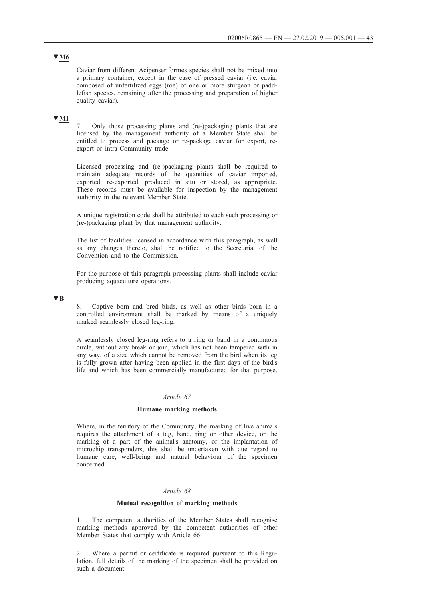Caviar from different Acipenseriformes species shall not be mixed into a primary container, except in the case of pressed caviar (i.e. caviar composed of unfertilized eggs (roe) of one or more sturgeon or paddlefish species, remaining after the processing and preparation of higher quality caviar).

## **▼M1**

7. Only those processing plants and (re-)packaging plants that are licensed by the management authority of a Member State shall be entitled to process and package or re-package caviar for export, reexport or intra-Community trade.

Licensed processing and (re-)packaging plants shall be required to maintain adequate records of the quantities of caviar imported, exported, re-exported, produced in situ or stored, as appropriate. These records must be available for inspection by the management authority in the relevant Member State.

A unique registration code shall be attributed to each such processing or (re-)packaging plant by that management authority.

The list of facilities licensed in accordance with this paragraph, as well as any changes thereto, shall be notified to the Secretariat of the Convention and to the Commission.

For the purpose of this paragraph processing plants shall include caviar producing aquaculture operations.

### **▼B**

Captive born and bred birds, as well as other birds born in a controlled environment shall be marked by means of a uniquely marked seamlessly closed leg-ring.

A seamlessly closed leg-ring refers to a ring or band in a continuous circle, without any break or join, which has not been tampered with in any way, of a size which cannot be removed from the bird when its leg is fully grown after having been applied in the first days of the bird's life and which has been commercially manufactured for that purpose.

#### *Article 67*

### **Humane marking methods**

Where, in the territory of the Community, the marking of live animals requires the attachment of a tag, band, ring or other device, or the marking of a part of the animal's anatomy, or the implantation of microchip transponders, this shall be undertaken with due regard to humane care, well-being and natural behaviour of the specimen concerned.

#### *Article 68*

### **Mutual recognition of marking methods**

1. The competent authorities of the Member States shall recognise marking methods approved by the competent authorities of other Member States that comply with Article 66.

2. Where a permit or certificate is required pursuant to this Regulation, full details of the marking of the specimen shall be provided on such a document.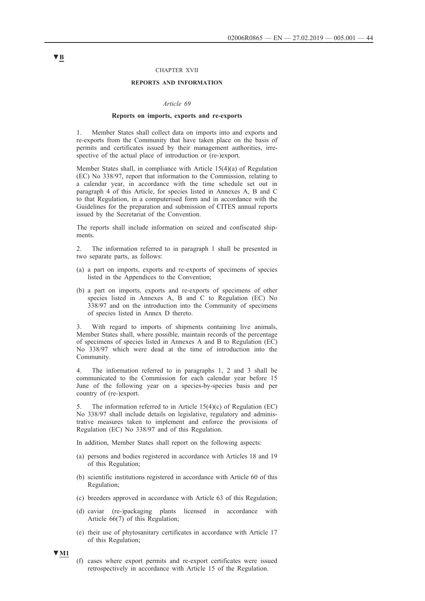#### CHAPTER XVII

#### **REPORTS AND INFORMATION**

#### *Article 69*

#### **Reports on imports, exports and re-exports**

1. Member States shall collect data on imports into and exports and re-exports from the Community that have taken place on the basis of permits and certificates issued by their management authorities, irrespective of the actual place of introduction or (re-)export.

Member States shall, in compliance with Article 15(4)(a) of Regulation (EC) No 338/97, report that information to the Commission, relating to a calendar year, in accordance with the time schedule set out in paragraph 4 of this Article, for species listed in Annexes A, B and C to that Regulation, in a computerised form and in accordance with the Guidelines for the preparation and submission of CITES annual reports issued by the Secretariat of the Convention.

The reports shall include information on seized and confiscated shipments.

2. The information referred to in paragraph 1 shall be presented in two separate parts, as follows:

- (a) a part on imports, exports and re-exports of specimens of species listed in the Appendices to the Convention;
- (b) a part on imports, exports and re-exports of specimens of other species listed in Annexes A, B and C to Regulation (EC) No 338/97 and on the introduction into the Community of specimens of species listed in Annex D thereto.

3. With regard to imports of shipments containing live animals, Member States shall, where possible, maintain records of the percentage of specimens of species listed in Annexes A and B to Regulation (EC) No 338/97 which were dead at the time of introduction into the Community.

4. The information referred to in paragraphs 1, 2 and 3 shall be communicated to the Commission for each calendar year before 15 June of the following year on a species-by-species basis and per country of (re-)export.

5. The information referred to in Article 15(4)(c) of Regulation (EC) No 338/97 shall include details on legislative, regulatory and administrative measures taken to implement and enforce the provisions of Regulation (EC) No 338/97 and of this Regulation.

In addition, Member States shall report on the following aspects:

- (a) persons and bodies registered in accordance with Articles 18 and 19 of this Regulation;
- (b) scientific institutions registered in accordance with Article 60 of this Regulation;
- (c) breeders approved in accordance with Article 63 of this Regulation;
- (d) caviar (re-)packaging plants licensed in accordance with Article 66(7) of this Regulation;
- (e) their use of phytosanitary certificates in accordance with Article 17 of this Regulation;



(f) cases where export permits and re-export certificates were issued retrospectively in accordance with Article 15 of the Regulation.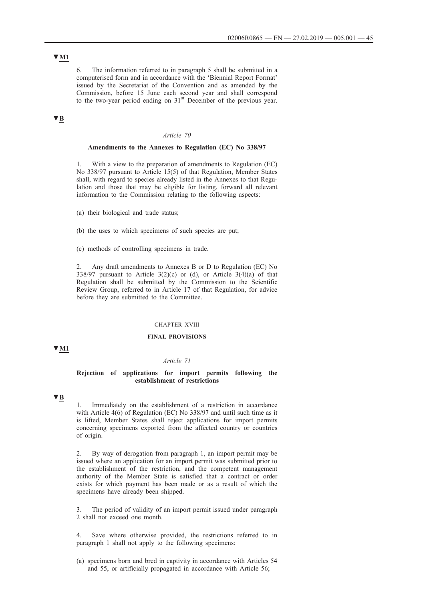6. The information referred to in paragraph 5 shall be submitted in a computerised form and in accordance with the 'Biennial Report Format' issued by the Secretariat of the Convention and as amended by the Commission, before 15 June each second year and shall correspond to the two-year period ending on  $31<sup>st</sup>$  December of the previous year.

## **▼B**

### *Article 70*

#### **Amendments to the Annexes to Regulation (EC) No 338/97**

1. With a view to the preparation of amendments to Regulation (EC) No 338/97 pursuant to Article 15(5) of that Regulation, Member States shall, with regard to species already listed in the Annexes to that Regulation and those that may be eligible for listing, forward all relevant information to the Commission relating to the following aspects:

- (a) their biological and trade status;
- (b) the uses to which specimens of such species are put;
- (c) methods of controlling specimens in trade.

2. Any draft amendments to Annexes B or D to Regulation (EC) No 338/97 pursuant to Article  $3(2)(c)$  or (d), or Article  $3(4)(a)$  of that Regulation shall be submitted by the Commission to the Scientific Review Group, referred to in Article 17 of that Regulation, for advice before they are submitted to the Committee.

#### CHAPTER XVIII

#### **FINAL PROVISIONS**

**▼M1**

#### *Article 71*

### **Rejection of applications for import permits following the establishment of restrictions**

### **▼B**

1. Immediately on the establishment of a restriction in accordance with Article 4(6) of Regulation (EC) No 338/97 and until such time as it is lifted, Member States shall reject applications for import permits concerning specimens exported from the affected country or countries of origin.

2. By way of derogation from paragraph 1, an import permit may be issued where an application for an import permit was submitted prior to the establishment of the restriction, and the competent management authority of the Member State is satisfied that a contract or order exists for which payment has been made or as a result of which the specimens have already been shipped.

3. The period of validity of an import permit issued under paragraph 2 shall not exceed one month.

4. Save where otherwise provided, the restrictions referred to in paragraph 1 shall not apply to the following specimens:

(a) specimens born and bred in captivity in accordance with Articles 54 and 55, or artificially propagated in accordance with Article 56;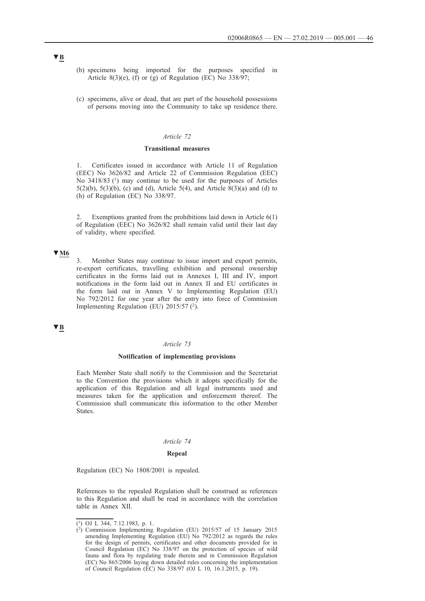- (b) specimens being imported for the purposes specified in Article 8(3)(e), (f) or (g) of Regulation (EC) No  $338/97$ ;
- (c) specimens, alive or dead, that are part of the household possessions of persons moving into the Community to take up residence there.

### *Article 72*

### **Transitional measures**

1. Certificates issued in accordance with Article 11 of Regulation (EEC) No 3626/82 and Article 22 of Commission Regulation (EEC) No 3418/83 (<sup>1</sup>) may continue to be used for the purposes of Articles 5(2)(b), 5(3)(b), (c) and (d), Article 5(4), and Article  $8(3)(a)$  and (d) to (h) of Regulation (EC) No 338/97.

2. Exemptions granted from the prohibitions laid down in Article 6(1) of Regulation (EEC) No 3626/82 shall remain valid until their last day of validity, where specified.

## **▼M6**

3. Member States may continue to issue import and export permits, re-export certificates, travelling exhibition and personal ownership certificates in the forms laid out in Annexes I, III and IV, import notifications in the form laid out in Annex II and EU certificates in the form laid out in Annex V to Implementing Regulation (EU) No 792/2012 for one year after the entry into force of Commission Implementing Regulation (EU)  $2015/57$  (<sup>2</sup>).

### **▼B**

#### *Article 73*

#### **Notification of implementing provisions**

Each Member State shall notify to the Commission and the Secretariat to the Convention the provisions which it adopts specifically for the application of this Regulation and all legal instruments used and measures taken for the application and enforcement thereof. The Commission shall communicate this information to the other Member States.

### *Article 74*

#### **Repeal**

Regulation (EC) No 1808/2001 is repealed.

References to the repealed Regulation shall be construed as references to this Regulation and shall be read in accordance with the correlation table in Annex XII.

<sup>(1)</sup> OJ L 344, 7.12.1983, p. 1.

<sup>(2)</sup> Commission Implementing Regulation (EU) 2015/57 of 15 January 2015 amending Implementing Regulation (EU) No 792/2012 as regards the rules for the design of permits, certificates and other documents provided for in Council Regulation (EC) No 338/97 on the protection of species of wild fauna and flora by regulating trade therein and in Commission Regulation (EC) No 865/2006 laying down detailed rules concerning the implementation of Council Regulation (EC) No 338/97 (OJ L 10, 16.1.2015, p. 19).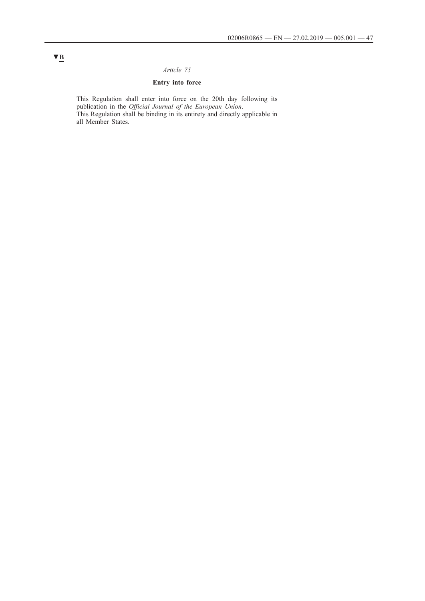## *Article 75*

## **Entry into force**

This Regulation shall enter into force on the 20th day following its publication in the *Official Journal of the European Union*. This Regulation shall be binding in its entirety and directly applicable in all Member States.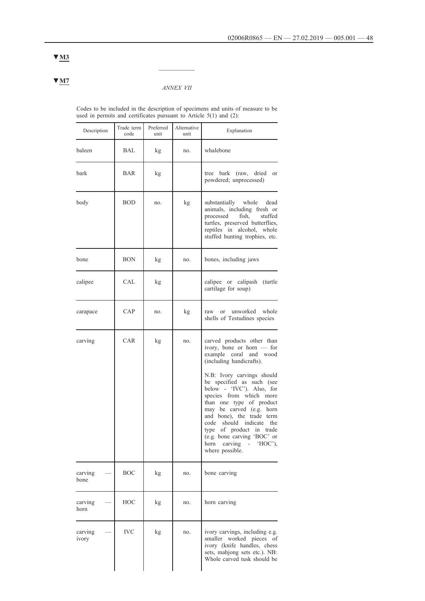### *ANNEX VII*

 $\frac{1}{2}$ 

Codes to be included in the description of specimens and units of measure to be used in permits and certificates pursuant to Article 5(1) and (2):

| Description      | Trade term<br>code | Preferred<br>unit | Alternative<br>unit | Explanation                                                                                                                                                                                                                                                                                                                                                                                                                                                          |
|------------------|--------------------|-------------------|---------------------|----------------------------------------------------------------------------------------------------------------------------------------------------------------------------------------------------------------------------------------------------------------------------------------------------------------------------------------------------------------------------------------------------------------------------------------------------------------------|
| baleen           | BAL                | kg                | no.                 | whalebone                                                                                                                                                                                                                                                                                                                                                                                                                                                            |
| bark             | BAR                | kg                |                     | tree bark (raw, dried or<br>powdered; unprocessed)                                                                                                                                                                                                                                                                                                                                                                                                                   |
| body             | <b>BOD</b>         | no.               | kg                  | substantially whole dead<br>animals, including fresh or<br>processed<br>fish,<br>stuffed<br>turtles, preserved butterflies,<br>reptiles in alcohol, whole<br>stuffed hunting trophies, etc.                                                                                                                                                                                                                                                                          |
| bone             | <b>BON</b>         | kg                | no.                 | bones, including jaws                                                                                                                                                                                                                                                                                                                                                                                                                                                |
| calipee          | CAL                | kg                |                     | calipee or calipash (turtle<br>cartilage for soup)                                                                                                                                                                                                                                                                                                                                                                                                                   |
| carapace         | CAP                | no.               | kg                  | unworked whole<br>raw<br>or<br>shells of Testudines species                                                                                                                                                                                                                                                                                                                                                                                                          |
| carving          | CAR                | kg                | no.                 | carved products other than<br>ivory, bone or horn $-$ for<br>example coral<br>and wood<br>(including handicrafts).<br>N.B: Ivory carvings should<br>be specified as such (see<br>below - 'IVC'). Also, for<br>species from which more<br>than one type of product<br>may be carved (e.g. horn<br>and bone), the trade term<br>should indicate<br>the<br>code<br>type of product in trade<br>(e.g. bone carving 'BOC' or<br>horn carving - 'HOC'),<br>where possible. |
| carving<br>bone  | <b>BOC</b>         | kg                | no.                 | bone carving                                                                                                                                                                                                                                                                                                                                                                                                                                                         |
| carving<br>horn  | HOC                | kg                | no.                 | horn carving                                                                                                                                                                                                                                                                                                                                                                                                                                                         |
| carving<br>ivory | <b>IVC</b>         | kg                | no.                 | ivory carvings, including e.g.<br>smaller<br>worked pieces<br>of<br>ivory (knife handles, chess<br>sets, mahjong sets etc.). NB:<br>Whole carved tusk should be                                                                                                                                                                                                                                                                                                      |

# **▼M3**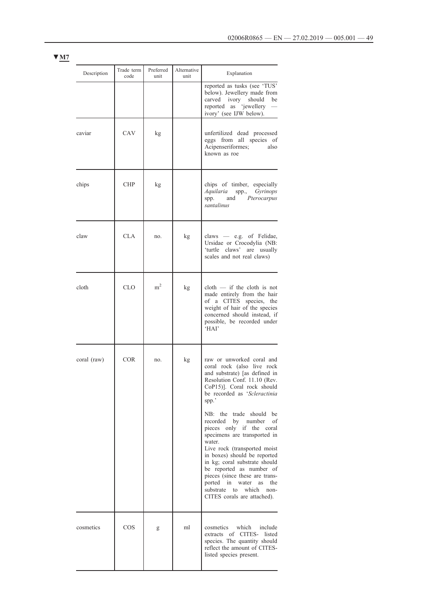| Description | Trade term<br>code | Preferred<br>unit | Alternative<br>unit | Explanation                                                                                                                                                                                                                                                                                                                                                                                       |
|-------------|--------------------|-------------------|---------------------|---------------------------------------------------------------------------------------------------------------------------------------------------------------------------------------------------------------------------------------------------------------------------------------------------------------------------------------------------------------------------------------------------|
|             |                    |                   |                     | reported as tusks (see 'TUS'<br>below). Jewellery made from<br>carved ivory should<br>be<br>reported as 'jewellery<br>ivory' (see IJW below).                                                                                                                                                                                                                                                     |
| caviar      | CAV                | kg                |                     | unfertilized dead processed<br>eggs from all species of<br>Acipenseriformes;<br>also<br>known as roe                                                                                                                                                                                                                                                                                              |
| chips       | <b>CHP</b>         | kg                |                     | chips of timber, especially<br>Aquilaria<br>spp., Gyrinops<br>Pterocarpus<br>and<br>spp.<br>santalinus                                                                                                                                                                                                                                                                                            |
| claw        | <b>CLA</b>         | no.               | kg                  | claws - e.g. of Felidae,<br>Ursidae or Crocodylia (NB:<br>'turtle claws' are usually<br>scales and not real claws)                                                                                                                                                                                                                                                                                |
| cloth       | <b>CLO</b>         | m <sup>2</sup>    | kg                  | $\text{cloth}$ - if the cloth is not<br>made entirely from the hair<br>of a CITES species, the<br>weight of hair of the species<br>concerned should instead, if<br>possible, be recorded under<br>'HAI'                                                                                                                                                                                           |
| coral (raw) | <b>COR</b>         | no.               | kg                  | raw or unworked coral and<br>coral rock (also live rock<br>and substrate) [as defined in<br>Resolution Conf. 11.10 (Rev.<br>CoP15)]. Coral rock should<br>be recorded as 'Scleractinia<br>spp.'                                                                                                                                                                                                   |
|             |                    |                   |                     | NB: the trade should<br>be<br>by number<br>of<br>recorded<br>pieces only if the coral<br>specimens are transported in<br>water.<br>Live rock (transported moist<br>in boxes) should be reported<br>in kg; coral substrate should<br>be reported as number of<br>pieces (since these are trans-<br>ported in water<br>as<br>the<br>substrate<br>which<br>to<br>non-<br>CITES corals are attached). |
| cosmetics   | $\cos$             | g                 | ml                  | cosmetics<br>which<br>include<br>extracts of CITES- listed<br>species. The quantity should<br>reflect the amount of CITES-<br>listed species present.                                                                                                                                                                                                                                             |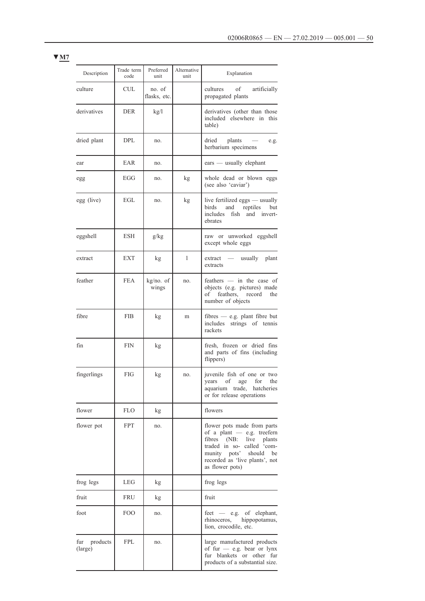| Description             | Trade term<br>code | Preferred<br>unit      | Alternative<br>unit | Explanation                                                                                                                                                                                            |
|-------------------------|--------------------|------------------------|---------------------|--------------------------------------------------------------------------------------------------------------------------------------------------------------------------------------------------------|
| culture                 | CUL                | no. of<br>flasks, etc. |                     | cultures of<br>artificially<br>propagated plants                                                                                                                                                       |
| derivatives             | <b>DER</b>         | kg/l                   |                     | derivatives (other than those<br>included elsewhere in this<br>table)                                                                                                                                  |
| dried plant             | <b>DPL</b>         | no.                    |                     | dried<br>plants<br>e.g.<br>herbarium specimens                                                                                                                                                         |
| ear                     | EAR                | no.                    |                     | $\text{ears}$ — usually elephant                                                                                                                                                                       |
| egg                     | EGG                | no.                    | kg                  | whole dead or blown eggs<br>(see also 'caviar')                                                                                                                                                        |
| egg (live)              | EGL.               | no.                    | kg                  | live fertilized eggs — usually<br>birds<br>and reptiles<br>but<br>includes fish and invert-<br>ebrates                                                                                                 |
| eggshell                | <b>ESH</b>         | g/kg                   |                     | raw or unworked eggshell<br>except whole eggs                                                                                                                                                          |
| extract                 | <b>EXT</b>         | kg                     | 1                   | extract — usually plant<br>extracts                                                                                                                                                                    |
| feather                 | <b>FEA</b>         | kg/no. of<br>wings     | no.                 | feathers $-$ in the case of<br>objects (e.g. pictures) made<br>of feathers, record<br>the<br>number of objects                                                                                         |
| fibre                   | <b>FIB</b>         | kg                     | m                   | fibres - e.g. plant fibre but<br>includes<br>strings of tennis<br>rackets                                                                                                                              |
| fin                     | <b>FIN</b>         | kg                     |                     | fresh, frozen or dried fins<br>and parts of fins (including<br>flippers)                                                                                                                               |
| fingerlings             | FIG                | kg                     | no.                 | juvenile fish of one or two<br>years of age for the<br>aquarium trade, hatcheries<br>or for release operations                                                                                         |
| flower                  | <b>FLO</b>         | kg                     |                     | flowers                                                                                                                                                                                                |
| flower pot              | <b>FPT</b>         | no.                    |                     | flower pots made from parts<br>of a plant $-$ e.g. treefern<br>fibres (NB: live plants<br>traded in so- called 'com-<br>munity pots'<br>should be<br>recorded as 'live plants', not<br>as flower pots) |
| frog legs               | LEG                | kg                     |                     | frog legs                                                                                                                                                                                              |
| fruit                   | FRU                | kg                     |                     | fruit                                                                                                                                                                                                  |
| foot                    | FOO                | no.                    |                     | feet — e.g. of elephant,<br>rhinoceros, hippopotamus,<br>lion, crocodile, etc.                                                                                                                         |
| fur products<br>(large) | <b>FPL</b>         | no.                    |                     | large manufactured products<br>of fur $-$ e.g. bear or lynx<br>fur blankets or other fur<br>products of a substantial size.                                                                            |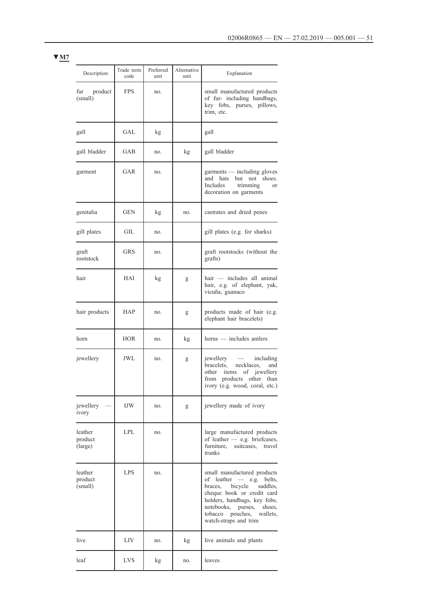| Description                   | Trade term<br>code | Preferred<br>unit | Alternative<br>unit | Explanation                                                                                                                                                                                                                                         |
|-------------------------------|--------------------|-------------------|---------------------|-----------------------------------------------------------------------------------------------------------------------------------------------------------------------------------------------------------------------------------------------------|
| fur product<br>(small)        | <b>FPS</b>         | no.               |                     | small manufactured products<br>of fur- including handbags,<br>key fobs, purses, pillows,<br>trim, etc.                                                                                                                                              |
| gall                          | GAL                | kg                |                     | gall                                                                                                                                                                                                                                                |
| gall bladder                  | GAB                | no.               | kg                  | gall bladder                                                                                                                                                                                                                                        |
| garment                       | GAR                | no.               |                     | garments - including gloves<br>but<br>not shoes.<br>and hats<br>Includes<br>trimming<br>or<br>decoration on garments                                                                                                                                |
| genitalia                     | GEN                | kg                | no.                 | castrates and dried penes                                                                                                                                                                                                                           |
| gill plates                   | GIL                | no.               |                     | gill plates (e.g. for sharks)                                                                                                                                                                                                                       |
| graft<br>rootstock            | GRS                | no.               |                     | graft rootstocks (without the<br>grafts)                                                                                                                                                                                                            |
| hair                          | HAI                | kg                | g                   | hair — includes all animal<br>hair, e.g. of elephant, yak,<br>vicuña, guanaco                                                                                                                                                                       |
| hair products                 | HAP                | no.               | g                   | products made of hair (e.g.<br>elephant hair bracelets)                                                                                                                                                                                             |
| horn                          | <b>HOR</b>         | no.               | kg                  | horns — includes antlers                                                                                                                                                                                                                            |
| jewellery                     | JWL                | no.               | g                   | jewellery<br>including<br>$\sim$ $-$<br>bracelets, necklaces,<br>and<br>items<br>of jewellery<br>other<br>from<br>products other<br>than<br>ivory (e.g. wood, coral, etc.)                                                                          |
| jewellery<br>ivory            | <b>IJW</b>         | no.               | g                   | jewellery made of ivory                                                                                                                                                                                                                             |
| leather<br>product<br>(large) | <b>LPL</b>         | no.               |                     | large manufactured products<br>of leather - e.g. briefcases,<br>furniture,<br>suitcases,<br>travel<br>trunks                                                                                                                                        |
| leather<br>product<br>(small) | <b>LPS</b>         | no.               |                     | small manufactured products<br>of leather - e.g. belts,<br>bicycle<br>braces,<br>saddles,<br>cheque book or credit card<br>holders, handbags, key fobs,<br>notebooks,<br>purses,<br>shoes,<br>tobacco pouches,<br>wallets,<br>watch-straps and trim |
| live                          | LIV                | no.               | kg                  | live animals and plants                                                                                                                                                                                                                             |
| leaf                          | <b>LVS</b>         | kg                | no.                 | leaves                                                                                                                                                                                                                                              |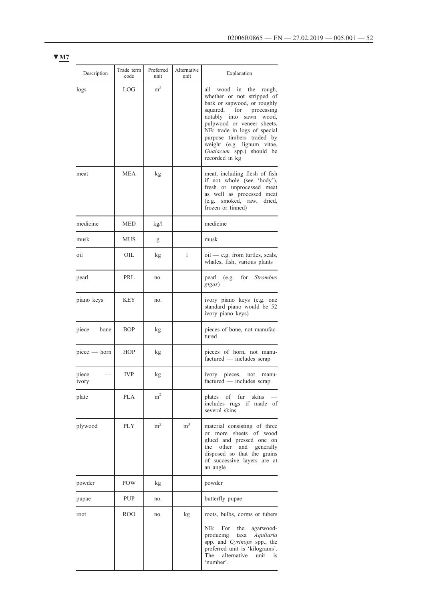| Description    | Trade term<br>code | Preferred<br>unit | Alternative<br>unit | Explanation                                                                                                                                                                                                                                                                                                                  |
|----------------|--------------------|-------------------|---------------------|------------------------------------------------------------------------------------------------------------------------------------------------------------------------------------------------------------------------------------------------------------------------------------------------------------------------------|
| logs           | LOG                | m <sup>3</sup>    |                     | wood in<br>the rough,<br>all<br>whether or not stripped of<br>bark or sapwood, or roughly<br>squared,<br>for<br>processing<br>notably into sawn wood,<br>pulpwood or veneer sheets.<br>NB: trade in logs of special<br>purpose timbers traded by<br>weight (e.g. lignum vitae,<br>Guaiacum spp.) should be<br>recorded in kg |
| meat           | <b>MEA</b>         | kg                |                     | meat, including flesh of fish<br>if not whole (see 'body'),<br>fresh or unprocessed meat<br>as well as processed meat<br>(e.g. smoked, raw, dried,<br>frozen or tinned)                                                                                                                                                      |
| medicine       | <b>MED</b>         | kg/l              |                     | medicine                                                                                                                                                                                                                                                                                                                     |
| musk           | <b>MUS</b>         | g                 |                     | musk                                                                                                                                                                                                                                                                                                                         |
| oil            | OIL                | kg                | 1                   | $\text{oil}$ — e.g. from turtles, seals,<br>whales, fish, various plants                                                                                                                                                                                                                                                     |
| pearl          | PRL                | no.               |                     | for Strombus<br>pearl<br>(e.g.<br>gigas)                                                                                                                                                                                                                                                                                     |
| piano keys     | KEY                | no.               |                     | ivory piano keys (e.g. one<br>standard piano would be 52<br>ivory piano keys)                                                                                                                                                                                                                                                |
| piece — bone   | <b>BOP</b>         | kg                |                     | pieces of bone, not manufac-<br>tured                                                                                                                                                                                                                                                                                        |
| piece - horn   | <b>HOP</b>         | kg                |                     | pieces of horn, not manu-<br>factured — includes scrap                                                                                                                                                                                                                                                                       |
| piece<br>ivory | <b>IVP</b>         | kg                |                     | ivory pieces, not<br>manu-<br>factured - includes scrap                                                                                                                                                                                                                                                                      |
| plate          | <b>PLA</b>         | m <sup>2</sup>    |                     | plates of fur skins<br>includes rugs if made of<br>several skins                                                                                                                                                                                                                                                             |
| plywood        | PLY                | m <sup>2</sup>    | m <sup>3</sup>      | material consisting of three<br>or more sheets of wood<br>glued and pressed one on<br>the other and generally<br>disposed so that the grains<br>of successive layers are at<br>an angle                                                                                                                                      |
| powder         | POW                | kg                |                     | powder                                                                                                                                                                                                                                                                                                                       |
| pupae          | <b>PUP</b>         | no.               |                     | butterfly pupae                                                                                                                                                                                                                                                                                                              |
| root           | ROO                | no.               | kg                  | roots, bulbs, corms or tubers                                                                                                                                                                                                                                                                                                |
|                |                    |                   |                     | For<br>the<br>NB:<br>agarwood-<br>producing<br>taxa Aquilaria<br>spp. and Gyrinops spp., the<br>preferred unit is 'kilograms'.<br>The<br>alternative<br>unit<br>is<br>'number'.                                                                                                                                              |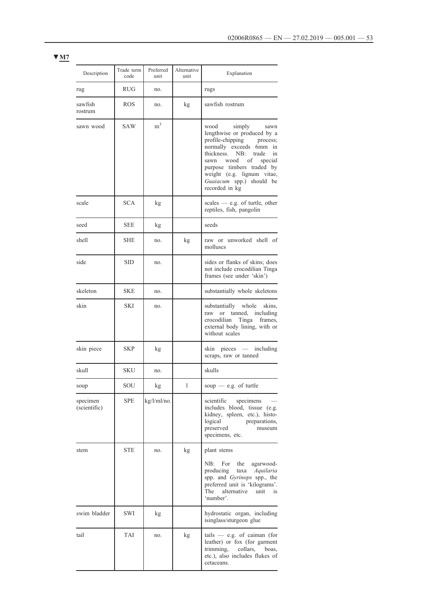| Description              | Trade term<br>code | Preferred<br>unit | Alternative<br>unit | Explanation                                                                                                                                                                                                                                                                           |
|--------------------------|--------------------|-------------------|---------------------|---------------------------------------------------------------------------------------------------------------------------------------------------------------------------------------------------------------------------------------------------------------------------------------|
| rug                      | <b>RUG</b>         | no.               |                     | rugs                                                                                                                                                                                                                                                                                  |
| sawfish<br>rostrum       | <b>ROS</b>         | no.               | kg                  | sawfish rostrum                                                                                                                                                                                                                                                                       |
| sawn wood                | <b>SAW</b>         | $\mathrm{m}^3$    |                     | simply<br>wood<br>sawn<br>lengthwise or produced by a<br>profile-chipping process;<br>normally exceeds 6mm in<br>NB: trade<br>thickness.<br>in<br>wood of<br>sawn<br>special<br>purpose timbers traded by<br>weight (e.g. lignum vitae,<br>Guaiacum spp.) should be<br>recorded in kg |
| scale                    | <b>SCA</b>         | kg                |                     | scales $-$ e.g. of turtle, other<br>reptiles, fish, pangolin                                                                                                                                                                                                                          |
| seed                     | <b>SEE</b>         | kg                |                     | seeds                                                                                                                                                                                                                                                                                 |
| shell                    | <b>SHE</b>         | no.               | kg                  | raw or unworked shell of<br>molluses                                                                                                                                                                                                                                                  |
| side                     | <b>SID</b>         | no.               |                     | sides or flanks of skins; does<br>not include crocodilian Tinga<br>frames (see under 'skin')                                                                                                                                                                                          |
| skeleton                 | <b>SKE</b>         | no.               |                     | substantially whole skeletons                                                                                                                                                                                                                                                         |
| skin                     | <b>SKI</b>         | no.               |                     | substantially whole<br>skins.<br>raw or tanned, including<br>crocodilian<br>Tinga<br>frames,<br>external body lining, with or<br>without scales                                                                                                                                       |
| skin piece               | SKP                | kg                |                     | skin pieces — including<br>scraps, raw or tanned                                                                                                                                                                                                                                      |
| skull                    | <b>SKU</b>         | no.               |                     | skulls                                                                                                                                                                                                                                                                                |
| soup                     | SOU                | kg                | 1                   | soup $-$ e.g. of turtle                                                                                                                                                                                                                                                               |
| specimen<br>(scientific) | <b>SPE</b>         | kg/l/ml/no.       |                     | scientific<br>specimens<br>includes blood, tissue (e.g.<br>kidney, spleen, etc.), histo-<br>logical<br>preparations,<br>preserved<br>museum<br>specimens, etc.                                                                                                                        |
| stem                     | <b>STE</b>         | no.               | kg                  | plant stems                                                                                                                                                                                                                                                                           |
|                          |                    |                   |                     | NB:<br>For<br>the<br>agarwood-<br>producing<br>taxa Aquilaria<br>spp. and Gyrinops spp., the<br>preferred unit is 'kilograms'.<br>alternative<br>The<br>unit<br>is<br>'number'.                                                                                                       |
| swim bladder             | SWI                | kg                |                     | hydrostatic organ, including<br>isinglass/sturgeon glue                                                                                                                                                                                                                               |
| tail                     | TAI                | no.               | kg                  | $tails$ - e.g. of caiman (for<br>leather) or fox (for garment<br>trimming, collars, boas,<br>etc.), also includes flukes of<br>cetaceans.                                                                                                                                             |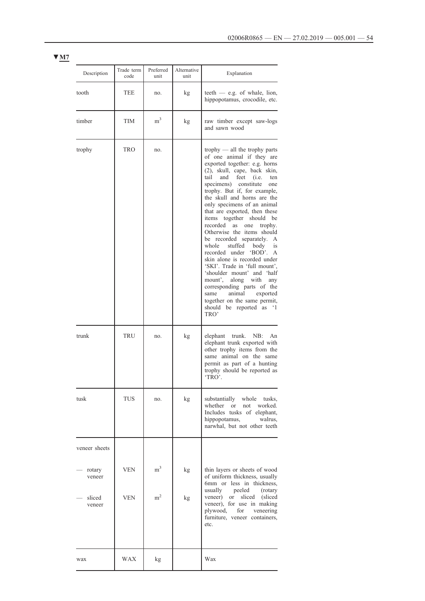| Description                          | Trade term<br>code | Preferred<br>unit           | Alternative<br>unit | Explanation                                                                                                                                                                                                                                                                                                                                                                                                                                                                                                                                                                                                                                                                                                                                                                                                  |
|--------------------------------------|--------------------|-----------------------------|---------------------|--------------------------------------------------------------------------------------------------------------------------------------------------------------------------------------------------------------------------------------------------------------------------------------------------------------------------------------------------------------------------------------------------------------------------------------------------------------------------------------------------------------------------------------------------------------------------------------------------------------------------------------------------------------------------------------------------------------------------------------------------------------------------------------------------------------|
| tooth                                | TEE                | no.                         | kg                  | teeth $-$ e.g. of whale, lion,<br>hippopotamus, crocodile, etc.                                                                                                                                                                                                                                                                                                                                                                                                                                                                                                                                                                                                                                                                                                                                              |
| timber                               | TIM                | m <sup>3</sup>              | kg                  | raw timber except saw-logs<br>and sawn wood                                                                                                                                                                                                                                                                                                                                                                                                                                                                                                                                                                                                                                                                                                                                                                  |
| trophy                               | TRO                | no.                         |                     | trophy $-$ all the trophy parts<br>of one animal if they are<br>exported together: e.g. horns<br>(2), skull, cape, back skin,<br>tail<br>and<br>$feet$ (i.e.<br>ten<br>specimens)<br>constitute<br>one<br>trophy. But if, for example,<br>the skull and horns are the<br>only specimens of an animal<br>that are exported, then these<br>items together should<br>be<br>recorded<br>as<br>one<br>trophy.<br>Otherwise the items should<br>be recorded separately.<br>А<br>stuffed body<br>whole<br>is<br>'BOD'.<br>recorded under<br>A<br>skin alone is recorded under<br>'SKI'. Trade in 'full mount',<br>'shoulder mount' and 'half<br>mount', along with<br>any<br>corresponding parts of the<br>animal<br>exported<br>same<br>together on the same permit,<br>should be reported as<br>$\cdot_1$<br>TRO' |
| trunk                                | TRU                | no.                         | kg                  | elephant<br>trunk.<br>NB:<br>An<br>elephant trunk exported with<br>other trophy items from the<br>same animal on the same<br>permit as part of a hunting<br>trophy should be reported as<br>'TRO'.                                                                                                                                                                                                                                                                                                                                                                                                                                                                                                                                                                                                           |
| tusk                                 | TUS                | no.                         | kg                  | substantially<br>whole<br>tusks,<br>whether<br>worked.<br>or<br>not<br>Includes tusks of elephant,<br>hippopotamus, walrus,<br>narwhal, but not other teeth                                                                                                                                                                                                                                                                                                                                                                                                                                                                                                                                                                                                                                                  |
| veneer sheets                        |                    |                             |                     |                                                                                                                                                                                                                                                                                                                                                                                                                                                                                                                                                                                                                                                                                                                                                                                                              |
| rotary<br>veneer<br>sliced<br>veneer | VEN<br>VEN         | m <sup>3</sup><br>$\rm m^2$ | kg<br>kg            | thin layers or sheets of wood<br>of uniform thickness, usually<br>6mm or less in thickness,<br>usually peeled<br>(rotary)<br>or sliced<br>veneer)<br>(sliced)<br>veneer), for use in making<br>plywood, for veneering<br>furniture, veneer containers,<br>etc.                                                                                                                                                                                                                                                                                                                                                                                                                                                                                                                                               |
| wax                                  | WAX                | kg                          |                     | Wax                                                                                                                                                                                                                                                                                                                                                                                                                                                                                                                                                                                                                                                                                                                                                                                                          |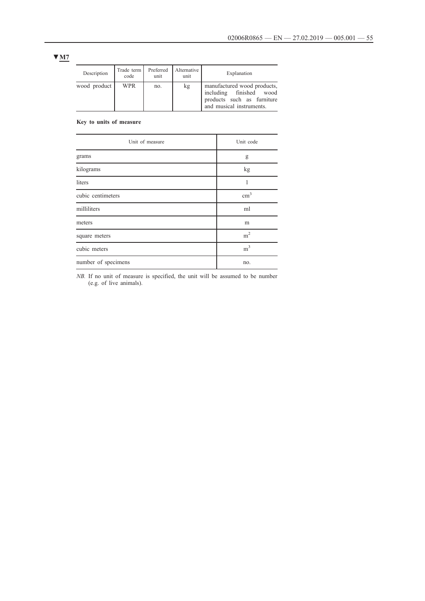| Description  | Trade term  <br>code | Preferred<br>unit | Alternative<br>unit | Explanation                                                                                                      |
|--------------|----------------------|-------------------|---------------------|------------------------------------------------------------------------------------------------------------------|
| wood product | <b>WPR</b>           | no.               | kg                  | manufactured wood products,<br>including finished wood<br>products such as furniture<br>and musical instruments. |

**Key to units of measure**

| Unit of measure     | Unit code      |
|---------------------|----------------|
| grams               | g              |
| kilograms           | kg             |
| liters              |                |
| cubic centimeters   | $\text{cm}^3$  |
| milliliters         | ml             |
| meters              | m              |
| square meters       | m <sup>2</sup> |
| cubic meters        | m <sup>3</sup> |
| number of specimens | no.            |

*NB*. If no unit of measure is specified, the unit will be assumed to be number (e.g. of live animals).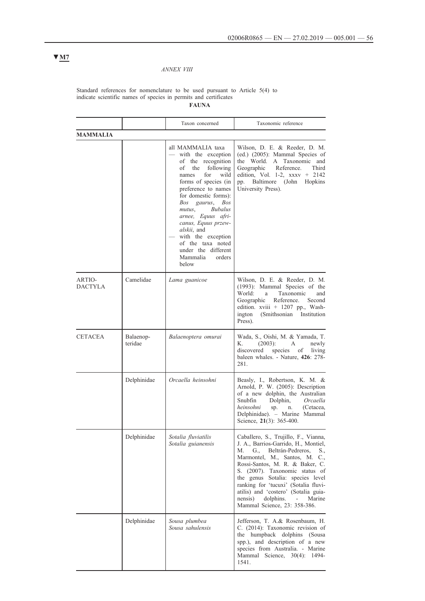## *ANNEX VIII*

#### Standard references for nomenclature to be used pursuant to Article 5(4) to indicate scientific names of species in permits and certificates **FAUNA**

|                          |                      | Taxon concerned                                                                                                                                                                                                                                                                                                                                                                                               | Taxonomic reference                                                                                                                                                                                                                                                                                                                                                                                                          |
|--------------------------|----------------------|---------------------------------------------------------------------------------------------------------------------------------------------------------------------------------------------------------------------------------------------------------------------------------------------------------------------------------------------------------------------------------------------------------------|------------------------------------------------------------------------------------------------------------------------------------------------------------------------------------------------------------------------------------------------------------------------------------------------------------------------------------------------------------------------------------------------------------------------------|
| <b>MAMMALIA</b>          |                      |                                                                                                                                                                                                                                                                                                                                                                                                               |                                                                                                                                                                                                                                                                                                                                                                                                                              |
|                          |                      | all MAMMALIA taxa<br>with the exception<br>of the recognition<br>οf<br>the<br>following<br>for<br>wild<br>names<br>forms of species (in<br>preference to names<br>for domestic forms):<br>Bos gaurus,<br>Bos<br><b>Bubalus</b><br>mutus,<br>arnee, Equus afri-<br>canus, Equus przew-<br><i>alskii</i> , and<br>with the exception<br>of the taxa noted<br>under the different<br>Mammalia<br>orders<br>below | Wilson, D. E. & Reeder, D. M.<br>(ed.) (2005): Mammal Species of<br>the World. A Taxonomic and<br>Geographic<br>Reference.<br>Third<br>edition, Vol. 1-2, $xxxx + 2142$<br>Baltimore (John<br>pp.<br>Hopkins<br>University Press).                                                                                                                                                                                           |
| ARTIO-<br><b>DACTYLA</b> | Camelidae            | Lama guanicoe                                                                                                                                                                                                                                                                                                                                                                                                 | Wilson, D. E. & Reeder, D. M.<br>(1993): Mammal Species of the<br>World:<br>Taxonomic<br>and<br>a<br>Reference.<br>Geographic<br>Second<br>edition. xviii + 1207 pp., Wash-<br>ington<br>(Smithsonian)<br>Institution<br>Press).                                                                                                                                                                                             |
| <b>CETACEA</b>           | Balaenop-<br>teridae | Balaenoptera omurai                                                                                                                                                                                                                                                                                                                                                                                           | Wada, S., Oishi, M. & Yamada, T.<br>К.<br>$(2003)$ :<br>A<br>newly<br>discovered<br>species<br>living<br>οf<br>baleen whales. - Nature, 426: 278-<br>281.                                                                                                                                                                                                                                                                    |
|                          | Delphinidae          | Orcaella heinsohni                                                                                                                                                                                                                                                                                                                                                                                            | Beasly, I., Robertson, K. M. &<br>Arnold, P. W. (2005): Description<br>of a new dolphin, the Australian<br>Snubfin<br>Dolphin,<br>Orcaella<br>heinsohni<br>(Cetacea,<br>sp.<br>n.<br>Delphinidae). - Marine Mammal<br>Science, 21(3): 365-400.                                                                                                                                                                               |
|                          | Delphinidae          | Sotalia fluviatilis<br>Sotalia guianensis                                                                                                                                                                                                                                                                                                                                                                     | Caballero, S., Trujillo, F., Vianna,<br>J. A., Barrios-Garrido, H., Montiel,<br>M. G.,<br>Beltrán-Pedreros,<br>S.,<br>Marmontel, M., Santos, M. C.,<br>Rossi-Santos, M. R. & Baker, C.<br>S. (2007). Taxonomic status of<br>the genus Sotalia: species level<br>ranking for 'tucuxi' (Sotalia fluvi-<br>atilis) and 'costero' (Sotalia guia-<br>dolphins.<br>nensis)<br>Marine<br>$\sim 100$<br>Mammal Science, 23: 358-386. |
|                          | Delphinidae          | Sousa plumbea<br>Sousa sahulensis                                                                                                                                                                                                                                                                                                                                                                             | Jefferson, T. A.& Rosenbaum, H.<br>C. (2014): Taxonomic revision of<br>the humpback dolphins (Sousa<br>spp.), and description of a new<br>species from Australia. - Marine<br>Mammal Science, 30(4): 1494-<br>1541.                                                                                                                                                                                                          |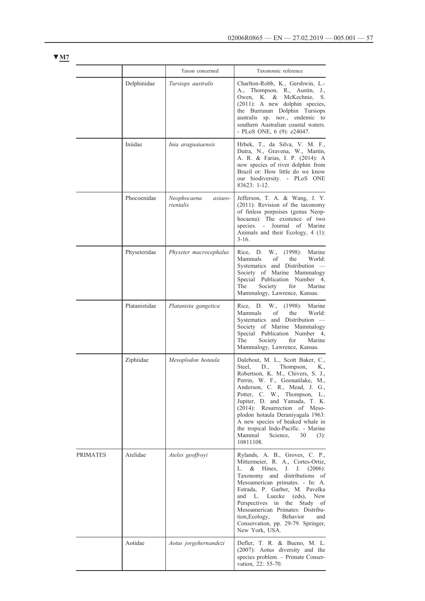|                 |               | Taxon concerned                     | Taxonomic reference                                                                                                                                                                                                                                                                                                                                                                                                                                      |
|-----------------|---------------|-------------------------------------|----------------------------------------------------------------------------------------------------------------------------------------------------------------------------------------------------------------------------------------------------------------------------------------------------------------------------------------------------------------------------------------------------------------------------------------------------------|
|                 | Delphinidae   | Tursiops australis                  | Charlton-Robb, K., Gershwin, L.-<br>A., Thompson, R., Austin, J.,<br>Owen, K. & McKechnie,<br>S.<br>(2011): A new dolphin species,<br>the Burrunan Dolphin Tursiops<br>australis sp. nov., endemic to<br>southern Australian coastal waters.<br>- PLoS ONE, 6 (9): e24047.                                                                                                                                                                               |
|                 | Iniidae       | Inia araguaiaensis                  | Hrbek, T., da Silva, V. M. F.,<br>Dutra, N., Gravena, W., Martin,<br>A. R. & Farias, I. P. (2014): A<br>new species of river dolphin from<br>Brazil or: How little do we know<br>our biodiversity. - PLoS ONE<br>83623: 1-12.                                                                                                                                                                                                                            |
|                 | Phocoenidae   | Neophocaena<br>asiaeo-<br>rientalis | Jefferson, T. A. & Wang, J. Y.<br>(2011): Revision of the taxonomy<br>of finless porpoises (genus Neop-<br>hocaena): The existence of two<br>species. - Journal of Marine<br>Animals and their Ecology, 4 (1):<br>$3-16.$                                                                                                                                                                                                                                |
|                 | Physeteridae  | Physeter macrocephalus              | Rice, D.<br>W., (1998): Marine<br>Mammals<br>World:<br>of<br>the<br>Systematics and Distribution -<br>Society of Marine Mammalogy<br>Special Publication Number 4,<br>The<br>Society<br>for<br>Marine<br>Mammalogy, Lawrence, Kansas.                                                                                                                                                                                                                    |
|                 | Platanistidae | Platanista gangetica                | Rice, D.<br>W.,<br>(1998):<br>Marine<br>Mammals<br>of<br>the<br>World:<br>Systematics and Distribution -<br>Society of Marine Mammalogy<br>Special Publication Number 4,<br>The<br>Society<br>for<br>Marine<br>Mammalogy, Lawrence, Kansas.                                                                                                                                                                                                              |
|                 | Ziphiidae     | Mesoplodon hotaula                  | Dalebout, M. L., Scott Baker, C.,<br>Steel.<br>Thompson,<br>D.,<br>K.,<br>Robertson, K. M., Chivers, S. J.,<br>Perrin, W. F., Goonatilake, M.,<br>Anderson, C. R., Mead, J. G.,<br>Potter, C. W., Thompson,<br>L.,<br>Jupiter, D. and Yamada, T. K.<br>(2014): Resurrection of Meso-<br>plodon hotaula Deraniyagala 1963:<br>A new species of beaked whale in<br>the tropical Indo-Pacific. - Marine<br>Mammal<br>Science,<br>30<br>$(3)$ :<br>10811108. |
| <b>PRIMATES</b> | Atelidae      | Ateles geoffroyi                    | Rylands, A. B., Groves, C. P.,<br>Mittermeier, R. A., Cortes-Ortiz,<br>L.<br>$&$ Hines,<br>J. (2006):<br>J.<br>Taxonomy and distributions of<br>Mesoamerican primates. - In: A.<br>Estrada, P. Garber, M. Pavelka<br>Luecke (eds),<br>and<br>L.<br>New<br>Perspectives in the Study of<br>Mesoamerican Primates: Distribu-<br>tion, Ecology,<br>Behavior<br>and<br>Conservation, pp. 29-79. Springer,<br>New York, USA.                                  |
|                 | Aotidae       | Aotus jorgehernandezi               | Defler, T. R. & Bueno, M. L.<br>(2007): Aotus diversity and the<br>species problem. - Primate Conser-<br>vation, 22: 55-70.                                                                                                                                                                                                                                                                                                                              |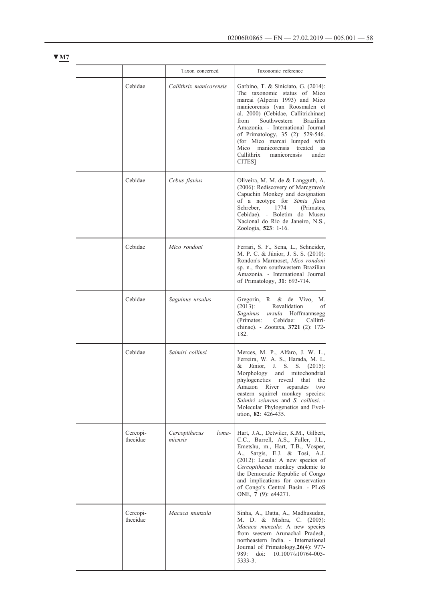|                      | Taxon concerned                   | Taxonomic reference                                                                                                                                                                                                                                                                                                                                                                                                           |
|----------------------|-----------------------------------|-------------------------------------------------------------------------------------------------------------------------------------------------------------------------------------------------------------------------------------------------------------------------------------------------------------------------------------------------------------------------------------------------------------------------------|
| Cebidae              | Callithrix manicorensis           | Garbino, T. & Siniciato, G. (2014):<br>The taxonomic status of Mico<br>marcai (Alperin 1993) and Mico<br>manicorensis (van Roosmalen et<br>al. 2000) (Cebidae, Callitrichinae)<br>Southwestern<br><b>Brazilian</b><br>from<br>Amazonia. - International Journal<br>of Primatology, 35 (2): 529-546.<br>(for Mico marcai lumped with<br>Mico<br>manicorensis<br>treated<br>as<br>under<br>Callithrix<br>manicorensis<br>CITES] |
| Cebidae              | Cebus flavius                     | Oliveira, M. M. de & Langguth, A.<br>(2006): Rediscovery of Marcgrave's<br>Capuchin Monkey and designation<br>of a neotype for Simia flava<br>Schreber,<br>1774<br>(Primates,<br>Cebidae). - Boletim do Museu<br>Nacional do Rio de Janeiro, N.S.,<br>Zoologia, 523: 1-16.                                                                                                                                                    |
| Cebidae              | Mico rondoni                      | Ferrari, S. F., Sena, L., Schneider,<br>M. P. C. & Júnior, J. S. S. (2010):<br>Rondon's Marmoset, Mico rondoni<br>sp. n., from southwestern Brazilian<br>Amazonia. - International Journal<br>of Primatology, 31: 693-714.                                                                                                                                                                                                    |
| Cebidae              | Saguinus ursulus                  | Gregorin, R. & de Vivo,<br>М.<br>Revalidation<br>$(2013)$ :<br>οf<br>Saguinus<br>ursula Hoffmannsegg<br>Cebidae:<br>(Primates:<br>Callitri-<br>chinae). - Zootaxa, 3721 (2): 172-<br>182.                                                                                                                                                                                                                                     |
| Cebidae              | Saimiri collinsi                  | Merces, M. P., Alfaro, J. W. L.,<br>Ferreira, W. A. S., Harada, M. L.<br>Júnior,<br>J. S.<br>&<br>S. $(2015)$ :<br>Morphology<br>and mitochondrial<br>phylogenetics<br>reveal<br>that<br>the<br>River<br>Amazon<br>separates<br>two<br>eastern squirrel monkey species:<br>Saimiri sciureus and S. collinsi. -<br>Molecular Phylogenetics and Evol-<br>ution, 82: 426-435.                                                    |
| Cercopi-<br>thecidae | Cercopithecus<br>loma-<br>miensis | Hart, J.A., Detwiler, K.M., Gilbert,<br>C.C., Burrell, A.S., Fuller, J.L.,<br>Emetshu, m., Hart, T.B., Vosper,<br>Sargis, E.J. & Tosi, A.J.<br>A.,<br>(2012): Lesula: A new species of<br>Cercopithecus monkey endemic to<br>the Democratic Republic of Congo<br>and implications for conservation<br>of Congo's Central Basin. - PLoS<br>ONE, 7 (9): e44271.                                                                 |
| Cercopi-<br>thecidae | Macaca munzala                    | Sinha, A., Datta, A., Madhusudan,<br>M. D. & Mishra, C. (2005):<br>Macaca munzala: A new species<br>from western Arunachal Pradesh,<br>northeastern India. - International<br>Journal of Primatology, 26(4): 977-<br>989:<br>$\dot{\text{doi:}}$<br>10.1007/s10764-005-<br>5333-3.                                                                                                                                            |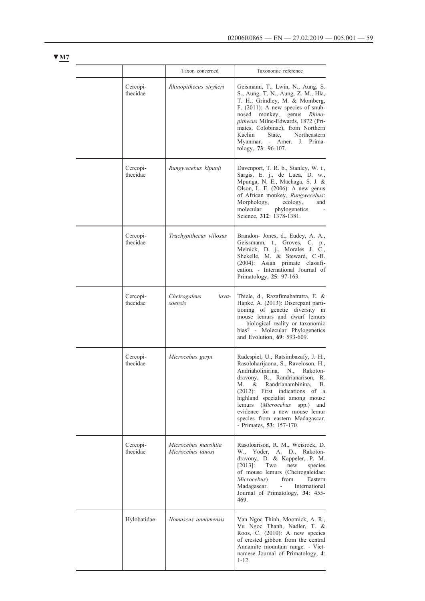|                      | Taxon concerned                          | Taxonomic reference                                                                                                                                                                                                                                                                                                                                                                                            |
|----------------------|------------------------------------------|----------------------------------------------------------------------------------------------------------------------------------------------------------------------------------------------------------------------------------------------------------------------------------------------------------------------------------------------------------------------------------------------------------------|
| Cercopi-<br>thecidae | Rhinopithecus strykeri                   | Geismann, T., Lwin, N., Aung, S.<br>S., Aung, T. N., Aung, Z. M., Hla,<br>T. H., Grindley, M. & Momberg,<br>F. $(2011)$ : A new species of snub-<br>nosed<br>monkey,<br>genus<br>Rhino-<br>pithecus Milne-Edwards, 1872 (Pri-<br>mates, Colobinae), from Northern<br>Kachin<br>State.<br>Northeastern<br>Myanmar. - Amer. J. Prima-<br>tology, 73: 96-107.                                                     |
| Cercopi-<br>thecidae | Rungwecebus kipunji                      | Davenport, T. R. b., Stanley, W. t.,<br>Sargis, E. j., de Luca, D. w.,<br>Mpunga, N. E., Machaga, S. J. &<br>Olson, L. E. (2006): A new genus<br>of African monkey, Rungwecebus:<br>Morphology,<br>ecology,<br>and<br>molecular<br>phylogenetics.<br>Science, 312: 1378-1381.                                                                                                                                  |
| Cercopi-<br>thecidae | Trachypithecus villosus                  | Brandon- Jones, d., Eudey, A. A.,<br>Geissmann, t., Groves, C. p.,<br>Melnick, D. j., Morales J. C.,<br>Shekelle, M. & Steward, C.-B.<br>$(2004)$ : Asian primate classifi-<br>cation. - International Journal of<br>Primatology, 25: 97-163.                                                                                                                                                                  |
| Cercopi-<br>thecidae | Cheirogaleus<br>lava-<br>soensis         | Thiele, d., Razafimahatratra, E. &<br>Hapke, A. (2013): Discrepant parti-<br>tioning of genetic diversity in<br>mouse lemurs and dwarf lemurs<br>- biological reality or taxonomic<br>bias? - Molecular Phylogenetics<br>and Evolution, 69: 593-609.                                                                                                                                                           |
| Cercopi-<br>thecidae | Microcebus gerpi                         | Radespiel, U., Ratsimbazafy, J. H.,<br>Rasoloharijaona, S., Raveloson, H.,<br>Andriaholinirina,<br>Rakoton-<br>N.,<br>dravony, R., Randrianarison, R.<br>М.<br>&<br>Randrianambinina,<br>В.<br>$(2012)$ : First indications of a<br>highland specialist among mouse<br>$spp.$ )<br>lemurs (Microcebus<br>and<br>evidence for a new mouse lemur<br>species from eastern Madagascar.<br>- Primates, 53: 157-170. |
| Cercopi-<br>thecidae | Microcebus marohita<br>Microcebus tanosi | Rasoloarison, R. M., Weisrock, D.<br>W., Yoder, A. D., Rakoton-<br>dravony, D. & Kappeler, P. M.<br>$[2013]$ :<br>Two<br>new<br>species<br>of mouse lemurs (Cheirogaleidae:<br>from<br>Microcebus)<br>Eastern<br>Madagascar.<br>$\omega$ .<br>International<br>Journal of Primatology, 34: 455-<br>469.                                                                                                        |
| Hylobatidae          | Nomascus annamensis                      | Van Ngoc Thinh, Mootnick, A. R.,<br>Vu Ngoc Thanh, Nadler, T. &<br>Roos, C. (2010): A new species<br>of crested gibbon from the central<br>Annamite mountain range. - Viet-<br>namese Journal of Primatology, 4:<br>$1 - 12.$                                                                                                                                                                                  |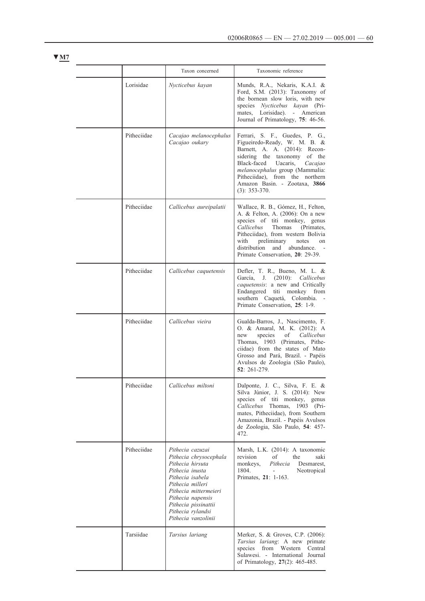|             | Taxon concerned                                                                                                                                                                                                                             | Taxonomic reference                                                                                                                                                                                                                                                                                              |
|-------------|---------------------------------------------------------------------------------------------------------------------------------------------------------------------------------------------------------------------------------------------|------------------------------------------------------------------------------------------------------------------------------------------------------------------------------------------------------------------------------------------------------------------------------------------------------------------|
| Lorisidae   | Nycticebus kayan                                                                                                                                                                                                                            | Munds, R.A., Nekaris, K.A.I. &<br>Ford, S.M. (2013): Taxonomy of<br>the bornean slow loris, with new<br>species Nycticebus kayan (Pri-<br>mates, Lorisidae). - American<br>Journal of Primatology, 75: 46-56.                                                                                                    |
| Pitheciidae | Cacajao melanocephalus<br>Cacajao oukary                                                                                                                                                                                                    | Ferrari, S. F., Guedes, P. G.,<br>Figueiredo-Ready, W. M. B. &<br>Barnett, A. A. (2014): Recon-<br>sidering the taxonomy of the<br>Black-faced<br>Uacaris,<br>Cacajao<br>melanocephalus group (Mammalia:<br>Pitheciidae), from the northern<br>Amazon Basin. - Zootaxa, 3866<br>$(3): 353-370.$                  |
| Pitheciidae | Callicebus aureipalatii                                                                                                                                                                                                                     | Wallace, R. B., Gómez, H., Felton,<br>A. & Felton, A. (2006): On a new<br>species of titi monkey, genus<br>Callicebus<br>Thomas<br>(Primates,<br>Pitheciidae), from western Bolivia<br>preliminary<br>with<br>notes<br>on<br>distribution<br>and<br>abundance.<br>$\sim$ $-$<br>Primate Conservation, 20: 29-39. |
| Pitheciidae | Callicebus caquetensis                                                                                                                                                                                                                      | Defler, T. R., Bueno, M. L. $&$<br>García, J. (2010): Callicebus<br>caquetensis: a new and Critically<br>Endangered titi monkey from<br>southern Caquetá, Colombia.<br>Primate Conservation, 25: 1-9.                                                                                                            |
| Pitheciidae | Callicebus vieira                                                                                                                                                                                                                           | Gualda-Barros, J., Nascimento, F.<br>O. & Amaral, M. K. (2012): A<br>species<br>of <i>Callicebus</i><br>new<br>Thomas, 1903 (Primates, Pithe-<br>ciidae) from the states of Mato<br>Grosso and Pará, Brazil. - Papéis<br>Avulsos de Zoologia (São Paulo),<br>$52: 261 - 279$                                     |
| Pitheciidae | Callicebus miltoni                                                                                                                                                                                                                          | Dalponte, J. C., Silva, F. E. &<br>Silva Júnior, J. S. (2014): New<br>species of titi monkey, genus<br>Callicebus Thomas,<br>1903 (Pri-<br>mates, Pitheciidae), from Southern<br>Amazonia, Brazil. - Papéis Avulsos<br>de Zoologia, São Paulo, 54: 457-<br>472.                                                  |
| Pitheciidae | Pithecia cazuzai<br>Pithecia chrysocephala<br>Pithecia hirsuta<br>Pithecia inusta<br>Pithecia isabela<br>Pithecia milleri<br>Pithecia mittermeieri<br>Pithecia napensis<br>Pithecia pissinattii<br>Pithecia rylandsi<br>Pithecia vanzolinii | Marsh, L.K. (2014): A taxonomic<br>revision<br>of<br>the<br>saki<br>monkeys,<br>Pithecia<br>Desmarest,<br>1804.<br>Neotropical<br>$\sim$<br>Primates, 21: 1-163.                                                                                                                                                 |
| Tarsiidae   | Tarsius lariang                                                                                                                                                                                                                             | Merker, S. & Groves, C.P. (2006):<br>Tarsius lariang: A new primate<br>species<br>from<br>Western<br>Central<br>Sulawesi. - International Journal<br>of Primatology, 27(2): 465-485.                                                                                                                             |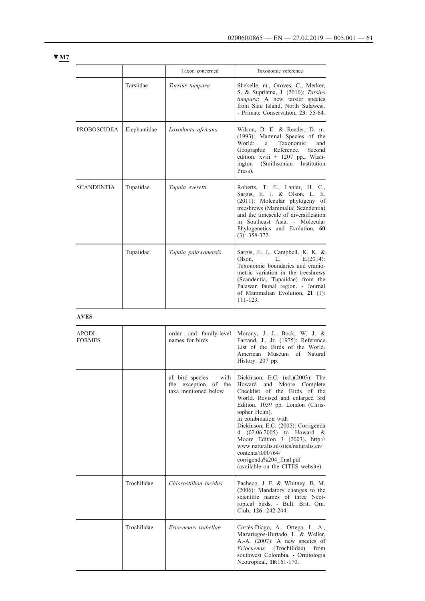|              | Taxon concerned     | Taxonomic reference                                                                                                                                                                                                                                                   |
|--------------|---------------------|-----------------------------------------------------------------------------------------------------------------------------------------------------------------------------------------------------------------------------------------------------------------------|
| Tarsiidae    | Tarsius tumpara     | Shekelle, m., Groves, C., Merker,<br>S. & Supriatna, J. (2010): Tarsius<br>tumpara: A new tarsier species<br>from Siau Island, North Sulawesi.<br>- Primate Conservation, 23: 55-64.                                                                                  |
| Elephantidae | Loxodonta africana  | Wilson, D. E. & Reeder, D. m.<br>(1993): Mammal Species of the<br>World:<br>Taxonomic<br>and<br>a -<br>Geographic Reference.<br>Second<br>edition. xviii + 1207 pp., Wash-<br>(Smithsonian Institution<br>ington<br>Press).                                           |
| Tupaiidae    | Tupaia everetti     | Roberts, T. E., Lanier, H. C.,<br>Sargis, E. J. & Olson, L. E.<br>(2011): Molecular phylogeny of<br>treeshrews (Mammalia: Scandentia)<br>and the timescale of diversification<br>in Southeast Asia. - Molecular<br>Phylogenetics and Evolution, 60<br>$(3): 358-372.$ |
| Tupaiidae    | Tupaia palawanensis | Sargis, E. J., Campbell, K. K. &<br>Olson, L.<br>$E(2014)$ :<br>Taxonomic boundaries and cranio-<br>metric variation in the treeshrews<br>(Scandentia, Tupaiidae) from the<br>Palawan faunal region. - Journal<br>of Mammalian Evolution, 21 (1):<br>$111 - 123$      |
|              |                     |                                                                                                                                                                                                                                                                       |

**AVES**

| APODI-<br><b>FORMES</b> |             | order- and family-level<br>names for birds                                 | Morony, J. J., Bock, W. J. &<br>Farrand, J., Jr. (1975): Reference<br>List of the Birds of the World.<br>American Museum of Natural<br>History. 207 pp.                                                                                                                                                                                                                                                                                                 |
|-------------------------|-------------|----------------------------------------------------------------------------|---------------------------------------------------------------------------------------------------------------------------------------------------------------------------------------------------------------------------------------------------------------------------------------------------------------------------------------------------------------------------------------------------------------------------------------------------------|
|                         |             | all bird species — with<br>exception of the<br>the<br>taxa mentioned below | Dickinson, E.C. $(ed.)(2003)$ : The<br>Howard and Moore Complete<br>Checklist of the Birds of the<br>World. Revised and enlarged 3rd<br>Edition. 1039 pp. London (Chris-<br>topher Helm).<br>in combination with<br>Dickinson, E.C. (2005): Corrigenda<br>4 (02.06.2005) to Howard &<br>Moore Edition 3 (2003). http://<br>www.naturalis.nl/sites/naturalis.en/<br>contents/ $i000764/$<br>corrigenda%204_final.pdf<br>(available on the CITES website) |
|                         | Trochilidae | Chlorostilbon lucidus                                                      | Pacheco, J. F. & Whitney, B. M.<br>$(2006)$ : Mandatory changes to the<br>scientific names of three Neot-<br>ropical birds. - Bull. Brit. Orn.<br>Club, 126: 242-244.                                                                                                                                                                                                                                                                                   |
|                         | Trochilidae | Eriocnemis isabellae                                                       | Cortés-Diago, A., Ortega, L. A.,<br>Mazariegos-Hurtado, L. & Weller,<br>A.-A. (2007): A new species of<br><i>Eriocnemis</i> (Trochilidae)<br>from<br>southwest Colombia. - Ornitologia<br>Neotropical, 18:161-170.                                                                                                                                                                                                                                      |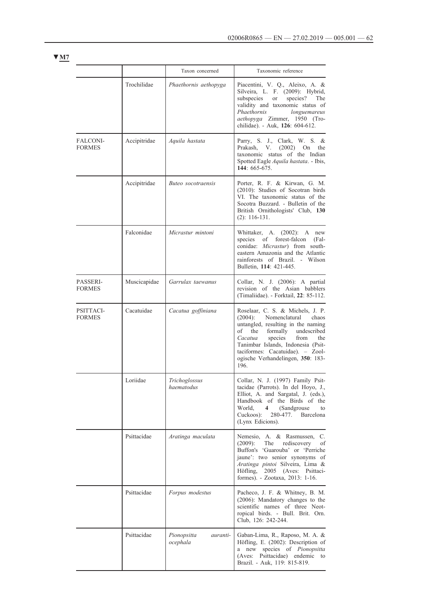|                            |              | Taxon concerned                            | Taxonomic reference                                                                                                                                                                                                                                                                                                |
|----------------------------|--------------|--------------------------------------------|--------------------------------------------------------------------------------------------------------------------------------------------------------------------------------------------------------------------------------------------------------------------------------------------------------------------|
|                            | Trochilidae  | Phaethornis aethopyga                      | Piacentini, V. Q., Aleixo, A. &<br>Silveira, L. F. (2009): Hybrid,<br>subspecies<br>species?<br>The<br><b>or</b><br>validity and taxonomic status of<br>Phaethornis<br>longuemareus<br>aethopyga Zimmer, 1950 (Tro-<br>chilidae). - Auk, 126: 604-612.                                                             |
| FALCONI-<br><b>FORMES</b>  | Accipitridae | Aquila hastata                             | Parry, S. J., Clark, W. S. &<br>(2002)<br>Prakash,<br>V.<br>On<br>the<br>taxonomic status of the Indian<br>Spotted Eagle Aquila hastata. - Ibis,<br>144: 665-675.                                                                                                                                                  |
|                            | Accipitridae | Buteo socotraensis                         | Porter, R. F. & Kirwan, G. M.<br>(2010): Studies of Socotran birds<br>VI. The taxonomic status of the<br>Socotra Buzzard. - Bulletin of the<br>British Ornithologists' Club, 130<br>$(2): 116-131.$                                                                                                                |
|                            | Falconidae   | Micrastur mintoni                          | Whittaker, A. (2002): A new<br>species of forest-falcon<br>$(Fal -$<br>conidae: Micrastur) from south-<br>eastern Amazonia and the Atlantic<br>rainforests of Brazil. - Wilson<br>Bulletin, 114: 421-445.                                                                                                          |
| PASSERI-<br><b>FORMES</b>  | Muscicapidae | Garrulax taewanus                          | Collar, N. J. (2006): A partial<br>revision of the Asian babblers<br>(Timaliidae). - Forktail, 22: 85-112.                                                                                                                                                                                                         |
| PSITTACI-<br><b>FORMES</b> | Cacatuidae   | Cacatua goffiniana                         | Roselaar, C. S. & Michels, J. P.<br>Nomenclatural<br>$(2004)$ :<br>chaos<br>untangled, resulting in the naming<br>the<br>formally<br>undescribed<br>of<br>Cacatua<br>species<br>from<br>the<br>Tanimbar Islands, Indonesia (Psit-<br>taciformes: Cacatuidae). - Zool-<br>ogische Verhandelingen, 350: 183-<br>196. |
|                            | Loriidae     | Trichoglossus<br>haematodus                | Collar, N. J. (1997) Family Psit-<br>tacidae (Parrots). In del Hoyo, J.,<br>Elliot, A. and Sargatal, J. (eds.),<br>Handbook of the Birds of the<br>World,<br>$4 \quad$<br>(Sandgrouse)<br>to<br>Cuckoos):<br>280-477. Barcelona<br>(Lynx Edicions).                                                                |
|                            | Psittacidae  | Aratinga maculata                          | Nemesio, A. & Rasmussen, C.<br>$(2009)$ :<br>The<br>rediscovery<br>οf<br>Buffon's 'Guarouba' or 'Perriche<br>jaune': two senior synonyms of<br>Aratinga pintoi Silveira, Lima &<br>Höfling,<br>2005 (Aves: Psittaci-<br>formes). - Zootaxa, 2013: 1-16.                                                            |
|                            | Psittacidae  | Forpus modestus                            | Pacheco, J. F. & Whitney, B. M.<br>(2006): Mandatory changes to the<br>scientific names of three Neot-<br>ropical birds. - Bull. Brit. Orn.<br>Club, 126: 242-244.                                                                                                                                                 |
|                            | Psittacidae  | Pionopsitta<br><i>auranti-</i><br>ocephala | Gaban-Lima, R., Raposo, M. A. &<br>Höfling, E. (2002): Description of<br>a new species of Pionopsitta<br>(Aves: Psittacidae) endemic to<br>Brazil. - Auk, 119: 815-819.                                                                                                                                            |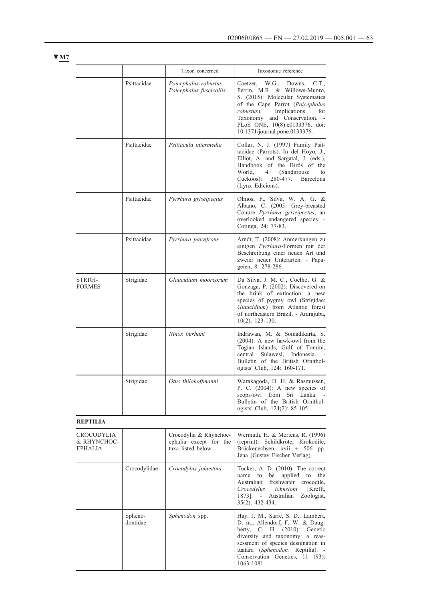|                                                    |              | Taxon concerned                                                       | Taxonomic reference                                                                                                                                                                                                                                                                 |
|----------------------------------------------------|--------------|-----------------------------------------------------------------------|-------------------------------------------------------------------------------------------------------------------------------------------------------------------------------------------------------------------------------------------------------------------------------------|
|                                                    | Psittacidae  | Poicephalus robustus<br>Poicephalus fuscicollis                       | Coetzer, W.G., Downs, C.T.,<br>Perrin, M.R. & Willows-Munro,<br>S. (2015): Molecular Systematics<br>of the Cape Parrot (Poicephalus<br>Implications<br><i>robustus</i> ).<br>for<br>Taxonomy and Conservation. -<br>PLoS ONE, 10(8):e0133376. doi:<br>10.1371/journal.pone.0133376. |
|                                                    | Psittacidae  | Psittacula intermedia                                                 | Collar, N. J. (1997) Family Psit-<br>tacidae (Parrots). In del Hoyo, J.,<br>Elliot, A. and Sargatal, J. (eds.),<br>Handbook of the Birds of the<br>World.<br>$\overline{4}$<br>(Sandgrouse)<br>to<br>Cuckoos):<br>280-477.<br>Barcelona<br>(Lynx Edicions).                         |
|                                                    | Psittacidae  | Pyrrhura griseipectus                                                 | Olmos, F., Silva, W. A. G. &<br>Albano, C. (2005: Grey-breasted<br>Conure Pyrrhura griseipectus, an<br>overlooked endangered species. -<br>Cotinga, 24: 77-83.                                                                                                                      |
|                                                    | Psittacidae  | Pyrrhura parvifrons                                                   | Arndt, T. (2008): Anmerkungen zu<br>einigen Pyrrhura-Formen mit der<br>Beschreibung einer neuen Art und<br>zweier neuer Unterarten. - Papa-<br>geien, 8: 278-286.                                                                                                                   |
| STRIGI-<br><b>FORMES</b>                           | Strigidae    | Glaucidium mooreorum                                                  | Da Silva, J. M. C., Coelho, G. &<br>Gonzaga, P. (2002): Discovered on<br>the brink of extinction: a new<br>species of pygmy owl (Strigidae:<br>Glaucidium) from Atlantic forest<br>of northeastern Brazil. - Ararajuba,<br>$10(2)$ : 123-130.                                       |
|                                                    | Strigidae    | Ninox burhani                                                         | Indrawan, M. & Somadikarta, S.<br>(2004): A new hawk-owl from the<br>Togian Islands, Gulf of Tomini,<br>central<br>Sulawesi,<br>Indonesia.<br>Bulletin of the British Ornithol-<br>ogists' Club, 124: 160-171.                                                                      |
|                                                    | Strigidae    | Otus thilohoffmanni                                                   | Warakagoda, D. H. & Rasmussen,<br>P. C. (2004): A new species of<br>scops-owl from Sri Lanka.<br>Bulletin of the British Ornithol-<br>ogists' Club, 124(2): 85-105.                                                                                                                 |
| <b>REPTILIA</b>                                    |              |                                                                       |                                                                                                                                                                                                                                                                                     |
| <b>CROCODYLIA</b><br>& RHYNCHOC-<br><b>EPHALIA</b> |              | Crocodylia & Rhynchoc-<br>ephalia except for the<br>taxa listed below | Wermuth, H. $&$ Mertens, R. (1996)<br>(reprint): Schildkröte, Krokodile,<br>Brückenechsen. xvii + 506 pp.<br>Jena (Gustav Fischer Verlag).                                                                                                                                          |
|                                                    | Crocodylidae | Crocodylus johnstoni                                                  | Tucker, A. D. (2010): The correct<br>name<br>to<br>applied<br>be<br>to<br>the<br>Australian<br>freshwater<br>crocodile,<br>johnstoni<br>[Krefft,<br>Crocodylus<br>$1873$ ]. $-$<br>Australian<br>Zoologist,                                                                         |

1873]. - Aus<br>35(2): 432-434. Sphenodontidae *Sphenodon* spp. **Hay, J. M., Sarre, S. D., Lambert,** D. m., Allendorf, F. W. & Daugherty, C. H. (2010): Genetic diversity and taxonomy: a reassessment of species designation in tuatara (*Sphenodon*: Reptilia). - Conservation Genetics, 11 (93): 1063-1081.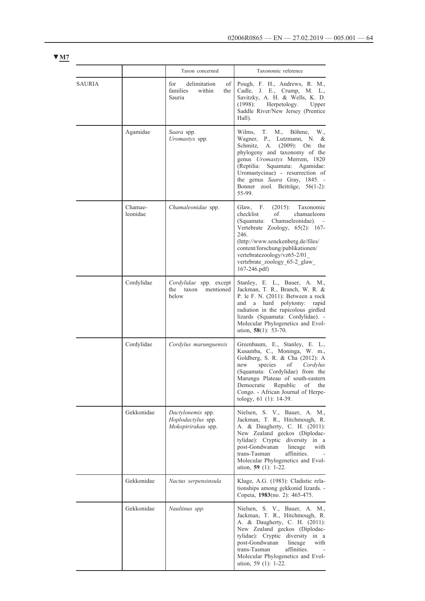| × |  |
|---|--|
|   |  |

|               |                     | Taxon concerned                                                  | Taxonomic reference                                                                                                                                                                                                                                                                                                                               |
|---------------|---------------------|------------------------------------------------------------------|---------------------------------------------------------------------------------------------------------------------------------------------------------------------------------------------------------------------------------------------------------------------------------------------------------------------------------------------------|
| <b>SAURIA</b> |                     | for<br>delimitation<br>οf<br>families<br>within<br>the<br>Sauria | Pough, F. H., Andrews, R. M.,<br>Cadle, J. E., Crump, M. L.,<br>Savitzky, A. H. & Wells, K. D.<br>Herpetology.<br>(1998):<br>Upper<br>Saddle River/New Jersey (Prentice<br>Hall).                                                                                                                                                                 |
|               | Agamidae            | Saara spp.<br>Uromastyx spp.                                     | Wilms,<br>T.<br>M.,<br>Böhme,<br>W.,<br>Wagner,<br>P., Lutzmann, N. &<br>Schmitz,<br>A.<br>$(2009)$ :<br>On<br>the<br>phylogeny and taxonomy of the<br>genus <i>Uromastyx</i> Merrem, 1820<br>Squamata: Agamidae:<br>(Reptilia:<br>Uromastycinae) - resurrection of<br>the genus Saara Gray, 1845. -<br>Bonner zool. Beiträge, 56(1-2):<br>55-99. |
|               | Chamae-<br>leonidae | Chamaleonidae spp.                                               | F.<br>$(2015)$ :<br>Taxonomic<br>Glaw,<br>checklist<br>of<br>chamaeleons<br>Chamaeleonidae).<br>(Squamata:<br>Vertebrate Zoology, 65(2): 167-<br>246.<br>(http://www.senckenberg.de/files/<br>content/forschung/publikationen/<br>vertebratezoology/vz65-2/01<br>vertebrate zoology 65-2 glaw<br>$167 - 246$ .pdf)                                |
|               | Cordylidae          | Cordylidae spp. except<br>the<br>taxon<br>mentioned<br>below     | Stanley, E. L., Bauer, A. M.,<br>Jackman, T. R., Branch, W. R. &<br>P. le F. N. (2011): Between a rock<br>and<br>a hard polytomy: rapid<br>radiation in the rupicolous girdled<br>lizards (Squamata: Cordylidae). -<br>Molecular Phylogenetics and Evol-<br>ution, $58(1)$ : 53-70.                                                               |
|               | Cordylidae          | Cordylus marunguensis                                            | Greenbaum, E., Stanley, E. L.,<br>Kusamba, C., Moninga, W. m.,<br>Goldberg, S. R. & Cha (2012): A<br>species<br>new<br>of<br>Cordylus<br>(Squamata: Cordylidae) from the<br>Marungu Plateau of south-eastern<br>Democratic<br>Republic<br>οf<br>the<br>Congo. - African Journal of Herpe-<br>tology, 61 (1): 14-39.                               |
|               | Gekkonidae          | Dactylonemis spp.<br>Hoplodactylus spp.<br>Mokopirirakau spp.    | Nielsen, S. V., Bauer, A. M.,<br>Jackman, T. R., Hitchmough, R.<br>A. & Daugherty, C. H. (2011):<br>New Zealand geckos (Diplodac-<br>tylidae): Cryptic diversity in a<br>post-Gondwanan<br>lineage<br>with<br>trans-Tasman<br>affinities.<br>Molecular Phylogenetics and Evol-<br>ution, $59$ (1): 1-22.                                          |
|               | Gekkonidae          | Nactus serpensinsula                                             | Kluge, A.G. (1983): Cladistic rela-<br>tionships among gekkonid lizards. -<br>Copeia, 1983(no. 2): 465-475.                                                                                                                                                                                                                                       |
|               | Gekkonidae          | Naultinus spp.                                                   | Nielsen, S. V., Bauer, A. M.,<br>Jackman, T. R., Hitchmough, R.<br>A. & Daugherty, C. H. (2011):<br>New Zealand geckos (Diplodac-<br>tylidae): Cryptic diversity in a<br>post-Gondwanan<br>lineage<br>with<br>trans-Tasman<br>affinities.<br>Molecular Phylogenetics and Evol-<br>ution, 59 (1): 1-22.                                            |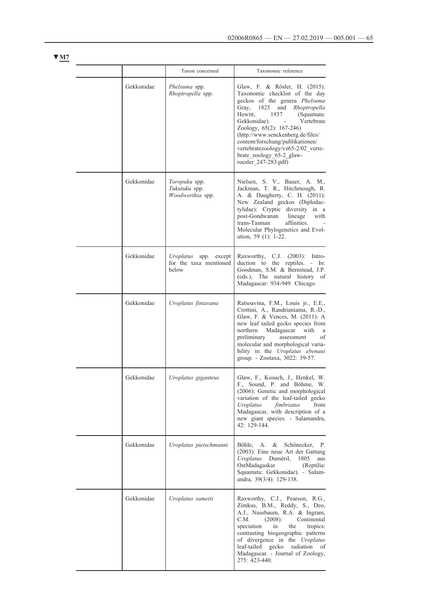|            | Taxon concerned                                                | Taxonomic reference                                                                                                                                                                                                                                                                                                                                                                                 |
|------------|----------------------------------------------------------------|-----------------------------------------------------------------------------------------------------------------------------------------------------------------------------------------------------------------------------------------------------------------------------------------------------------------------------------------------------------------------------------------------------|
| Gekkonidae | Phelsuma spp.<br>Rhoptropella spp.                             | Glaw, F. & Rösler, H. (2015):<br>Taxonomic checklist of the day<br>geckos of the genera Phelsuma<br>Gray, 1825<br>and<br>Rhoptropella<br>Hewitt,<br>1937<br>(Squamata:<br>Gekkonidae).<br>Vertebrate<br>Zoology, 65(2): 167-246)<br>(http://www.senckenberg.de/files/<br>content/forschung/publikationen/<br>vertebratezoology/vz65-2/02_verte-<br>brate zoology 65-2 glaw-<br>roesler 247-283.pdf) |
| Gekkonidae | Toropuku spp.<br>Tukutuku spp.<br>Woodworthia spp.             | Nielsen, S. V., Bauer, A. M.,<br>Jackman, T. R., Hitchmough, R.<br>A. & Daugherty, C. H. (2011):<br>New Zealand geckos (Diplodac-<br>tylidae): Cryptic diversity in a<br>post-Gondwanan<br>lineage<br>with<br>trans-Tasman<br>affinities.<br>Molecular Phylogenetics and Evol-<br>ution, 59 (1): 1-22.                                                                                              |
| Gekkonidae | Uroplatus<br>spp.<br>except<br>for the taxa mentioned<br>below | Raxworthy,<br>C.J.<br>$(2003)$ : Intro-<br>duction to the reptiles. - In:<br>Goodman, S.M. & Bernstead, J.P.<br>$(eds.)$ ,<br>The natural history of<br>Madagascar: 934-949. Chicago.                                                                                                                                                                                                               |
| Gekkonidae | Uroplatus finiavana                                            | Ratsoavina, F.M., Louis jr., E.E.,<br>Crottini, A., Randrianiaina, R.-D.,<br>Glaw, F. & Vences, M. (2011): A<br>new leaf tailed gecko species from<br>northern<br>Madagascar with<br>a<br>preliminary<br>οf<br>assessment<br>molecular and morphological varia-<br>bility in the Uroplatus ebenaui<br>group. - Zootaxa, 3022: 39-57.                                                                |
| Gekkonidae | Uroplatus giganteus                                            | Glaw, F., Kosuch, J., Henkel, W.<br>F., Sound, P. and Böhme, W.<br>(2006): Genetic and morphological<br>variation of the leaf-tailed gecko<br>fimbriatus<br>from<br>Uroplatus<br>Madagascar, with description of a<br>new giant species. - Salamandra,<br>42: 129-144.                                                                                                                              |
| Gekkonidae | Uroplatus pietschmanni                                         | Böhle, A. $&$<br>Schönecker, P.<br>(2003): Eine neue Art der Gattung<br>Uroplatus Duméril,<br>1805<br>aus<br>OstMadagaskar<br>(Reptilia:<br>Squamata: Gekkonidae). - Salam-<br>andra, 39(3/4): 129-138.                                                                                                                                                                                             |
| Gekkonidae | Uroplatus sameiti                                              | Raxworthy, C.J., Pearson, R.G.,<br>Zimkus, B.M., Reddy, S., Deo,<br>A.J., Nussbaum, R.A. & Ingram,<br>C.M.<br>Continental<br>(2008):<br>speciation<br>in<br>the<br>tropics:<br>contrasting biogeographic patterns<br>of divergence in the Uroplatus<br>leaf-tailed<br>gecko<br>radiation of<br>Madagascar. - Journal of Zoology,<br>$275:423-440.$                                                  |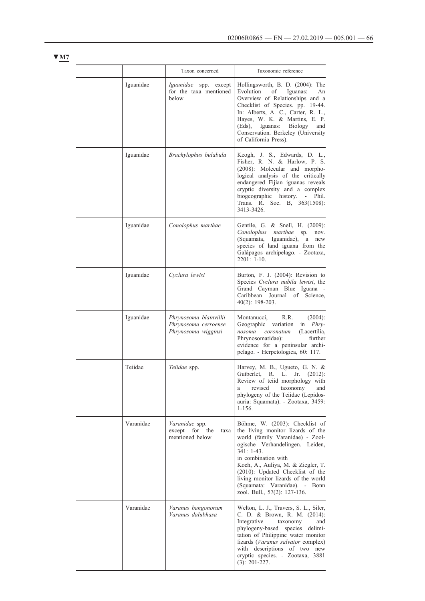|           | Taxon concerned                                                       | Taxonomic reference                                                                                                                                                                                                                                                                                                                                                 |
|-----------|-----------------------------------------------------------------------|---------------------------------------------------------------------------------------------------------------------------------------------------------------------------------------------------------------------------------------------------------------------------------------------------------------------------------------------------------------------|
| Iguanidae | Iguanidae spp. except<br>for the taxa mentioned<br>below              | Hollingsworth, B. D. (2004): The<br>Evolution<br>οf<br>Iguanas:<br>An<br>Overview of Relationships and a<br>Checklist of Species. pp. 19-44.<br>In: Alberts, A. C., Carter, R. L.,<br>Hayes, W. K. & Martins, E. P.<br>$(Eds)$ ,<br>Iguanas: Biology<br>and<br>Conservation. Berkeley (University<br>of California Press).                                          |
| Iguanidae | Brachylophus bulabula                                                 | Keogh, J. S., Edwards, D. L.,<br>Fisher, R. N. & Harlow, P. S.<br>(2008): Molecular and morpho-<br>logical analysis of the critically<br>endangered Fijian iguanas reveals<br>cryptic diversity and a complex<br>biogeographic history.<br>- Phil.<br>Trans. R. Soc. B, 363(1508):<br>3413-3426.                                                                    |
| Iguanidae | Conolophus marthae                                                    | Gentile, G. & Snell, H. (2009):<br>Conolophus marthae<br>sp.<br>nov.<br>Iguanidae),<br>(Squamata,<br>a new<br>species of land iguana from the<br>Galápagos archipelago. - Zootaxa,<br>$2201: 1-10.$                                                                                                                                                                 |
| Iguanidae | Cyclura lewisi                                                        | Burton, F. J. (2004): Revision to<br>Species Cvclura nubila lewisi, the<br>Grand Cayman Blue Iguana -<br>Caribbean<br>Journal<br>of Science,<br>$40(2)$ : 198-203.                                                                                                                                                                                                  |
| Iguanidae | Phrynosoma blainvillii<br>Phrynosoma cerroense<br>Phrynosoma wigginsi | Montanucci,<br>R.R.<br>$(2004)$ :<br>Geographic variation<br>in <i>Phry-</i><br>nosoma coronatum<br>(Lacertilia,<br>further<br>Phrynosomatidae):<br>evidence for a peninsular archi-<br>pelago. - Herpetologica, 60: 117.                                                                                                                                           |
| Teiidae   | Teiidae spp.                                                          | Harvey, M. B., Ugueto, G. N. &<br>Gutberlet, R. L. Jr. (2012):<br>Review of teild morphology with<br>revised taxonomy<br>and<br>a<br>phylogeny of the Teildae (Lepidos-<br>auria: Squamata). - Zootaxa, 3459:<br>$1 - 156.$                                                                                                                                         |
| Varanidae | Varanidae spp.<br>except<br>for<br>the<br>taxa<br>mentioned below     | Böhme, W. (2003): Checklist of<br>the living monitor lizards of the<br>world (family Varanidae) - Zool-<br>ogische Verhandelingen. Leiden,<br>$341: 1-43.$<br>in combination with<br>Koch, A., Auliya, M. & Ziegler, T.<br>(2010): Updated Checklist of the<br>living monitor lizards of the world<br>(Squamata: Varanidae). - Bonn<br>zool. Bull., 57(2): 127-136. |
| Varanidae | Varanus bangonorum<br>Varanus dalubhasa                               | Welton, L. J., Travers, S. L., Siler,<br>C. D. & Brown, R. M. (2014):<br>Integrative<br>taxonomy<br>and<br>phylogeny-based species delimi-<br>tation of Philippine water monitor<br>lizards (Varanus salvator complex)<br>with descriptions of two new<br>cryptic species. - Zootaxa, 3881<br>$(3)$ : 201-227.                                                      |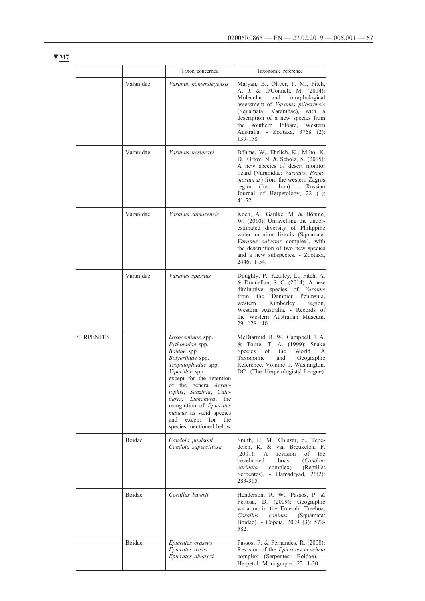|                  |           | Taxon concerned                                                                                                                                                                                                                                                                                                                                        | Taxonomic reference                                                                                                                                                                                                                                                                                |
|------------------|-----------|--------------------------------------------------------------------------------------------------------------------------------------------------------------------------------------------------------------------------------------------------------------------------------------------------------------------------------------------------------|----------------------------------------------------------------------------------------------------------------------------------------------------------------------------------------------------------------------------------------------------------------------------------------------------|
|                  | Varanidae | Varanus hamersleyensis                                                                                                                                                                                                                                                                                                                                 | Maryan, B., Oliver, P. M., Fitch,<br>A. J. & O'Connell, M. (2014):<br>Molecular<br>morphological<br>and<br>assessment of Varanus pilbarensis<br>(Squamata: Varanidae), with a<br>description of a new species from<br>the southern Pilbara, Western<br>Australia. - Zootaxa, 3768 (2):<br>139-158. |
|                  | Varanidae | Varanus nesterovi                                                                                                                                                                                                                                                                                                                                      | Böhme, W., Ehrlich, K., Milto, K.<br>D., Orlov, N. & Scholz, S. (2015):<br>A new species of desert monitor<br>lizard (Varanidae: Varanus: Psam-<br><i>mosaurus</i> ) from the western Zagros<br>region<br>(Iraq,<br>Iran). - Russian<br>Journal of Herpetology, 22 (1):<br>$41 - 52$ .             |
|                  | Varanidae | Varanus samarensis                                                                                                                                                                                                                                                                                                                                     | Koch, A., Gaulke, M. & Böhme,<br>W. (2010): Unravelling the under-<br>estimated diversity of Philippine<br>water monitor lizards (Squamata:<br>Varanus salvator complex), with<br>the description of two new species<br>and a new subspecies. - Zootaxa,<br>2446: 1-54.                            |
|                  | Varanidae | Varanus sparnus                                                                                                                                                                                                                                                                                                                                        | Doughty, P., Kealley, L., Fitch, A.<br>& Donnellan, S. C. (2014): A new<br>diminutive<br>species of <i>Varanus</i><br>Dampier Peninsula,<br>from<br>the<br>Kimberley<br>region,<br>western<br>Western Australia. - Records of<br>the Western Australian Museum,<br>29: 128-140.                    |
| <b>SERPENTES</b> |           | Loxocemidae spp.<br>Pythonidae spp.<br>Boidae spp.<br>Bolyeriidae spp.<br>Tropidophiidae spp.<br>Viperidae spp.<br>except for the retention<br>of the genera <i>Acran</i> -<br>tophis, Sanzinia, Cala-<br>baria.<br>Lichanura,<br>the<br>recognition of Epicrates<br>maurus as valid species<br>and<br>except<br>for<br>the<br>species mentioned below | McDiarmid, R. W., Campbell, J. A.<br>& Touré, T. A. (1999): Snake<br>Species<br>οf<br>the<br>World.<br>A<br>Taxonomic<br>Geographic<br>and<br>Reference. Volume 1, Washington,<br>DC. (The Herpetologists' League).                                                                                |
|                  | Boidae    | Candoia paulsoni<br>Candoia superciliosa                                                                                                                                                                                                                                                                                                               | Smith, H. M., Chiszar, d., Tepe-<br>delen, K. & van Breukelen, F.<br>$(2001)$ :<br>revision<br>οf<br>the<br>A<br>bevelnosed<br>boas<br>(Candoia<br>carinata<br>complex)<br>(Reptilia:<br>Serpentes). - Hamadryad, 26(2):<br>283-315.                                                               |
|                  | Boidae    | Corallus batesii                                                                                                                                                                                                                                                                                                                                       | Henderson, R. W., Passos, P. &<br>Feitosa, D. (2009); Geographic<br>variation in the Emerald Treeboa,<br>Corallus<br>caninus<br>(Squamata:<br>Boidae). - Copeia, 2009 (3): 572-<br>582.                                                                                                            |
|                  | Boidae    | Epicrates crassus<br>Epicrates assisi<br>Epicrates alvarezi                                                                                                                                                                                                                                                                                            | Passos, P. & Fernandes, R. (2008):<br>Revision of the Epicrates cenchria<br>complex (Serpentes: Boidae). -<br>Herpetol. Monographs, 22: 1-30.                                                                                                                                                      |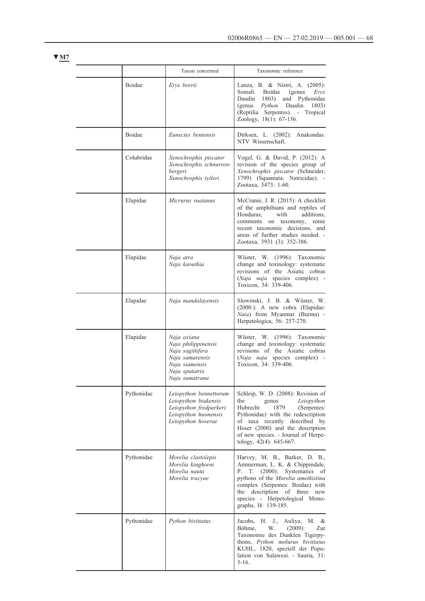|            | Taxon concerned                                                                                                                 | Taxonomic reference                                                                                                                                                                                                                                                              |
|------------|---------------------------------------------------------------------------------------------------------------------------------|----------------------------------------------------------------------------------------------------------------------------------------------------------------------------------------------------------------------------------------------------------------------------------|
| Boidae     | Eryx borrii                                                                                                                     | Lanza, B. & Nistri, A. (2005):<br>Somali<br>Boidae<br>(genus<br>Eryx<br>Daudin 1803)<br>and<br>Pythonidae<br>Python<br>Daudin<br>1803)<br>(genus<br>(Reptilia Serpentes). - Tropical<br>Zoology, 18(1): 67-136.                                                                  |
| Boidae     | Eunectes beniensis                                                                                                              | Dirksen, L. (2002): Anakondas.<br>NTV Wissenschaft.                                                                                                                                                                                                                              |
| Colubridae | Xenochrophis piscator<br>Xenochrophis schnurren-<br>bergeri<br>Xenochrophis tytleri                                             | Vogel, G. & David, P. (2012): A<br>revision of the species group of<br>Xenochrophis piscator (Schneider,<br>1799) (Squamata: Natricidae). -<br>Zootaxa, 3473: 1-60.                                                                                                              |
| Elapidae   | Micrurus ruatanus                                                                                                               | McCranie, J. R. (2015): A checklist<br>of the amphibians and reptiles of<br>Honduras,<br>with<br>additions,<br>comments on taxonomy,<br>some<br>recent taxonomic decisions,<br>and<br>areas of further studies needed. -<br>Zootaxa, 3931 (3): 352-386.                          |
| Elapidae   | Naja atra<br>Naja kaouthia                                                                                                      | Wüster, W. (1996): Taxonomic<br>change and toxinology: systematic<br>revisions of the Asiatic cobras<br>(Naja naja species complex) -<br>Toxicon, 34: 339-406.                                                                                                                   |
| Elapidae   | Naja mandalayensis                                                                                                              | Slowinski, J. B. & Wüster, W.<br>(2000.): A new cobra (Elapidae:<br>Naia) from Myanmar (Burma) -<br>Herpetologica, 56: 257-270.                                                                                                                                                  |
| Elapidae   | Naja oxiana<br>Naja philippinensis<br>Naja sagittifera<br>Naja samarensis<br>Naja siamensis<br>Naja sputatrix<br>Naja sumatrana | Wüster, W. (1996): Taxonomic<br>change and toxinology: systematic<br>revisions of the Asiatic cobras<br>(Naja naja species complex) -<br>Toxicon, 34: 339-406.                                                                                                                   |
| Pythonidae | Leiopython bennettorum<br>Leiopython biakensis<br>Leiopython fredparkeri<br>Leiopython huonensis<br>Leiopython hoserae          | Schleip, W. D. (2008): Revision of<br>Leiopython<br>the<br>genus<br>Hubrecht<br>1879<br>(Serpentes:<br>Pythonidae) with the redescription<br>of taxa recently described by<br>Hoser (2000) and the description<br>of new species. - Journal of Herpe-<br>tology, 42(4): 645-667. |
| Pythonidae | Morelia clastolepis<br>Morelia kinghorni<br>Morelia nauta<br>Morelia tracyae                                                    | Harvey, M. B., Barker, D. B.,<br>Ammerman, L. K. & Chippindale,<br>T.<br>$(2000)$ : Systematics of<br>Ρ.<br>pythons of the Morelia amethistina<br>complex (Serpentes: Boidae) with<br>the description of three<br>new<br>species - Herpetological Mono-<br>graphs, 14: 139-185.  |
| Pythonidae | Python bivittatus                                                                                                               | Jacobs, H. J., Auliya, M.<br>&<br>Böhme,<br>$(2009)$ :<br>W.<br>Zur<br>Taxonomie des Dunklen Tigerpy-<br>thons, Python molurus bivittatus<br>KUHL, 1820, speziell der Popu-<br>lation von Sulawesi. - Sauria, 31:<br>$5 - 16.$                                                   |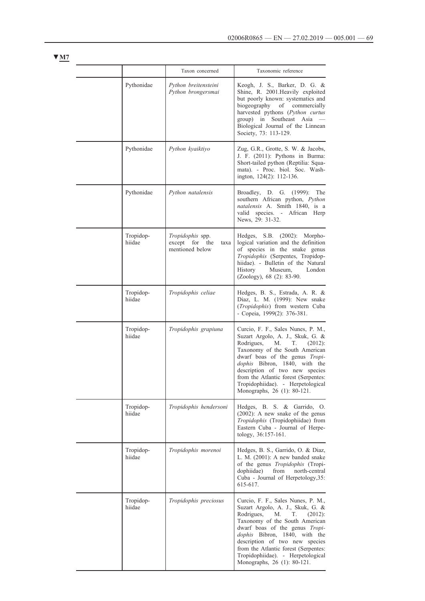|                     | Taxon concerned                                                  | Taxonomic reference                                                                                                                                                                                                                                                                                                                                               |
|---------------------|------------------------------------------------------------------|-------------------------------------------------------------------------------------------------------------------------------------------------------------------------------------------------------------------------------------------------------------------------------------------------------------------------------------------------------------------|
| Pythonidae          | Python breitensteini<br>Python brongersmai                       | Keogh, J. S., Barker, D. G. &<br>Shine, R. 2001. Heavily exploited<br>but poorly known: systematics and<br>biogeography<br>of commercially<br>harvested pythons (Python curtus<br>group) in Southeast Asia<br>Biological Journal of the Linnean<br>Society, 73: 113-129.                                                                                          |
| Pythonidae          | Python kyaiktiyo                                                 | Zug, G.R., Grotte, S. W. & Jacobs,<br>J. F. (2011): Pythons in Burma:<br>Short-tailed python (Reptilia: Squa-<br>mata). - Proc. biol. Soc. Wash-<br>ington, 124(2): 112-136.                                                                                                                                                                                      |
| Pythonidae          | Python natalensis                                                | Broadley, D. G. (1999): The<br>southern African python, Python<br>natalensis A. Smith 1840, is a<br>valid species. - African Herp<br>News, 29: 31-32.                                                                                                                                                                                                             |
| Tropidop-<br>hiidae | Tropidophis spp.<br>except for<br>the<br>taxa<br>mentioned below | Hedges, S.B. (2002): Morpho-<br>logical variation and the definition<br>of species in the snake genus<br>Tropidophis (Serpentes, Tropidop-<br>hiidae). - Bulletin of the Natural<br>History<br>London<br>Museum,<br>(Zoology), 68 (2): 83-90.                                                                                                                     |
| Tropidop-<br>hiidae | Tropidophis celiae                                               | Hedges, B. S., Estrada, A. R. &<br>Diaz, L. M. (1999): New snake<br>(Tropidophis) from western Cuba<br>- Copeia, 1999(2): 376-381.                                                                                                                                                                                                                                |
| Tropidop-<br>hiidae | Tropidophis grapiuna                                             | Curcio, F. F., Sales Nunes, P. M.,<br>Suzart Argolo, A. J., Skuk, G. &<br>Rodrigues,<br>М.<br>T.<br>$(2012)$ :<br>Taxonomy of the South American<br>dwarf boas of the genus Tropi-<br>dophis Bibron, 1840, with the<br>description of two new species<br>from the Atlantic forest (Serpentes:<br>Tropidophiidae). - Herpetological<br>Monographs, 26 (1): 80-121. |
| Tropidop-<br>hiidae | Tropidophis hendersoni                                           | Hedges, B. S. & Garrido, O.<br>$(2002)$ : A new snake of the genus<br>Tropidophis (Tropidophiidae) from<br>Eastern Cuba - Journal of Herpe-<br>tology, 36:157-161.                                                                                                                                                                                                |
| Tropidop-<br>hiidae | Tropidophis morenoi                                              | Hedges, B. S., Garrido, O. & Diaz,<br>L. M. (2001): A new banded snake<br>of the genus Tropidophis (Tropi-<br>dophiidae)<br>from north-central<br>Cuba - Journal of Herpetology, 35:<br>615-617.                                                                                                                                                                  |
| Tropidop-<br>hiidae | Tropidophis preciosus                                            | Curcio, F. F., Sales Nunes, P. M.,<br>Suzart Argolo, A. J., Skuk, G. &<br>Rodrigues,<br>T.<br>M.<br>$(2012)$ :<br>Taxonomy of the South American<br>dwarf boas of the genus Tropi-<br>dophis Bibron, 1840, with the<br>description of two new species<br>from the Atlantic forest (Serpentes:<br>Tropidophiidae). - Herpetological<br>Monographs, 26 (1): 80-121. |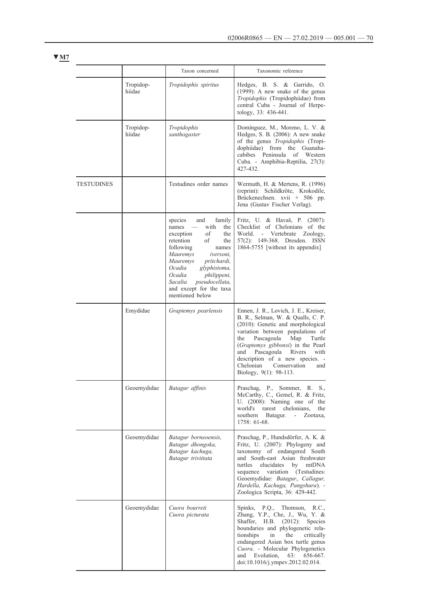|                   |                     | Taxon concerned                                                                                                                                                                                                                                                                                              | Taxonomic reference                                                                                                                                                                                                                                                                                                                                                    |
|-------------------|---------------------|--------------------------------------------------------------------------------------------------------------------------------------------------------------------------------------------------------------------------------------------------------------------------------------------------------------|------------------------------------------------------------------------------------------------------------------------------------------------------------------------------------------------------------------------------------------------------------------------------------------------------------------------------------------------------------------------|
|                   | Tropidop-<br>hiidae | Tropidophis spiritus                                                                                                                                                                                                                                                                                         | Hedges, B. S. & Garrido,<br>O.<br>$(1999)$ : A new snake of the genus<br>Tropidophis (Tropidophiidae) from<br>central Cuba - Journal of Herpe-<br>tology, 33: 436-441.                                                                                                                                                                                                 |
|                   | Tropidop-<br>hiidae | Tropidophis<br>xanthogaster                                                                                                                                                                                                                                                                                  | Domínguez, M., Moreno, L. V. &<br>Hedges, S. B. (2006): A new snake<br>of the genus Tropidophis (Tropi-<br>dophiidae) from the Guanaha-<br>Peninsula<br>cabibes<br>of Western<br>Cuba. - Amphibia-Reptilia, 27(3):<br>427-432.                                                                                                                                         |
| <b>TESTUDINES</b> |                     | Testudines order names                                                                                                                                                                                                                                                                                       | Wermuth, H. & Mertens, R. (1996)<br>(reprint): Schildkröte, Krokodile,<br>Brückenechsen. xvii + 506 pp.<br>Jena (Gustav Fischer Verlag).                                                                                                                                                                                                                               |
|                   |                     | species<br>family<br>and<br>with<br>names<br>the<br>of<br>exception<br>the<br>retention<br>of<br>the<br>following<br>names<br>Mauremys<br>iversoni,<br>Mauremys<br>pritchardi,<br>Ocadia<br>glyphistoma,<br>Ocadia<br>philippeni,<br>pseudocellata,<br>Sacalia<br>and except for the taxa<br>mentioned below | Fritz, U. & Havaš, P. (2007):<br>Checklist of Chelonians of the<br>World.<br>Vertebrate<br>Zoology,<br>$\sim 10$<br>57(2): 149-368. Dresden. ISSN<br>1864-5755 [without its appendix]                                                                                                                                                                                  |
|                   | Emydidae            | Graptemys pearlensis                                                                                                                                                                                                                                                                                         | Ennen, J. R., Lovich, J. E., Kreiser,<br>B. R., Selman, W. & Qualls, C. P.<br>(2010): Genetic and morphological<br>variation between populations of<br>the<br>Pascagoula<br>Map<br>Turtle<br>(Graptemys gibbonsi) in the Pearl<br>Pascagoula<br>Rivers<br>with<br>and<br>description of a new species. -<br>Chelonian<br>Conservation<br>and<br>Biology, 9(1): 98-113. |
|                   | Geoemydidae         | Batagur affinis                                                                                                                                                                                                                                                                                              | Praschag, P., Sommer, R. S.,<br>McCarthy, C., Gemel, R. & Fritz,<br>U. (2008): Naming one of the<br>world's<br>rarest<br>chelonians.<br>the<br>southern<br>Batagur.<br>$\sim 10^{-11}$<br>Zootaxa,<br>1758: 61-68.                                                                                                                                                     |
|                   | Geoemydidae         | Batagur borneoensis,<br>Batagur dhongoka,<br>Batagur kachuga,<br>Batagur trivittata                                                                                                                                                                                                                          | Praschag, P., Hundsdörfer, A. K. &<br>Fritz, U. (2007): Phylogeny and<br>taxonomy of endangered South<br>and South-east Asian freshwater<br>turtles<br>elucidates<br>by<br>mtDNA<br>variation (Testudines:<br>sequence<br>Geoemydidae: Batagur, Callagur,<br>Hardella, Kachuga, Pangshura). -<br>Zoologica Scripta, 36: 429-442.                                       |
|                   | Geoemydidae         | Cuora bourreti<br>Cuora picturata                                                                                                                                                                                                                                                                            | Spinks, P.Q.,<br>Thomson, R.C.,<br>Zhang, Y.P., Che, J., Wu, Y. &<br>Shaffer, H.B.<br>$(2012)$ :<br><b>Species</b><br>boundaries and phylogenetic rela-<br>tionships<br>the<br>in<br>critically<br>endangered Asian box turtle genus<br>Cuora. - Molecular Phylogenetics<br>and<br>Evolution.<br>$63: 656-667.$<br>doi:10.1016/j.ympev.2012.02.014.                    |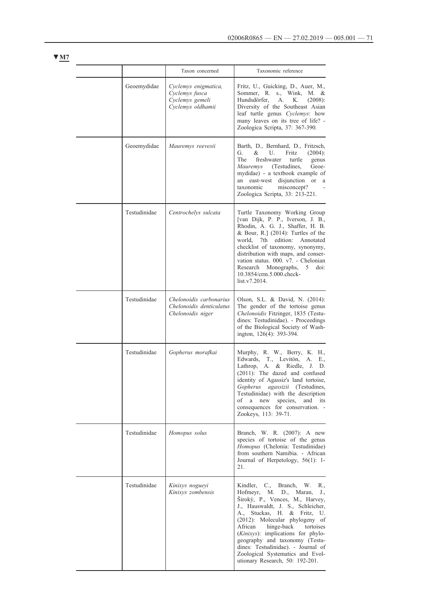|              | Taxon concerned                                                                | Taxonomic reference                                                                                                                                                                                                                                                                                                                                                                                                                         |
|--------------|--------------------------------------------------------------------------------|---------------------------------------------------------------------------------------------------------------------------------------------------------------------------------------------------------------------------------------------------------------------------------------------------------------------------------------------------------------------------------------------------------------------------------------------|
| Geoemydidae  | Cyclemys enigmatica,<br>Cyclemys fusca<br>Cyclemys gemeli<br>Cyclemys oldhamii | Fritz, U., Guicking, D., Auer, M.,<br>Sommer, R.<br>s., Wink,<br>M. &<br>Hundsdörfer.<br>A.<br>Κ.<br>(2008):<br>Diversity of the Southeast Asian<br>leaf turtle genus Cyclemys: how<br>many leaves on its tree of life? -<br>Zoologica Scripta, 37: 367-390.                                                                                                                                                                                |
| Geoemydidae  | Mauremys reevesii                                                              | Barth, D., Bernhard, D., Fritzsch,<br>&<br>U.<br>Fritz<br>G.<br>$(2004)$ :<br>The<br>freshwater<br>turtle<br>genus<br>Mauremys<br>(Testudines,<br>Geoe-<br>mydidae) - a textbook example of<br>an east-west<br>disjunction or<br><sub>a</sub><br>taxonomic<br>misconcept?<br>Zoologica Scripta, 33: 213-221.                                                                                                                                |
| Testudinidae | Centrochelys sulcata                                                           | Turtle Taxonomy Working Group<br>[van Dijk, P. P., Iverson, J. B.,<br>Rhodin, A. G. J., Shaffer, H. B.<br>& Bour, R.] $(2014)$ : Turtles of the<br>7th edition: Annotated<br>world.<br>checklist of taxonomy, synonymy,<br>distribution with maps, and conser-<br>vation status. 000. v7. - Chelonian<br>Research<br>Monographs,<br>5<br>doi:<br>10.3854/crm.5.000.check-<br>list.v7.2014.                                                  |
| Testudinidae | Chelonoidis carbonarius<br>Chelonoidis denticulatus<br>Chelonoidis niger       | Olson, S.L. & David, N. (2014):<br>The gender of the tortoise genus<br>Chelonoidis Fitzinger, 1835 (Testu-<br>dines: Testudinidae). - Proceedings<br>of the Biological Society of Wash-<br>ington, 126(4): 393-394.                                                                                                                                                                                                                         |
| Testudinidae | Gopherus morafkai                                                              | Murphy, R. W., Berry, K. H.,<br>Edwards, T.,<br>Levitón,<br>A.<br>Е.,<br>Lathrop, A. & Riedle, J.<br>D.<br>(2011): The dazed and confused<br>identity of Agassiz's land tortoise,<br>Gopherus agassizii (Testudines,<br>Testudinidae) with the description<br>οf<br>a<br>new<br>species,<br>and<br>its<br>consequences for conservation. -<br>Zookeys, 113: 39-71.                                                                          |
| Testudinidae | Homopus solus                                                                  | Branch, W. R. (2007): A new<br>species of tortoise of the genus<br>Homopus (Chelonia: Testudinidae)<br>from southern Namibia. - African<br>Journal of Herpetology, 56(1): 1-<br>21.                                                                                                                                                                                                                                                         |
| Testudinidae | Kinixys nogueyi<br>Kinixys zombensis                                           | Kindler, C., Branch, W. R.,<br>Hofmeyr, M. D., Maran,<br>$J_{\cdot}$<br>Široký, P., Vences, M., Harvey,<br>J., Hauswaldt, J. S., Schleicher,<br>A.,<br>Stuckas, H. & Fritz, U.<br>(2012): Molecular phylogeny of<br>African<br>hinge-back<br>tortoises<br>(Kinixys): implications for phylo-<br>geography and taxonomy (Testu-<br>dines: Testudinidae). - Journal of<br>Zoological Systematics and Evol-<br>utionary Research, 50: 192-201. |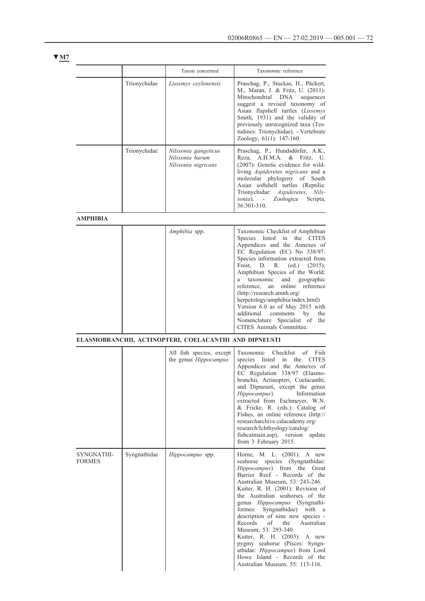|                             |              | Taxon concerned                                                | Taxonomic reference                                                                                                                                                                                                                                                                                                                                                                                                                                                                                                                                                                          |
|-----------------------------|--------------|----------------------------------------------------------------|----------------------------------------------------------------------------------------------------------------------------------------------------------------------------------------------------------------------------------------------------------------------------------------------------------------------------------------------------------------------------------------------------------------------------------------------------------------------------------------------------------------------------------------------------------------------------------------------|
|                             | Trionychidae | Lissemys ceylonensis                                           | Praschag, P., Stuckas, H., Päckert,<br>M., Maran, J. & Fritz, U. (2011):<br>Mitochondrial<br>DNA<br>sequences<br>suggest a revised taxonomy of<br>Asian flapshell turtles (Lissemys<br>Smith, 1931) and the validity of<br>previously unrecognized taxa (Tes-<br>tudines: Trionychidae). - Vertebrate<br>Zoology, 61(1): 147-160.                                                                                                                                                                                                                                                            |
|                             | Trionychidae | Nilssonia gangeticus<br>Nilssonia hurum<br>Nilssonia nigricans | Praschag, P., Hundsdörfer, A.K.,<br>Reza, A.H.M.A.<br>&<br>Fritz. U.<br>(2007): Genetic evidence for wild-<br>living Aspideretes nigricans and a<br>molecular phylogeny of South<br>Asian softshell turtles (Reptilia:<br>Trionychidae: Aspideretes, Nils-<br>sonia).<br>- Zoologica Scripta,<br>$36:301 - 310$ .                                                                                                                                                                                                                                                                            |
| <b>AMPHIBIA</b>             |              |                                                                |                                                                                                                                                                                                                                                                                                                                                                                                                                                                                                                                                                                              |
|                             |              | Amphibia spp.                                                  | Taxonomic Checklist of Amphibian<br>Species listed in the CITES<br>Appendices and the Annexes of<br>EC Regulation (EC) No 338/97.<br>Species information extracted from<br>Frost.<br>D.<br>R.<br>(ed.)<br>$(2015)$ ,<br>Amphibian Species of the World:<br>taxonomic<br>and geographic<br>reference.<br>online<br>reference<br>an<br>(http://research.amnh.org/<br>herpetology/amphibia/index.html)<br>Version 6.0 as of May 2015 with<br>additional<br>comments<br>by<br>the<br>Nomenclature Specialist of the<br>CITES Animals Committee.                                                  |
|                             |              | ELASMOBRANCHII, ACTINOPTERI, COELACANTHI AND DIPNEUSTI         |                                                                                                                                                                                                                                                                                                                                                                                                                                                                                                                                                                                              |
|                             |              | All fish species, except<br>the genus Hippocampus              | Taxonomic<br>Checklist<br>of Fish<br><b>CITES</b><br>species<br>listed<br>in the<br>Appendices and the Annexes of<br>EC Regulation 338/97 (Elasmo-<br>branchii, Actinopteri, Coelacanthi,<br>and Dipneusti, except the genus<br>Hippocampus).<br>Information<br>extracted from Eschmeyer, W.N.<br>& Fricke, R. (eds.): Catalog of<br>Fishes, an online reference (http://<br>researcharchive.calacademy.org/<br>research/Ichthyology/catalog/<br>fishcatmain.asp), version update<br>from 3 February 2015.                                                                                   |
| SYNGNATHI-<br><b>FORMES</b> | Syngnathidae | Hippocampus spp.                                               | Horne, M. L. (2001): A new<br>species<br>(Syngnathidae:<br>seahorse<br>Hippocampus) from the Great<br>Barrier Reef - Records of the<br>Australian Museum, 53: 243-246.<br>Kuiter, R. H. (2001): Revision of<br>the Australian seahorses of the<br>genus Hippocampus (Syngnathi-<br>Syngnathidae) with a<br>formes:<br>description of nine new species -<br>Records<br>οf<br>the<br>Australian<br>Museum, 53: 293-340.<br>Kuiter, R. H. (2003): A new<br>pygmy seahorse (Pisces: Syngn-<br>athidae: Hippocampus) from Lord<br>Howe Island - Records of the<br>Australian Museum, 55: 113-116. |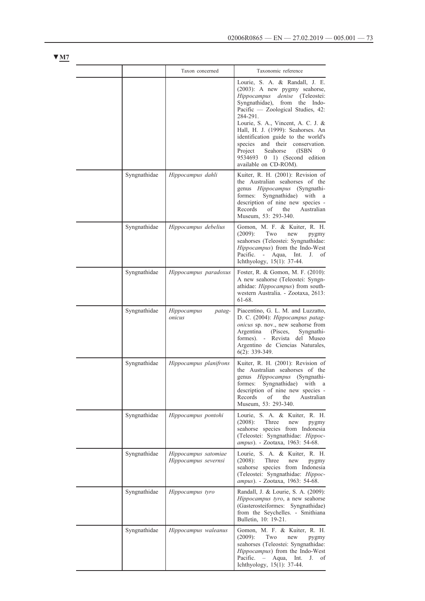|              | Taxon concerned                              | Taxonomic reference                                                                                                                                                                                                                                                                                                                                                                              |
|--------------|----------------------------------------------|--------------------------------------------------------------------------------------------------------------------------------------------------------------------------------------------------------------------------------------------------------------------------------------------------------------------------------------------------------------------------------------------------|
|              |                                              | Lourie, S. A. & Randall, J. E.<br>(2003): A new pygmy seahorse,<br>Hippocampus<br>denise (Teleostei:<br>Syngnathidae),<br>from<br>the Indo-<br>Pacific - Zoological Studies, 42:<br>284-291.<br>Lourie, S. A., Vincent, A. C. J. &<br>Hall, H. J. (1999): Seahorses. An<br>identification guide to the world's<br>and their conservation.<br>species<br>Project<br>Seahorse<br>(ISBN<br>$\theta$ |
|              |                                              | 9534693 0<br>1) (Second edition<br>available on CD-ROM).                                                                                                                                                                                                                                                                                                                                         |
| Syngnathidae | Hippocampus dahli                            | Kuiter, R. H. (2001): Revision of<br>the Australian seahorses of the<br>genus <i>Hippocampus</i> (Syngnathi-<br>formes:<br>Syngnathidae) with a<br>description of nine new species -<br>Records<br>Australian<br>οf<br>the<br>Museum, 53: 293-340.                                                                                                                                               |
| Syngnathidae | Hippocampus debelius                         | Gomon, M. F. & Kuiter, R. H.<br>Two<br>$(2009)$ :<br>new<br>pygmy<br>seahorses (Teleostei: Syngnathidae:<br>Hippocampus) from the Indo-West<br>Pacific. -<br>Aqua,<br>Int. J. of<br>Ichthyology, 15(1): 37-44.                                                                                                                                                                                   |
| Syngnathidae | Hippocampus paradoxus                        | Foster, R. & Gomon, M. F. (2010):<br>A new seahorse (Teleostei: Syngn-<br>athidae: <i>Hippocampus</i> ) from south-<br>western Australia. - Zootaxa, 2613:<br>61-68.                                                                                                                                                                                                                             |
| Syngnathidae | Hippocampus<br>patag-<br>onicus              | Piacentino, G. L. M. and Luzzatto,<br>D. C. (2004): Hippocampus patag-<br>onicus sp. nov., new seahorse from<br>Argentina<br>(Pisces,<br>Syngnathi-<br>formes). - Revista del Museo<br>Argentino de Ciencias Naturales,<br>$6(2)$ : 339-349.                                                                                                                                                     |
| Syngnathidae | Hippocampus planifrons                       | Kuiter, R. H. (2001): Revision of<br>the Australian seahorses of the<br>genus <i>Hippocampus</i> (Syngnathi-<br>formes: Syngnathidae) with a<br>description of nine new species -<br>Records<br>οf<br>the<br>Australian<br>Museum, 53: 293-340.                                                                                                                                                  |
| Syngnathidae | Hippocampus pontohi                          | Lourie, S. A. & Kuiter, R. H.<br>$(2008)$ :<br>Three<br>new<br>pygmy<br>seahorse species from Indonesia<br>(Teleostei: Syngnathidae: Hippoc-<br>ampus). - Zootaxa, 1963: 54-68.                                                                                                                                                                                                                  |
| Syngnathidae | Hippocampus satomiae<br>Hippocampus severnsi | Lourie, S. A. & Kuiter, R. H.<br>$(2008)$ :<br>Three<br>new<br>pygmy<br>seahorse species from Indonesia<br>(Teleostei: Syngnathidae: Hippoc-<br>ampus). - Zootaxa, 1963: 54-68.                                                                                                                                                                                                                  |
| Syngnathidae | Hippocampus tyro                             | Randall, J. & Lourie, S. A. (2009):<br>Hippocampus tyro, a new seahorse<br>(Gasterosteiformes: Syngnathidae)<br>from the Seychelles. - Smithiana<br>Bulletin, 10: 19-21.                                                                                                                                                                                                                         |
| Syngnathidae | Hippocampus waleanus                         | Gomon, M. F. & Kuiter, R. H.<br>$(2009)$ :<br>Two<br>new<br>pygmy<br>seahorses (Teleostei: Syngnathidae:<br>Hippocampus) from the Indo-West<br>Pacific.<br>Aqua, Int.<br>J. of<br>$-$<br>Ichthyology, 15(1): 37-44.                                                                                                                                                                              |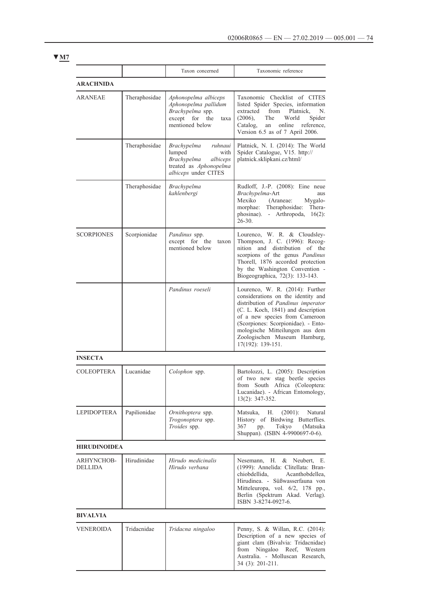|                              |               | Taxon concerned                                                                                                              | Taxonomic reference                                                                                                                                                                                                                                                                                                |
|------------------------------|---------------|------------------------------------------------------------------------------------------------------------------------------|--------------------------------------------------------------------------------------------------------------------------------------------------------------------------------------------------------------------------------------------------------------------------------------------------------------------|
| <b>ARACHNIDA</b>             |               |                                                                                                                              |                                                                                                                                                                                                                                                                                                                    |
| <b>ARANEAE</b>               | Theraphosidae | Aphonopelma albiceps<br>Aphonopelma pallidum<br>Brachypelma spp.<br>except<br>for<br>the<br>taxa<br>mentioned below          | Taxonomic Checklist of CITES<br>listed Spider Species, information<br>Platnick.<br>extracted<br>from<br>N.<br>$(2006)$ ,<br>The<br>World<br>Spider<br>reference,<br>Catalog,<br>online<br>an<br>Version 6.5 as of 7 April 2006.                                                                                    |
|                              | Theraphosidae | <b>Brachypelma</b><br>ruhnaui<br>lumped<br>with<br>Brachypelma<br>albiceps<br>treated as Aphonopelma<br>albiceps under CITES | Platnick, N. I. (2014): The World<br>Spider Catalogue, V15. http://<br>platnick.sklipkani.cz/html/                                                                                                                                                                                                                 |
|                              | Theraphosidae | Brachypelma<br>kahlenbergi                                                                                                   | Rudloff, J.-P. (2008): Eine neue<br>Brachypelma-Art<br>aus<br>Mexiko<br>(Araneae:<br>Mygalo-<br>Theraphosidae:<br>Thera-<br>morphae:<br>phosinae).<br>- Arthropoda,<br>$16(2)$ :<br>$26 - 30.$                                                                                                                     |
| <b>SCORPIONES</b>            | Scorpionidae  | Pandinus spp.<br>except for<br>the<br>taxon<br>mentioned below                                                               | Lourenco, W. R. & Cloudsley-<br>Thompson, J. C. (1996): Recog-<br>nition and distribution of the<br>scorpions of the genus Pandinus<br>Thorell, 1876 accorded protection<br>by the Washington Convention -<br>Biogeographica, 72(3): 133-143.                                                                      |
|                              |               | Pandinus roeseli                                                                                                             | Lourenco, W. R. (2014): Further<br>considerations on the identity and<br>distribution of Pandinus imperator<br>(C. L. Koch, 1841) and description<br>of a new species from Cameroon<br>(Scorpiones: Scorpionidae). - Ento-<br>mologische Mitteilungen aus dem<br>Zoologischen Museum Hamburg,<br>17(192): 139-151. |
| <b>INSECTA</b>               |               |                                                                                                                              |                                                                                                                                                                                                                                                                                                                    |
| <b>COLEOPTERA</b>            | Lucanidae     | Colophon spp.                                                                                                                | Bartolozzi, L. (2005): Description<br>of two new stag beetle species<br>from South Africa (Coleoptera:<br>Lucanidae). - African Entomology,<br>13(2): 347-352.                                                                                                                                                     |
| LEPIDOPTERA                  | Papilionidae  | Ornithoptera spp.<br>Trogonoptera spp.<br>Troides spp.                                                                       | Matsuka.<br>Н.<br>$(2001)$ :<br>Natural<br>History of Birdwing Butterflies.<br>Tokyo<br>367<br>(Matsuka<br>pp.<br>Shuppan). (ISBN 4-9900697-0-6).                                                                                                                                                                  |
| <b>HIRUDINOIDEA</b>          |               |                                                                                                                              |                                                                                                                                                                                                                                                                                                                    |
| ARHYNCHOB-<br><b>DELLIDA</b> | Hirudinidae   | Hirudo medicinalis<br>Hirudo verbana                                                                                         | Nesemann, H. & Neubert,<br>Е.<br>(1999): Annelida: Clitellata: Bran-<br>chiobdellida,<br>Acanthobdellea,<br>Hirudinea. - Süßwasserfauna von<br>Mitteleuropa, vol. 6/2, 178 pp.,<br>Berlin (Spektrum Akad. Verlag).<br>ISBN 3-8274-0927-6.                                                                          |
| <b>BIVALVIA</b>              |               |                                                                                                                              |                                                                                                                                                                                                                                                                                                                    |
| <b>VENEROIDA</b>             | Tridacnidae   | Tridacna ningaloo                                                                                                            | Penny, S. & Willan, R.C. (2014):<br>Description of a new species of<br>giant clam (Bivalvia: Tridacnidae)<br>Ningaloo<br>from<br>Reef, Western<br>Australia. - Molluscan Research,<br>34 (3): 201-211.                                                                                                             |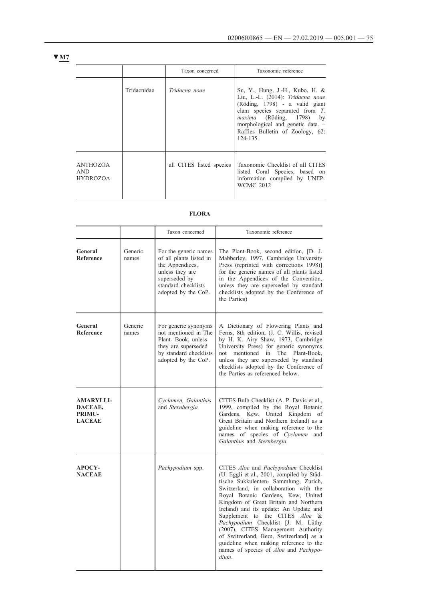|                                    |             | Taxon concerned          | Taxonomic reference                                                                                                                                                                                                                                                   |
|------------------------------------|-------------|--------------------------|-----------------------------------------------------------------------------------------------------------------------------------------------------------------------------------------------------------------------------------------------------------------------|
|                                    | Tridacnidae | Tridacna noae            | Su, Y., Hung, J.-H., Kubo, H. &<br>Liu, L.-L. (2014): Tridacna noae<br>(Röding, 1798) - a valid giant<br>clam species separated from $T$ .<br><i>maxima</i> (Röding, 1798) by<br>morphological and genetic data. -<br>Raffles Bulletin of Zoology, 62:<br>$124 - 135$ |
| ANTHOZOA<br><b>AND</b><br>HYDROZOA |             | all CITES listed species | Taxonomic Checklist of all CITES<br>listed Coral Species, based on<br>information compiled by UNEP-<br><b>WCMC 2012</b>                                                                                                                                               |

## **FLORA**

|                                                               |                  | Taxon concerned                                                                                                                                       | Taxonomic reference                                                                                                                                                                                                                                                                                                                                                                                                                                                                                                                                                            |
|---------------------------------------------------------------|------------------|-------------------------------------------------------------------------------------------------------------------------------------------------------|--------------------------------------------------------------------------------------------------------------------------------------------------------------------------------------------------------------------------------------------------------------------------------------------------------------------------------------------------------------------------------------------------------------------------------------------------------------------------------------------------------------------------------------------------------------------------------|
| General<br>Reference                                          | Generic<br>names | For the generic names<br>of all plants listed in<br>the Appendices,<br>unless they are<br>superseded by<br>standard checklists<br>adopted by the CoP. | The Plant-Book, second edition, [D. J.<br>Mabberley, 1997, Cambridge University<br>Press (reprinted with corrections 1998)]<br>for the generic names of all plants listed<br>in the Appendices of the Convention,<br>unless they are superseded by standard<br>checklists adopted by the Conference of<br>the Parties)                                                                                                                                                                                                                                                         |
| General<br><b>Reference</b>                                   | Generic<br>names | For generic synonyms<br>not mentioned in The<br>Plant-Book, unless<br>they are superseded<br>by standard checklists<br>adopted by the CoP.            | A Dictionary of Flowering Plants and<br>Ferns, 8th edition, (J. C. Willis, revised<br>by H. K. Airy Shaw, 1973, Cambridge<br>University Press) for generic synonyms<br>mentioned in The Plant-Book,<br>not<br>unless they are superseded by standard<br>checklists adopted by the Conference of<br>the Parties as referenced below.                                                                                                                                                                                                                                            |
| <b>AMARYLLI-</b><br>DACEAE,<br><b>PRIMU-</b><br><b>LACEAE</b> |                  | Cyclamen, Galanthus<br>and Sternbergia                                                                                                                | CITES Bulb Checklist (A. P. Davis et al.,<br>1999, compiled by the Royal Botanic<br>Gardens, Kew, United Kingdom of<br>Great Britain and Northern Ireland) as a<br>guideline when making reference to the<br>names of species of Cyclamen and<br>Galanthus and Sternbergia.                                                                                                                                                                                                                                                                                                    |
| <b>APOCY-</b><br><b>NACEAE</b>                                |                  | <i>Pachypodium</i> spp.                                                                                                                               | CITES <i>Aloe</i> and <i>Pachypodium</i> Checklist<br>(U. Eggli et al., 2001, compiled by Städ-<br>tische Sukkulenten- Sammlung, Zurich,<br>Switzerland, in collaboration with the<br>Royal Botanic Gardens, Kew, United<br>Kingdom of Great Britain and Northern<br>Ireland) and its update: An Update and<br>Supplement to the CITES Aloe &<br>Pachypodium Checklist [J. M. Lüthy<br>(2007), CITES Management Authority<br>of Switzerland, Bern, Switzerland] as a<br>guideline when making reference to the<br>names of species of <i>Aloe</i> and <i>Pachypo-</i><br>dium. |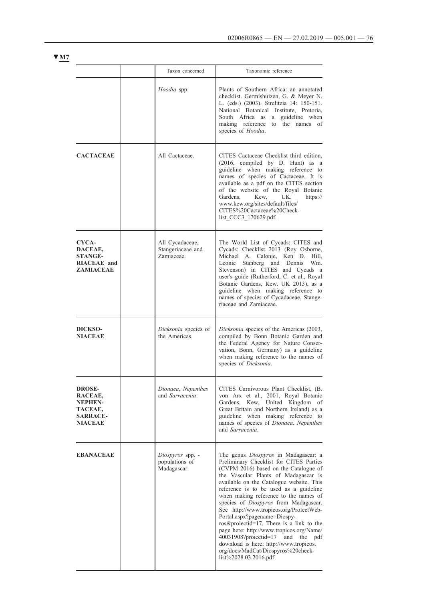|                                                                                            | Taxon concerned                                   | Taxonomic reference                                                                                                                                                                                                                                                                                                                                                                                                                                                                                                                                                                                                                                                |
|--------------------------------------------------------------------------------------------|---------------------------------------------------|--------------------------------------------------------------------------------------------------------------------------------------------------------------------------------------------------------------------------------------------------------------------------------------------------------------------------------------------------------------------------------------------------------------------------------------------------------------------------------------------------------------------------------------------------------------------------------------------------------------------------------------------------------------------|
|                                                                                            | Hoodia spp.                                       | Plants of Southern Africa: an annotated<br>checklist. Germishuizen, G. & Meyer N.<br>L. (eds.) (2003). Strelitzia 14: 150-151.<br>National Botanical Institute, Pretoria,<br>South Africa as<br>guideline when<br>a<br>making reference to the names of<br>species of <i>Hoodia</i> .                                                                                                                                                                                                                                                                                                                                                                              |
| <b>CACTACEAE</b>                                                                           | All Cactaceae.                                    | CITES Cactaceae Checklist third edition,<br>(2016, compiled by D. Hunt) as a<br>guideline when making reference to<br>names of species of Cactaceae. It is<br>available as a pdf on the CITES section<br>of the website of the Royal Botanic<br>Gardens.<br>UK.<br>https://<br>Kew,<br>www.kew.org/sites/default/files/<br>CITES%20Cactaceae%20Check-<br>list CCC3 170629.pdf.                                                                                                                                                                                                                                                                                     |
| CYCA-<br>DACEAE,<br><b>STANGE-</b><br><b>RIACEAE</b> and<br><b>ZAMIACEAE</b>               | All Cycadaceae,<br>Stangeriaceae and<br>Zamiaceae | The World List of Cycads: CITES and<br>Cycads: Checklist 2013 (Roy Osborne,<br>Michael A. Calonje, Ken D. Hill,<br>Leonie<br>Stanberg and Dennis<br>Wm.<br>Stevenson) in CITES and Cycads a<br>user's guide (Rutherford, C. et al., Royal<br>Botanic Gardens, Kew. UK 2013), as a<br>guideline when making reference to<br>names of species of Cycadaceae, Stange-<br>riaceae and Zamiaceae.                                                                                                                                                                                                                                                                       |
| DICKSO-<br><b>NIACEAE</b>                                                                  | Dicksonia species of<br>the Americas.             | Dicksonia species of the Americas (2003,<br>compiled by Bonn Botanic Garden and<br>the Federal Agency for Nature Conser-<br>vation, Bonn, Germany) as a guideline<br>when making reference to the names of<br>species of Dicksonia.                                                                                                                                                                                                                                                                                                                                                                                                                                |
| <b>DROSE-</b><br>RACEAE,<br><b>NEPHEN-</b><br>TACEAE,<br><b>SARRACE-</b><br><b>NIACEAE</b> | Dionaea, Nepenthes<br>and Sarracenia.             | CITES Carnivorous Plant Checklist, (B.<br>von Arx et al., 2001, Royal Botanic<br>Gardens, Kew, United Kingdom of<br>Great Britain and Northern Ireland) as a<br>guideline when making reference to<br>names of species of Dionaea, Nepenthes<br>and Sarracenia.                                                                                                                                                                                                                                                                                                                                                                                                    |
| <b>EBANACEAE</b>                                                                           | Diospyros spp. -<br>populations of<br>Madagascar. | The genus Diospyros in Madagascar: a<br>Preliminary Checklist for CITES Parties<br>(CVPM 2016) based on the Catalogue of<br>the Vascular Plants of Madagascar is<br>available on the Catalogue website. This<br>reference is to be used as a guideline<br>when making reference to the names of<br>species of Diospyros from Madagascar.<br>See http://www.tropicos.org/ProlectWeb-<br>Portal.aspx?pagename=Diospy-<br>ros&prolectid=17. There is a link to the<br>page here: http://www.tropicos.org/Name/<br>40031908?proiectid=17<br>the<br>and<br>pdf<br>download is here: http://www.tropicos.<br>org/docs/MadCat/Diospyros%20check-<br>list%2028.03.2016.pdf |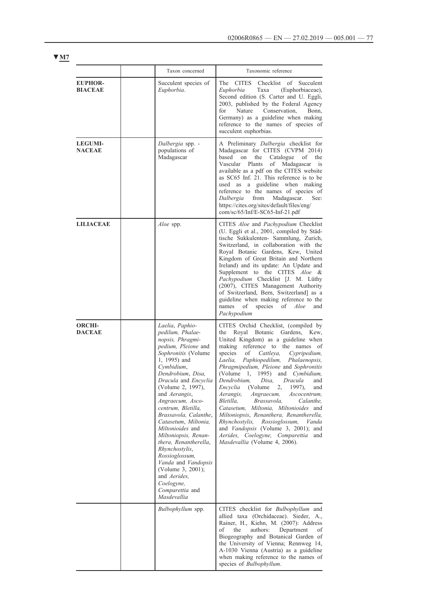|                                  | Taxon concerned                                                                                                                                                                                                                                                                                                                                                                                                                                                                                                                                        | Taxonomic reference                                                                                                                                                                                                                                                                                                                                                                                                                                                                                                                                                                                                                                                                                                                 |
|----------------------------------|--------------------------------------------------------------------------------------------------------------------------------------------------------------------------------------------------------------------------------------------------------------------------------------------------------------------------------------------------------------------------------------------------------------------------------------------------------------------------------------------------------------------------------------------------------|-------------------------------------------------------------------------------------------------------------------------------------------------------------------------------------------------------------------------------------------------------------------------------------------------------------------------------------------------------------------------------------------------------------------------------------------------------------------------------------------------------------------------------------------------------------------------------------------------------------------------------------------------------------------------------------------------------------------------------------|
| <b>EUPHOR-</b><br><b>BIACEAE</b> | Succulent species of<br>Euphorbia.                                                                                                                                                                                                                                                                                                                                                                                                                                                                                                                     | <b>CITES</b><br>The<br>Checklist of<br>Succulent<br>Taxa<br>Euphorbia<br>(Euphorbiaceae),<br>Second edition (S. Carter and U. Eggli,<br>2003, published by the Federal Agency<br>for<br>Nature<br>Conservation,<br>Bonn,<br>Germany) as a guideline when making<br>reference to the names of species of<br>succulent euphorbias.                                                                                                                                                                                                                                                                                                                                                                                                    |
| <b>LEGUMI-</b><br><b>NACEAE</b>  | Dalbergia spp. -<br>populations of<br>Madagascar                                                                                                                                                                                                                                                                                                                                                                                                                                                                                                       | A Preliminary Dalbergia checklist for<br>Madagascar for CITES (CVPM 2014)<br>the<br>Catalogue<br>based<br>on<br>of<br>the<br>Vascular Plants<br>of Madagascar is<br>available as a pdf on the CITES website<br>as SC65 Inf. 21. This reference is to be<br>used as a guideline when making<br>reference to the names of species of<br>Dalbergia<br>from<br>Madagascar.<br>See:<br>https://cites.org/sites/default/files/eng/<br>com/sc/65/Inf/E-SC65-Inf-21.pdf                                                                                                                                                                                                                                                                     |
| <b>LILIACEAE</b>                 | Aloe spp.                                                                                                                                                                                                                                                                                                                                                                                                                                                                                                                                              | CITES Aloe and Pachypodium Checklist<br>(U. Eggli et al., 2001, compiled by Städ-<br>tische Sukkulenten- Sammlung, Zurich,<br>Switzerland, in collaboration with the<br>Royal Botanic Gardens, Kew, United<br>Kingdom of Great Britain and Northern<br>Ireland) and its update: An Update and<br>Supplement to the CITES Aloe &<br>Pachypodium Checklist [J. M. Lüthy<br>(2007), CITES Management Authority<br>of Switzerland, Bern, Switzerland] as a<br>guideline when making reference to the<br>species<br>names<br>of<br>of<br>Aloe<br>and<br>Pachypodium                                                                                                                                                                      |
| <b>ORCHI-</b><br><b>DACEAE</b>   | Laelia, Paphio-<br>pedilum, Phalae-<br>nopsis, Phragmi-<br>pedium, Pleione and<br>Sophronitis (Volume<br>1, 1995) and<br>Cymbidium,<br>Dendrobium, Disa,<br>Dracula and Encyclia<br>(Volume 2, 1997),<br>and <i>Aerangis</i> ,<br>Angraecum, Asco-<br>centrum, Bletilla,<br>Brassavola, Calanthe,<br>Catasetum, Miltonia,<br>Miltonioides and<br>Miltoniopsis, Renan-<br>thera, Renantherella,<br>Rhynchostylis,<br>Rossioglossum,<br>Vanda and Vandopsis<br>(Volume 3, 2001);<br>and <i>Aerides</i> ,<br>Coelogyne,<br>Comparettia and<br>Masdevallia | CITES Orchid Checklist, (compiled by<br>Royal Botanic Gardens, Kew,<br>the<br>United Kingdom) as a guideline when<br>making reference to the names of<br>species<br>of<br>Cattleya,<br>Cypripedium,<br>Laelia.<br>Paphiopedilum, Phalaenopsis,<br>Phragmipedium, Pleione and Sophronitis<br>(Volume 1, 1995) and Cymbidium,<br>Dendrobium, Disa, Dracula and<br>Encyclia<br>(Volume 2, 1997),<br>and<br>Angraecum,<br>Aerangis,<br>Ascocentrum,<br>Bletilla,<br>Brassavola,<br>Calanthe,<br>Catasetum, Miltonia, Miltonioides and<br>Miltoniopsis, Renanthera, Renantherella,<br>Rhynchostylis, Rossioglossum, Vanda<br>and Vandopsis (Volume 3, 2001); and<br>Aerides, Coelogyne, Comparettia and<br>Masdevallia (Volume 4, 2006). |
|                                  | Bulbophyllum spp.                                                                                                                                                                                                                                                                                                                                                                                                                                                                                                                                      | CITES checklist for Bulbophyllum and<br>allied taxa (Orchidaceae). Sieder, A.,<br>Rainer, H., Kiehn, M. (2007): Address<br>оf<br>the<br>authors:<br>Department<br>οf<br>Biogeography and Botanical Garden of<br>the University of Vienna; Rennweg 14,<br>A-1030 Vienna (Austria) as a guideline<br>when making reference to the names of<br>species of <i>Bulbophyllum</i> .                                                                                                                                                                                                                                                                                                                                                        |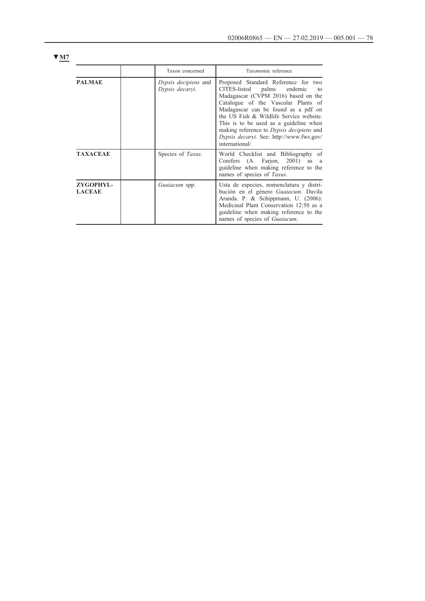| × |  |
|---|--|
|   |  |

|                            | Taxon concerned                                | Taxonomic reference                                                                                                                                                                                                                                                                                                                                                                               |
|----------------------------|------------------------------------------------|---------------------------------------------------------------------------------------------------------------------------------------------------------------------------------------------------------------------------------------------------------------------------------------------------------------------------------------------------------------------------------------------------|
| <b>PALMAE</b>              | <i>Dypsis decipiens</i> and<br>Dypsis decaryi. | Proposed Standard Reference for two<br>endemic<br>CITES-listed<br>palms<br>to<br>Madagascar (CVPM 2016) based on the<br>Catalogue of the Vascular Plants of<br>Madagascar can be found as a pdf on<br>the US Fish & Wildlife Service website.<br>This is to be used as a guideline when<br>making reference to Dypsis decipiens and<br>Dypsis decaryi. See: http://www.fws.gov/<br>international/ |
| <b>TAXACEAE</b>            | Species of Taxus.                              | World Checklist and Bibliography of<br>Conifers (A. Farjon, 2001) as a<br>guideline when making reference to the<br>names of species of Taxus.                                                                                                                                                                                                                                                    |
| ZYGOPHYL-<br><b>LACEAE</b> | Guaiacum spp.                                  | Usta de especies, nomenclatura y distri-<br>bución en el género Guaiacum. Davila<br>Aranda. P. & Schippmann, U. (2006):<br>Medicinal Plant Conservation 12:50 as a<br>guideline when making reference to the<br>names of species of <i>Guaiacum</i> .                                                                                                                                             |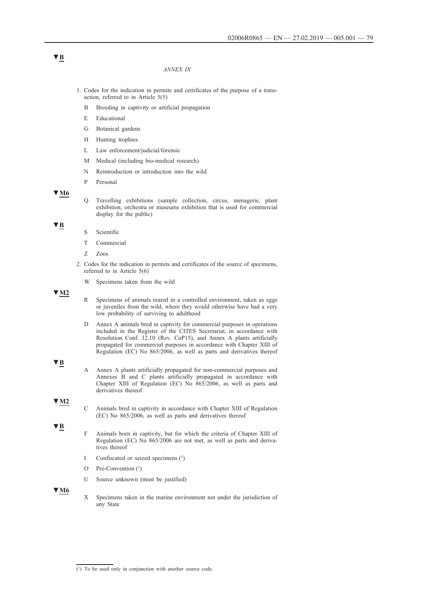#### *ANNEX IX*

- 1. Codes for the indication in permits and certificates of the purpose of a transaction, referred to in Article 5(5)
	- B Breeding in captivity or artificial propagation
	- E Educational
	- G Botanical gardens
	- H Hunting trophies
	- L Law enforcement/judicial/forensic
	- M Medical (including bio-medical research)
	- N Reintroduction or introduction into the wild
	- P Personal

#### **▼M6**

Q Travelling exhibitions (sample collection, circus, menagerie, plant exhibition, orchestra or museums exhibition that is used for commercial display for the public)

#### **▼B**

- S Scientific
- T Commercial
- Z Zoos
- 2. Codes for the indication in permits and certificates of the source of specimens, referred to in Article 5(6)
	- W Specimens taken from the wild

## **▼M2**

- R Specimens of animals reared in a controlled environment, taken as eggs or juveniles from the wild, where they would otherwise have had a very low probability of surviving to adulthood
- D Annex A animals bred in captivity for commercial purposes in operations included in the Register of the CITES Secretariat, in accordance with Resolution Conf. 12.10 (Rev. CoP15), and Annex A plants artificially propagated for commercial purposes in accordance with Chapter XIII of Regulation (EC) No 865/2006, as well as parts and derivatives thereof

#### **▼B**

A Annex A plants artificially propagated for non-commercial purposes and Annexes B and C plants artificially propagated in accordance with Chapter XIII of Regulation (EC) No 865/2006, as well as parts and derivatives thereof

# **▼M2**

C Animals bred in captivity in accordance with Chapter XIII of Regulation (EC) No 865/2006, as well as parts and derivatives thereof

**▼B**

- F Animals born in captivity, but for which the criteria of Chapter XIII of Regulation (EC) No 865/2006 are not met, as well as parts and derivatives thereof
- I Confiscated or seized specimens (1)
- O Pre-Convention (1)
- U Source unknown (must be justified)

**▼M6**

X Specimens taken in the marine environment not under the jurisdiction of any State

# **▼B**

(1) To be used only in conjunction with another source code.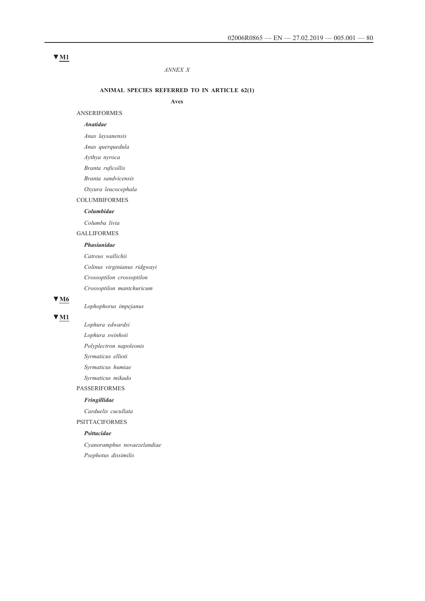### *ANNEX X*

#### **ANIMAL SPECIES REFERRED TO IN ARTICLE 62(1)**

**Aves**

#### ANSERIFORMES

## *Anatidae*

*Anas laysanensis*

*Anas querquedula*

*Aythya nyroca*

*Branta ruficollis*

*Branta sandvicensis*

*Oxyura leucocephala*

### COLUMBIFORMES

#### *Columbidae*

*Columba livia*

GALLIFORMES

#### *Phasianidae*

*Catreus wallichii Colinus virginianus ridgwayi Crossoptilon crossoptilon Crossoptilon mantchuricum*

## **▼M6**

*Lophophorus impejanus*

### **▼M1**

*Lophura edwardsi Lophura swinhoii Polyplectron napoleonis Syrmaticus ellioti Syrmaticus humiae Syrmaticus mikado*

# PASSERIFORMES

*Fringillidae*

*Carduelis cucullata*

PSITTACIFORMES

# *Psittacidae*

*Cyanoramphus novaezelandiae Psephotus dissimilis*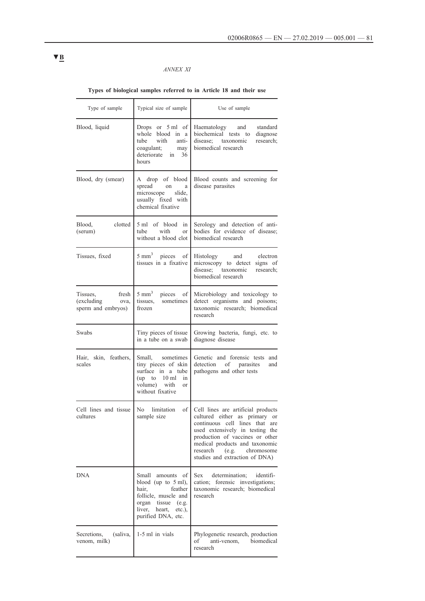## *ANNEX XI*

# **Types of biological samples referred to in Article 18 and their use**

| Type of sample                                                | Typical size of sample                                                                                                                                                | Use of sample                                                                                                                                                                                                                                                                         |
|---------------------------------------------------------------|-----------------------------------------------------------------------------------------------------------------------------------------------------------------------|---------------------------------------------------------------------------------------------------------------------------------------------------------------------------------------------------------------------------------------------------------------------------------------|
| Blood, liquid                                                 | Drops or $5 \text{ ml}$ of<br>whole blood in a<br>with<br>anti-<br>tube<br>coagulant;<br>may<br>deteriorate in 36<br>hours                                            | standard<br>Haematology and<br>biochemical tests to<br>diagnose<br>disease; taxonomic<br>research;<br>biomedical research                                                                                                                                                             |
| Blood, dry (smear)                                            | A drop of blood<br>spread<br>on<br>a<br>microscope slide,<br>usually fixed with<br>chemical fixative                                                                  | Blood counts and screening for<br>disease parasites                                                                                                                                                                                                                                   |
| clotted<br>Blood,<br>(serum)                                  | 5 ml<br>of blood in<br>tube<br>with<br><sub>or</sub><br>without a blood clot                                                                                          | Serology and detection of anti-<br>bodies for evidence of disease;<br>biomedical research                                                                                                                                                                                             |
| Tissues, fixed                                                | $5 \text{ mm}^3$ pieces of<br>tissues in a fixative                                                                                                                   | Histology and electron<br>microscopy to detect signs of<br>disease: taxonomic<br>research;<br>biomedical research                                                                                                                                                                     |
| Tissues,<br>fresh<br>(excluding<br>ova,<br>sperm and embryos) | $5 \text{ mm}^3$ pieces of<br>tissues, sometimes<br>frozen                                                                                                            | Microbiology and toxicology to<br>detect organisms and poisons;<br>taxonomic research; biomedical<br>research                                                                                                                                                                         |
| Swabs                                                         | Tiny pieces of tissue<br>in a tube on a swab                                                                                                                          | Growing bacteria, fungi, etc. to<br>diagnose disease                                                                                                                                                                                                                                  |
| Hair, skin, feathers,<br>scales                               | Small, sometimes<br>tiny pieces of skin<br>surface in a tube<br>(up to 10 ml in<br>volume) with<br><sub>or</sub><br>without fixative                                  | Genetic and forensic tests and<br>detection of parasites<br>and<br>pathogens and other tests                                                                                                                                                                                          |
| Cell lines and tissue<br>cultures                             | of 1<br>No<br>limitation<br>sample size                                                                                                                               | Cell lines are artificial products<br>cultured either as primary or<br>continuous cell lines that<br>are<br>used extensively in testing the<br>production of vaccines or other<br>medical products and taxonomic<br>research<br>(e.g.<br>chromosome<br>studies and extraction of DNA) |
| <b>DNA</b>                                                    | Small<br>amounts of<br>blood (up to $5$ ml),<br>hair,<br>feather<br>follicle, muscle and<br>organ tissue<br>(e.g.<br>liver, heart,<br>$etc.$ ),<br>purified DNA, etc. | Sex<br>determination;<br>identifi-<br>cation; forensic investigations;<br>taxonomic research; biomedical<br>research                                                                                                                                                                  |
| (saliva,<br>Secretions,<br>venom, milk)                       | 1-5 ml in vials                                                                                                                                                       | Phylogenetic research, production<br>biomedical<br>οf<br>anti-venom,<br>research                                                                                                                                                                                                      |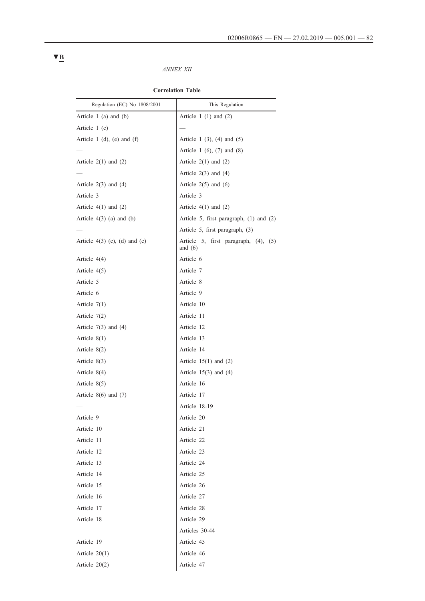## *ANNEX XII*

| Regulation (EC) No 1808/2001    | This Regulation                                   |
|---------------------------------|---------------------------------------------------|
| Article 1 (a) and (b)           | Article 1 $(1)$ and $(2)$                         |
| Article $1(c)$                  |                                                   |
| Article 1 (d), (e) and (f)      | Article 1 $(3)$ , $(4)$ and $(5)$                 |
|                                 | Article 1 $(6)$ , $(7)$ and $(8)$                 |
| Article $2(1)$ and $(2)$        | Article $2(1)$ and $(2)$                          |
|                                 | Article $2(3)$ and $(4)$                          |
| Article $2(3)$ and $(4)$        | Article $2(5)$ and $(6)$                          |
| Article 3                       | Article 3                                         |
| Article $4(1)$ and $(2)$        | Article $4(1)$ and $(2)$                          |
| Article $4(3)$ (a) and (b)      | Article 5, first paragraph, (1) and (2)           |
|                                 | Article 5, first paragraph, (3)                   |
| Article $4(3)$ (c), (d) and (e) | Article 5, first paragraph, (4), (5)<br>and $(6)$ |
| Article $4(4)$                  | Article 6                                         |
| Article $4(5)$                  | Article 7                                         |
| Article 5                       | Article 8                                         |
| Article 6                       | Article 9                                         |
| Article $7(1)$                  | Article 10                                        |
| Article $7(2)$                  | Article 11                                        |
| Article $7(3)$ and $(4)$        | Article 12                                        |
| Article $8(1)$                  | Article 13                                        |
| Article 8(2)                    | Article 14                                        |
| Article $8(3)$                  | Article $15(1)$ and $(2)$                         |
| Article $8(4)$                  | Article $15(3)$ and $(4)$                         |
| Article 8(5)                    | Article 16                                        |
| Article $8(6)$ and $(7)$        | Article 17                                        |
|                                 | Article 18-19                                     |
| Article 9                       | Article 20                                        |
| Article 10                      | Article 21                                        |
| Article 11                      | Article 22                                        |
| Article 12                      | Article 23                                        |
| Article 13                      | Article 24                                        |
| Article 14                      | Article 25                                        |
| Article 15                      | Article 26                                        |
| Article 16                      | Article 27                                        |
| Article 17                      | Article 28                                        |
| Article 18                      | Article 29                                        |
| $\overline{\phantom{0}}$        | Articles 30-44                                    |
| Article 19                      | Article 45                                        |
| Article $20(1)$                 | Article 46                                        |
| Article 20(2)                   | Article 47                                        |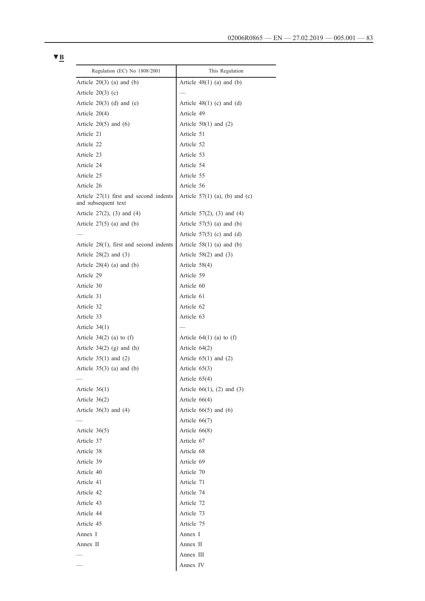| Regulation (EC) No 1808/2001                                    | This Regulation                  |
|-----------------------------------------------------------------|----------------------------------|
| Article $20(3)$ (a) and (b)                                     | Article $48(1)$ (a) and (b)      |
| Article $20(3)$ (c)                                             |                                  |
| Article $20(3)$ (d) and (e)                                     | Article $48(1)$ (c) and (d)      |
| Article 20(4)                                                   | Article 49                       |
| Article $20(5)$ and $(6)$                                       | Article $50(1)$ and (2)          |
| Article 21                                                      | Article 51                       |
| Article 22                                                      | Article 52                       |
| Article 23                                                      | Article 53                       |
| Article 24                                                      | Article 54                       |
| Article 25                                                      | Article 55                       |
| Article 26                                                      | Article 56                       |
| Article $27(1)$ first and second indents<br>and subsequent text | Article $57(1)$ (a), (b) and (c) |
| Article $27(2)$ , $(3)$ and $(4)$                               | Article $57(2)$ , (3) and (4)    |
| Article $27(5)$ (a) and (b)                                     | Article $57(5)$ (a) and (b)      |
|                                                                 | Article $57(5)$ (c) and (d)      |
| Article $28(1)$ , first and second indents                      | Article $58(1)$ (a) and (b)      |
| Article $28(2)$ and $(3)$                                       | Article $58(2)$ and $(3)$        |
| Article $28(4)$ (a) and (b)                                     | Article $58(4)$                  |
| Article 29                                                      | Article 59                       |
| Article 30                                                      | Article 60                       |
| Article 31                                                      | Article 61                       |
| Article 32                                                      | Article 62                       |
| Article 33                                                      | Article 63                       |
| Article $34(1)$                                                 |                                  |
| Article $34(2)$ (a) to (f)                                      | Article $64(1)$ (a) to (f)       |
| Article $34(2)$ (g) and (h)                                     | Article $64(2)$                  |
| Article $35(1)$ and $(2)$                                       | Article $65(1)$ and $(2)$        |
| Article $35(3)$ (a) and (b)                                     | Article $65(3)$                  |
|                                                                 | Article $65(4)$                  |
| Article $36(1)$                                                 | Article $66(1)$ , (2) and (3)    |
| Article $36(2)$                                                 | Article $66(4)$                  |
| Article $36(3)$ and $(4)$                                       | Article $66(5)$ and $(6)$        |
|                                                                 | Article $66(7)$                  |
| Article $36(5)$                                                 | Article $66(8)$                  |
| Article 37                                                      | Article 67                       |
| Article 38                                                      | Article 68                       |
| Article 39                                                      | Article 69                       |
| Article 40                                                      | Article 70                       |
| Article 41                                                      | Article 71                       |
| Article 42                                                      | Article 74                       |
| Article 43                                                      | Article 72                       |
| Article 44                                                      | Article 73                       |
| Article 45                                                      | Article 75                       |
| Annex I                                                         | Annex I                          |
| Annex II                                                        | Annex II                         |
|                                                                 | Annex III                        |
|                                                                 | Annex IV                         |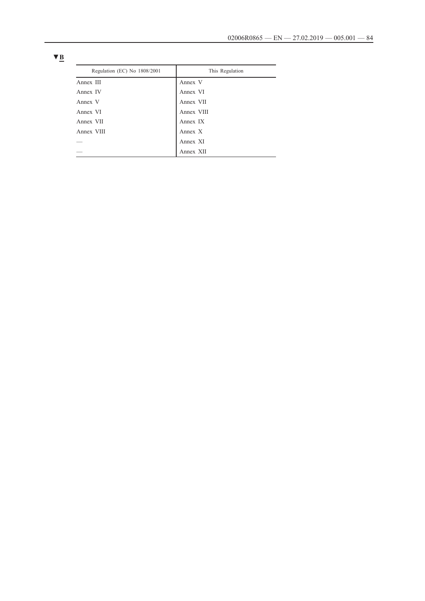| Regulation (EC) No 1808/2001 | This Regulation |
|------------------------------|-----------------|
| Annex III                    | Annex V         |
| Annex IV                     | Annex VI        |
| Annex V                      | Annex VII       |
| Annex VI                     | Annex VIII      |
| Annex VII                    | Annex IX        |
| Annex VIII                   | Annex X         |
|                              | Annex XI        |
|                              | Annex XII       |